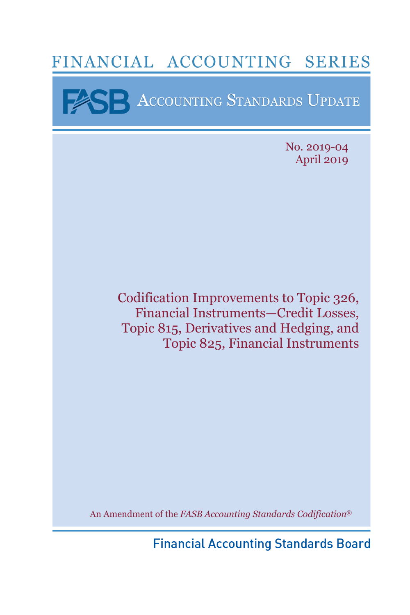# FINANCIAL ACCOUNTING SERIES

**EXERENCE ACCOUNTING STANDARDS UPDATE** 

I

No. 2019-04 April 2019

Codification Improvements to Topic 326, Financial Instruments—Credit Losses, Topic 815, Derivatives and Hedging, and Topic 825, Financial Instruments

An Amendment of the *FASB Accounting Standards Codification*®

**Financial Accounting Standards Board**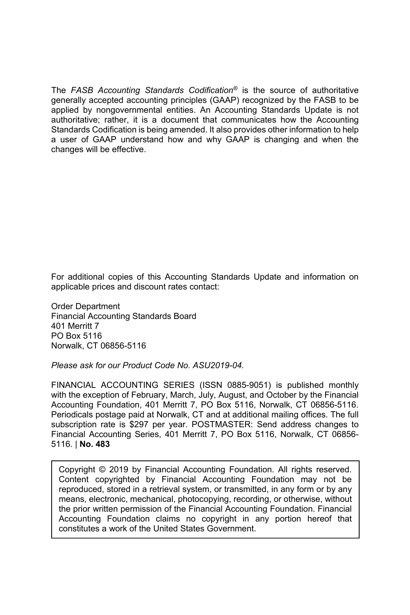The *FASB Accounting Standards Codification®* is the source of authoritative generally accepted accounting principles (GAAP) recognized by the FASB to be applied by nongovernmental entities. An Accounting Standards Update is not authoritative; rather, it is a document that communicates how the Accounting Standards Codification is being amended. It also provides other information to help a user of GAAP understand how and why GAAP is changing and when the changes will be effective.

For additional copies of this Accounting Standards Update and information on applicable prices and discount rates contact:

Order Department Financial Accounting Standards Board 401 Merritt 7 PO Box 5116 Norwalk, CT 06856-5116

*Please ask for our Product Code No. ASU2019-04.* 

FINANCIAL ACCOUNTING SERIES (ISSN 0885-9051) is published monthly with the exception of February, March, July, August, and October by the Financial Accounting Foundation, 401 Merritt 7, PO Box 5116, Norwalk, CT 06856-5116. Periodicals postage paid at Norwalk, CT and at additional mailing offices. The full subscription rate is \$297 per year. POSTMASTER: Send address changes to Financial Accounting Series, 401 Merritt 7, PO Box 5116, Norwalk, CT 06856- 5116. | **No. 483**

Copyright © 2019 by Financial Accounting Foundation. All rights reserved. Content copyrighted by Financial Accounting Foundation may not be reproduced, stored in a retrieval system, or transmitted, in any form or by any means, electronic, mechanical, photocopying, recording, or otherwise, without the prior written permission of the Financial Accounting Foundation. Financial Accounting Foundation claims no copyright in any portion hereof that constitutes a work of the United States Government.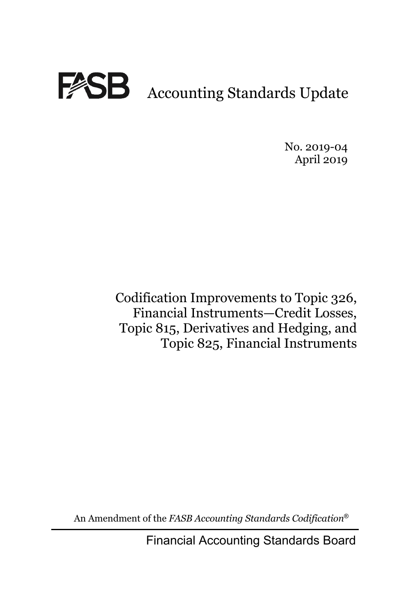

No. 2019-04 April 2019

Codification Improvements to Topic 326, Financial Instruments—Credit Losses, Topic 815, Derivatives and Hedging, and Topic 825, Financial Instruments

An Amendment of the *FASB Accounting Standards Codification*®

Financial Accounting Standards Board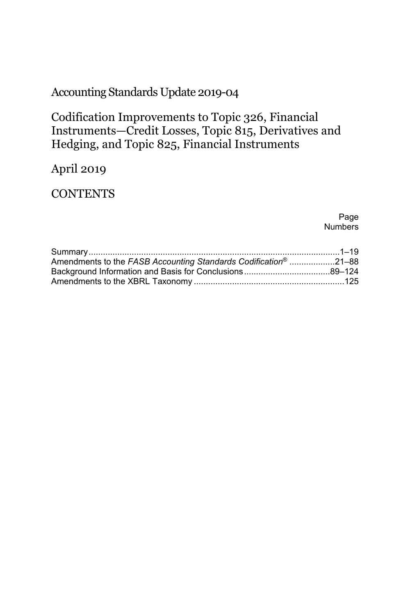# Accounting Standards Update 2019-04

Codification Improvements to Topic 326, Financial Instruments—Credit Losses, Topic 815, Derivatives and Hedging, and Topic 825, Financial Instruments

# April 2019

### **CONTENTS**

Page Numbers

| Amendments to the FASB Accounting Standards Codification <sup>®</sup> 21–88 |  |
|-----------------------------------------------------------------------------|--|
|                                                                             |  |
|                                                                             |  |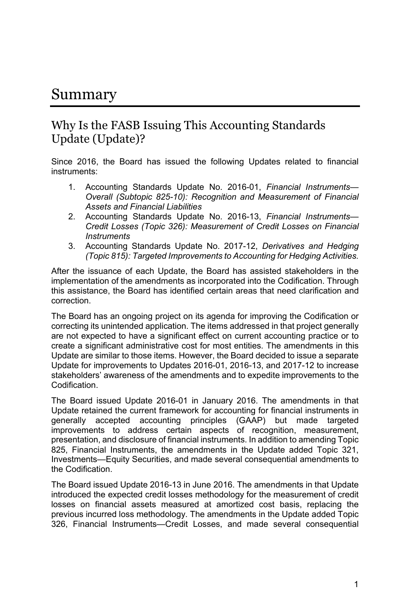# Summary

### Why Is the FASB Issuing This Accounting Standards Update (Update)?

Since 2016, the Board has issued the following Updates related to financial instruments:

- 1. Accounting Standards Update No. 2016-01, *Financial Instruments— Overall (Subtopic 825-10): Recognition and Measurement of Financial Assets and Financial Liabilities*
- 2. Accounting Standards Update No. 2016-13, *Financial Instruments— Credit Losses (Topic 326): Measurement of Credit Losses on Financial Instruments*
- 3. Accounting Standards Update No. 2017-12, *Derivatives and Hedging (Topic 815): Targeted Improvements to Accounting for Hedging Activities.*

After the issuance of each Update, the Board has assisted stakeholders in the implementation of the amendments as incorporated into the Codification. Through this assistance, the Board has identified certain areas that need clarification and correction.

The Board has an ongoing project on its agenda for improving the Codification or correcting its unintended application. The items addressed in that project generally are not expected to have a significant effect on current accounting practice or to create a significant administrative cost for most entities. The amendments in this Update are similar to those items. However, the Board decided to issue a separate Update for improvements to Updates 2016-01, 2016-13, and 2017-12 to increase stakeholders' awareness of the amendments and to expedite improvements to the Codification.

The Board issued Update 2016-01 in January 2016. The amendments in that Update retained the current framework for accounting for financial instruments in generally accepted accounting principles (GAAP) but made targeted improvements to address certain aspects of recognition, measurement, presentation, and disclosure of financial instruments. In addition to amending Topic 825, Financial Instruments, the amendments in the Update added Topic 321, Investments—Equity Securities, and made several consequential amendments to the Codification.

The Board issued Update 2016-13 in June 2016. The amendments in that Update introduced the expected credit losses methodology for the measurement of credit losses on financial assets measured at amortized cost basis, replacing the previous incurred loss methodology. The amendments in the Update added Topic 326, Financial Instruments—Credit Losses, and made several consequential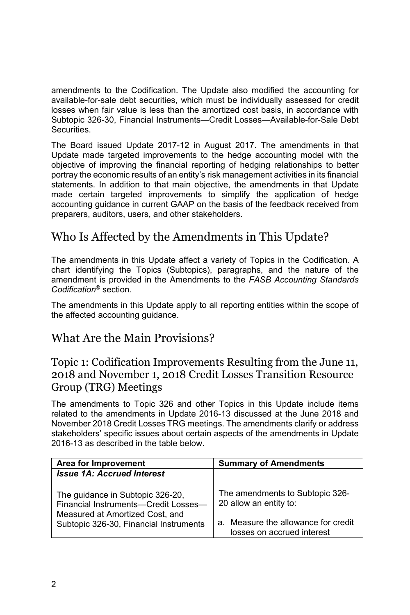amendments to the Codification. The Update also modified the accounting for available-for-sale debt securities, which must be individually assessed for credit losses when fair value is less than the amortized cost basis, in accordance with Subtopic 326-30, Financial Instruments—Credit Losses—Available-for-Sale Debt **Securities** 

The Board issued Update 2017-12 in August 2017. The amendments in that Update made targeted improvements to the hedge accounting model with the objective of improving the financial reporting of hedging relationships to better portray the economic results of an entity's risk management activities in its financial statements. In addition to that main objective, the amendments in that Update made certain targeted improvements to simplify the application of hedge accounting guidance in current GAAP on the basis of the feedback received from preparers, auditors, users, and other stakeholders.

# Who Is Affected by the Amendments in This Update?

The amendments in this Update affect a variety of Topics in the Codification. A chart identifying the Topics (Subtopics), paragraphs, and the nature of the amendment is provided in the Amendments to the *FASB Accounting Standards Codification*® section.

The amendments in this Update apply to all reporting entities within the scope of the affected accounting guidance.

### What Are the Main Provisions?

### Topic 1: Codification Improvements Resulting from the June 11, 2018 and November 1, 2018 Credit Losses Transition Resource Group (TRG) Meetings

The amendments to Topic 326 and other Topics in this Update include items related to the amendments in Update 2016-13 discussed at the June 2018 and November 2018 Credit Losses TRG meetings. The amendments clarify or address stakeholders' specific issues about certain aspects of the amendments in Update 2016-13 as described in the table below.

| Area for Improvement                                                                                                                                  | <b>Summary of Amendments</b>                                                                                                   |
|-------------------------------------------------------------------------------------------------------------------------------------------------------|--------------------------------------------------------------------------------------------------------------------------------|
| <b>Issue 1A: Accrued Interest</b>                                                                                                                     |                                                                                                                                |
| The guidance in Subtopic 326-20,<br>Financial Instruments-Credit Losses-<br>Measured at Amortized Cost, and<br>Subtopic 326-30, Financial Instruments | The amendments to Subtopic 326-<br>20 allow an entity to:<br>a. Measure the allowance for credit<br>losses on accrued interest |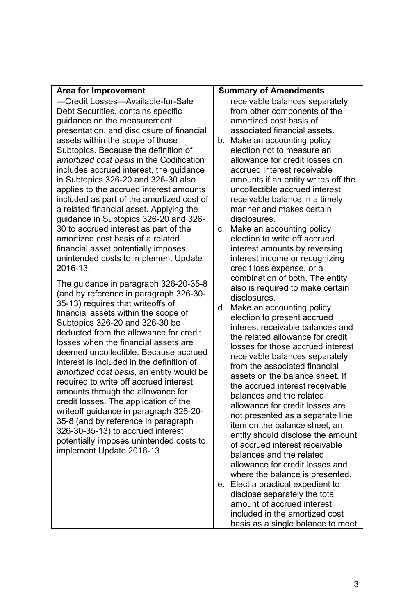| <b>Area for Improvement</b>                     | <b>Summary of Amendments</b>                                |
|-------------------------------------------------|-------------------------------------------------------------|
| -Credit Losses-Available-for-Sale               | receivable balances separately                              |
| Debt Securities, contains specific              | from other components of the                                |
| guidance on the measurement,                    | amortized cost basis of                                     |
| presentation, and disclosure of financial       | associated financial assets.                                |
| assets within the scope of those                | b. Make an accounting policy                                |
| Subtopics. Because the definition of            | election not to measure an                                  |
| <i>amortized cost basis</i> in the Codification | allowance for credit losses on                              |
| includes accrued interest, the quidance         | accrued interest receivable                                 |
| in Subtopics 326-20 and 326-30 also             | amounts if an entity writes off the                         |
| applies to the accrued interest amounts         | uncollectible accrued interest                              |
| included as part of the amortized cost of       | receivable balance in a timely                              |
| a related financial asset. Applying the         | manner and makes certain                                    |
| guidance in Subtopics 326-20 and 326-           | disclosures.                                                |
| 30 to accrued interest as part of the           | c. Make an accounting policy                                |
| amortized cost basis of a related               | election to write off accrued                               |
| financial asset potentially imposes             | interest amounts by reversing                               |
| unintended costs to implement Update            | interest income or recognizing                              |
| 2016-13.                                        | credit loss expense, or a                                   |
| The guidance in paragraph 326-20-35-8           | combination of both. The entity                             |
| (and by reference in paragraph 326-30-          | also is required to make certain                            |
| 35-13) requires that writeoffs of               | disclosures.                                                |
| financial assets within the scope of            | d. Make an accounting policy                                |
| Subtopics 326-20 and 326-30 be                  | election to present accrued                                 |
| deducted from the allowance for credit          | interest receivable balances and                            |
| losses when the financial assets are            | the related allowance for credit                            |
| deemed uncollectible. Because accrued           | losses for those accrued interest                           |
| interest is included in the definition of       | receivable balances separately                              |
| amortized cost basis, an entity would be        | from the associated financial                               |
| required to write off accrued interest          | assets on the balance sheet. If                             |
| amounts through the allowance for               | the accrued interest receivable                             |
| credit losses. The application of the           | balances and the related                                    |
| writeoff guidance in paragraph 326-20-          | allowance for credit losses are                             |
| 35-8 (and by reference in paragraph             | not presented as a separate line                            |
| 326-30-35-13) to accrued interest               | item on the balance sheet, an                               |
| potentially imposes unintended costs to         | entity should disclose the amount                           |
| implement Update 2016-13.                       | of accrued interest receivable<br>balances and the related  |
|                                                 | allowance for credit losses and                             |
|                                                 |                                                             |
|                                                 | where the balance is presented.                             |
|                                                 | e. Elect a practical expedient to                           |
|                                                 | disclose separately the total<br>amount of accrued interest |
|                                                 |                                                             |

included in the amortized cost basis as a single balance to meet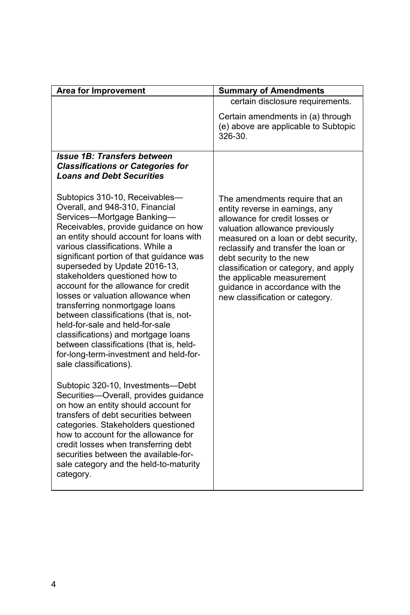| <b>Area for Improvement</b>                                                                                                                                                                                                                                                                                                                                                                                                                                                                                                                                                                                                                                                              | <b>Summary of Amendments</b>                                                                                                                                                                                                                                                                                                                                                                  |
|------------------------------------------------------------------------------------------------------------------------------------------------------------------------------------------------------------------------------------------------------------------------------------------------------------------------------------------------------------------------------------------------------------------------------------------------------------------------------------------------------------------------------------------------------------------------------------------------------------------------------------------------------------------------------------------|-----------------------------------------------------------------------------------------------------------------------------------------------------------------------------------------------------------------------------------------------------------------------------------------------------------------------------------------------------------------------------------------------|
|                                                                                                                                                                                                                                                                                                                                                                                                                                                                                                                                                                                                                                                                                          | certain disclosure requirements.                                                                                                                                                                                                                                                                                                                                                              |
|                                                                                                                                                                                                                                                                                                                                                                                                                                                                                                                                                                                                                                                                                          | Certain amendments in (a) through<br>(e) above are applicable to Subtopic<br>326-30.                                                                                                                                                                                                                                                                                                          |
| <b>Issue 1B: Transfers between</b><br><b>Classifications or Categories for</b><br><b>Loans and Debt Securities</b>                                                                                                                                                                                                                                                                                                                                                                                                                                                                                                                                                                       |                                                                                                                                                                                                                                                                                                                                                                                               |
| Subtopics 310-10, Receivables-<br>Overall, and 948-310, Financial<br>Services-Mortgage Banking-<br>Receivables, provide guidance on how<br>an entity should account for loans with<br>various classifications. While a<br>significant portion of that guidance was<br>superseded by Update 2016-13,<br>stakeholders questioned how to<br>account for the allowance for credit<br>losses or valuation allowance when<br>transferring nonmortgage loans<br>between classifications (that is, not-<br>held-for-sale and held-for-sale<br>classifications) and mortgage loans<br>between classifications (that is, held-<br>for-long-term-investment and held-for-<br>sale classifications). | The amendments require that an<br>entity reverse in earnings, any<br>allowance for credit losses or<br>valuation allowance previously<br>measured on a loan or debt security,<br>reclassify and transfer the loan or<br>debt security to the new<br>classification or category, and apply<br>the applicable measurement<br>quidance in accordance with the<br>new classification or category. |
| Subtopic 320-10, Investments-Debt<br>Securities-Overall, provides guidance<br>on how an entity should account for<br>transfers of debt securities between<br>categories. Stakeholders questioned<br>how to account for the allowance for<br>credit losses when transferring debt<br>securities between the available-for-<br>sale category and the held-to-maturity<br>category.                                                                                                                                                                                                                                                                                                         |                                                                                                                                                                                                                                                                                                                                                                                               |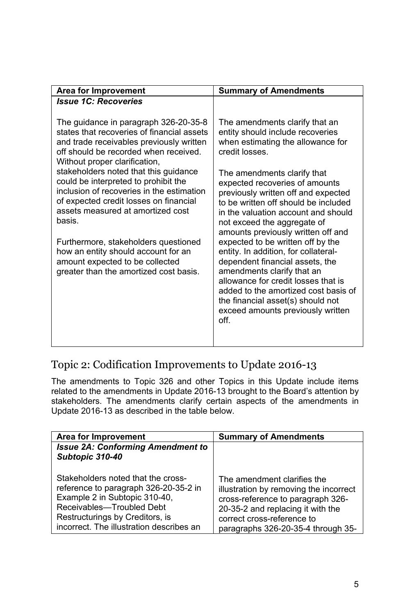## Topic 2: Codification Improvements to Update 2016-13

The amendments to Topic 326 and other Topics in this Update include items related to the amendments in Update 2016-13 brought to the Board's attention by stakeholders. The amendments clarify certain aspects of the amendments in Update 2016-13 as described in the table below.

| Area for Improvement                                                                                                                                                                                                     | <b>Summary of Amendments</b>                                                                                                                                                                                        |
|--------------------------------------------------------------------------------------------------------------------------------------------------------------------------------------------------------------------------|---------------------------------------------------------------------------------------------------------------------------------------------------------------------------------------------------------------------|
| <b>Issue 2A: Conforming Amendment to</b><br>Subtopic 310-40                                                                                                                                                              |                                                                                                                                                                                                                     |
| Stakeholders noted that the cross-<br>reference to paragraph 326-20-35-2 in<br>Example 2 in Subtopic 310-40,<br>Receivables-Troubled Debt<br>Restructurings by Creditors, is<br>incorrect. The illustration describes an | The amendment clarifies the<br>illustration by removing the incorrect<br>cross-reference to paragraph 326-<br>20-35-2 and replacing it with the<br>correct cross-reference to<br>paragraphs 326-20-35-4 through 35- |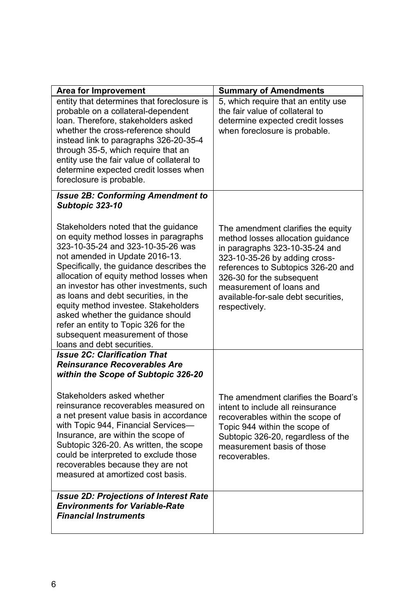| <b>Area for Improvement</b>                                                                                                                                                                                                                                                                                                                                                                                                                                                                                          | <b>Summary of Amendments</b>                                                                                                                                                                                                                                                                      |
|----------------------------------------------------------------------------------------------------------------------------------------------------------------------------------------------------------------------------------------------------------------------------------------------------------------------------------------------------------------------------------------------------------------------------------------------------------------------------------------------------------------------|---------------------------------------------------------------------------------------------------------------------------------------------------------------------------------------------------------------------------------------------------------------------------------------------------|
| entity that determines that foreclosure is<br>probable on a collateral-dependent<br>loan. Therefore, stakeholders asked<br>whether the cross-reference should<br>instead link to paragraphs 326-20-35-4<br>through 35-5, which require that an<br>entity use the fair value of collateral to<br>determine expected credit losses when<br>foreclosure is probable.                                                                                                                                                    | 5, which require that an entity use<br>the fair value of collateral to<br>determine expected credit losses<br>when foreclosure is probable.                                                                                                                                                       |
| <b>Issue 2B: Conforming Amendment to</b><br>Subtopic 323-10                                                                                                                                                                                                                                                                                                                                                                                                                                                          |                                                                                                                                                                                                                                                                                                   |
| Stakeholders noted that the guidance<br>on equity method losses in paragraphs<br>323-10-35-24 and 323-10-35-26 was<br>not amended in Update 2016-13.<br>Specifically, the guidance describes the<br>allocation of equity method losses when<br>an investor has other investments, such<br>as loans and debt securities, in the<br>equity method investee. Stakeholders<br>asked whether the guidance should<br>refer an entity to Topic 326 for the<br>subsequent measurement of those<br>loans and debt securities. | The amendment clarifies the equity<br>method losses allocation guidance<br>in paragraphs 323-10-35-24 and<br>323-10-35-26 by adding cross-<br>references to Subtopics 326-20 and<br>326-30 for the subsequent<br>measurement of loans and<br>available-for-sale debt securities,<br>respectively. |
| <b>Issue 2C: Clarification That</b><br><b>Reinsurance Recoverables Are</b><br>within the Scope of Subtopic 326-20                                                                                                                                                                                                                                                                                                                                                                                                    |                                                                                                                                                                                                                                                                                                   |
| Stakeholders asked whether<br>reinsurance recoverables measured on<br>a net present value basis in accordance<br>with Topic 944, Financial Services-<br>Insurance, are within the scope of<br>Subtopic 326-20. As written, the scope<br>could be interpreted to exclude those<br>recoverables because they are not<br>measured at amortized cost basis.                                                                                                                                                              | The amendment clarifies the Board's<br>intent to include all reinsurance<br>recoverables within the scope of<br>Topic 944 within the scope of<br>Subtopic 326-20, regardless of the<br>measurement basis of those<br>recoverables.                                                                |
| <b>Issue 2D: Projections of Interest Rate</b><br><b>Environments for Variable-Rate</b><br><b>Financial Instruments</b>                                                                                                                                                                                                                                                                                                                                                                                               |                                                                                                                                                                                                                                                                                                   |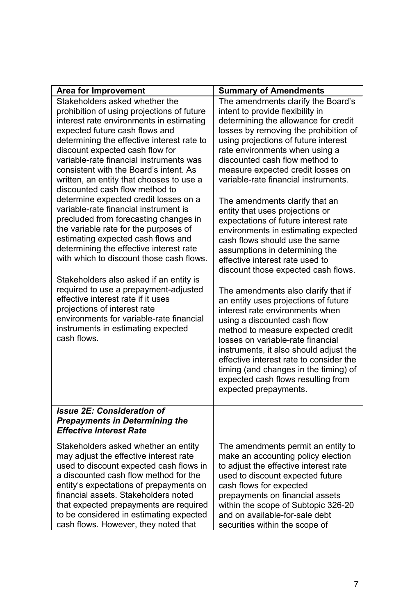| <b>Area for Improvement</b>                                                                                                                                                                                                                                                                                                                                                                                                                                                                                                                                                                                                                                                                                                                                                                                                                                                                                                                                                | <b>Summary of Amendments</b>                                                                                                                                                                                                                                                                                                                                                                                                                                                                                                                                                                                                                                                                                                                                                                                                                                                                                                                                                                                                                                                |
|----------------------------------------------------------------------------------------------------------------------------------------------------------------------------------------------------------------------------------------------------------------------------------------------------------------------------------------------------------------------------------------------------------------------------------------------------------------------------------------------------------------------------------------------------------------------------------------------------------------------------------------------------------------------------------------------------------------------------------------------------------------------------------------------------------------------------------------------------------------------------------------------------------------------------------------------------------------------------|-----------------------------------------------------------------------------------------------------------------------------------------------------------------------------------------------------------------------------------------------------------------------------------------------------------------------------------------------------------------------------------------------------------------------------------------------------------------------------------------------------------------------------------------------------------------------------------------------------------------------------------------------------------------------------------------------------------------------------------------------------------------------------------------------------------------------------------------------------------------------------------------------------------------------------------------------------------------------------------------------------------------------------------------------------------------------------|
| Stakeholders asked whether the<br>prohibition of using projections of future<br>interest rate environments in estimating<br>expected future cash flows and<br>determining the effective interest rate to<br>discount expected cash flow for<br>variable-rate financial instruments was<br>consistent with the Board's intent. As<br>written, an entity that chooses to use a<br>discounted cash flow method to<br>determine expected credit losses on a<br>variable-rate financial instrument is<br>precluded from forecasting changes in<br>the variable rate for the purposes of<br>estimating expected cash flows and<br>determining the effective interest rate<br>with which to discount those cash flows.<br>Stakeholders also asked if an entity is<br>required to use a prepayment-adjusted<br>effective interest rate if it uses<br>projections of interest rate<br>environments for variable-rate financial<br>instruments in estimating expected<br>cash flows. | The amendments clarify the Board's<br>intent to provide flexibility in<br>determining the allowance for credit<br>losses by removing the prohibition of<br>using projections of future interest<br>rate environments when using a<br>discounted cash flow method to<br>measure expected credit losses on<br>variable-rate financial instruments.<br>The amendments clarify that an<br>entity that uses projections or<br>expectations of future interest rate<br>environments in estimating expected<br>cash flows should use the same<br>assumptions in determining the<br>effective interest rate used to<br>discount those expected cash flows.<br>The amendments also clarify that if<br>an entity uses projections of future<br>interest rate environments when<br>using a discounted cash flow<br>method to measure expected credit<br>losses on variable-rate financial<br>instruments, it also should adjust the<br>effective interest rate to consider the<br>timing (and changes in the timing) of<br>expected cash flows resulting from<br>expected prepayments. |
| <b>Issue 2E: Consideration of</b><br><b>Prepayments in Determining the</b><br><b>Effective Interest Rate</b>                                                                                                                                                                                                                                                                                                                                                                                                                                                                                                                                                                                                                                                                                                                                                                                                                                                               |                                                                                                                                                                                                                                                                                                                                                                                                                                                                                                                                                                                                                                                                                                                                                                                                                                                                                                                                                                                                                                                                             |
| Stakeholders asked whether an entity<br>may adjust the effective interest rate<br>used to discount expected cash flows in<br>a discounted cash flow method for the<br>entity's expectations of prepayments on<br>financial assets. Stakeholders noted<br>that expected prepayments are required<br>to be considered in estimating expected<br>cash flows. However, they noted that                                                                                                                                                                                                                                                                                                                                                                                                                                                                                                                                                                                         | The amendments permit an entity to<br>make an accounting policy election<br>to adjust the effective interest rate<br>used to discount expected future<br>cash flows for expected<br>prepayments on financial assets<br>within the scope of Subtopic 326-20<br>and on available-for-sale debt<br>securities within the scope of                                                                                                                                                                                                                                                                                                                                                                                                                                                                                                                                                                                                                                                                                                                                              |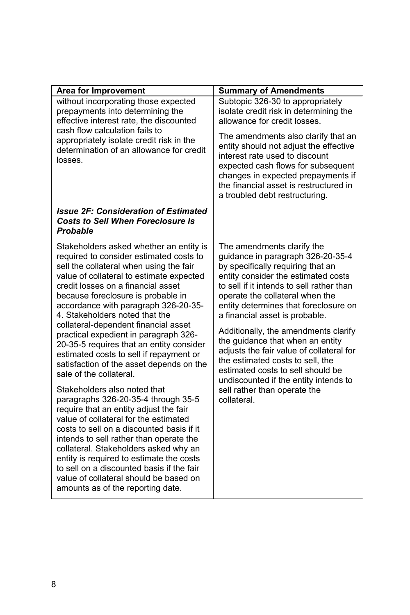| <b>Area for Improvement</b>                                                                                                                                                                                                                                                                                                                                                                                                                                     | <b>Summary of Amendments</b>                                                                                                                                                                                                                                                                           |
|-----------------------------------------------------------------------------------------------------------------------------------------------------------------------------------------------------------------------------------------------------------------------------------------------------------------------------------------------------------------------------------------------------------------------------------------------------------------|--------------------------------------------------------------------------------------------------------------------------------------------------------------------------------------------------------------------------------------------------------------------------------------------------------|
| without incorporating those expected<br>prepayments into determining the<br>effective interest rate, the discounted                                                                                                                                                                                                                                                                                                                                             | Subtopic 326-30 to appropriately<br>isolate credit risk in determining the<br>allowance for credit losses.                                                                                                                                                                                             |
| cash flow calculation fails to<br>appropriately isolate credit risk in the<br>determination of an allowance for credit<br>losses.                                                                                                                                                                                                                                                                                                                               | The amendments also clarify that an<br>entity should not adjust the effective<br>interest rate used to discount<br>expected cash flows for subsequent<br>changes in expected prepayments if<br>the financial asset is restructured in<br>a troubled debt restructuring.                                |
| <b>Issue 2F: Consideration of Estimated</b><br><b>Costs to Sell When Foreclosure Is</b><br>Probable                                                                                                                                                                                                                                                                                                                                                             |                                                                                                                                                                                                                                                                                                        |
| Stakeholders asked whether an entity is<br>required to consider estimated costs to<br>sell the collateral when using the fair<br>value of collateral to estimate expected<br>credit losses on a financial asset<br>because foreclosure is probable in<br>accordance with paragraph 326-20-35-<br>4. Stakeholders noted that the                                                                                                                                 | The amendments clarify the<br>guidance in paragraph 326-20-35-4<br>by specifically requiring that an<br>entity consider the estimated costs<br>to sell if it intends to sell rather than<br>operate the collateral when the<br>entity determines that foreclosure on<br>a financial asset is probable. |
| collateral-dependent financial asset<br>practical expedient in paragraph 326-<br>20-35-5 requires that an entity consider<br>estimated costs to sell if repayment or<br>satisfaction of the asset depends on the<br>sale of the collateral.                                                                                                                                                                                                                     | Additionally, the amendments clarify<br>the guidance that when an entity<br>adjusts the fair value of collateral for<br>the estimated costs to sell, the<br>estimated costs to sell should be<br>undiscounted if the entity intends to                                                                 |
| Stakeholders also noted that<br>paragraphs 326-20-35-4 through 35-5<br>require that an entity adjust the fair<br>value of collateral for the estimated<br>costs to sell on a discounted basis if it<br>intends to sell rather than operate the<br>collateral. Stakeholders asked why an<br>entity is required to estimate the costs<br>to sell on a discounted basis if the fair<br>value of collateral should be based on<br>amounts as of the reporting date. | sell rather than operate the<br>collateral.                                                                                                                                                                                                                                                            |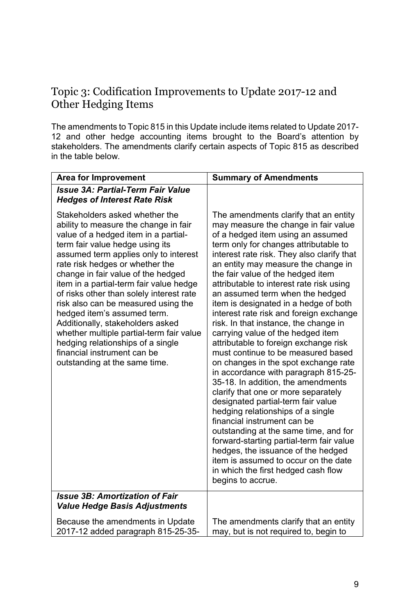### Topic 3: Codification Improvements to Update 2017-12 and Other Hedging Items

The amendments to Topic 815 in this Update include items related to Update 2017- 12 and other hedge accounting items brought to the Board's attention by stakeholders. The amendments clarify certain aspects of Topic 815 as described in the table below.

| <b>Area for Improvement</b>                                                                                                                                                                                                                                                                                                                                                                                                                                                                                                                                                                                            | <b>Summary of Amendments</b>                                                                                                                                                                                                                                                                                                                                                                                                                                                                                                                                                                                                                                                                                                                                                                                                                                                                                                                                                                                                                                                                                                |
|------------------------------------------------------------------------------------------------------------------------------------------------------------------------------------------------------------------------------------------------------------------------------------------------------------------------------------------------------------------------------------------------------------------------------------------------------------------------------------------------------------------------------------------------------------------------------------------------------------------------|-----------------------------------------------------------------------------------------------------------------------------------------------------------------------------------------------------------------------------------------------------------------------------------------------------------------------------------------------------------------------------------------------------------------------------------------------------------------------------------------------------------------------------------------------------------------------------------------------------------------------------------------------------------------------------------------------------------------------------------------------------------------------------------------------------------------------------------------------------------------------------------------------------------------------------------------------------------------------------------------------------------------------------------------------------------------------------------------------------------------------------|
| <b>Issue 3A: Partial-Term Fair Value</b><br><b>Hedges of Interest Rate Risk</b>                                                                                                                                                                                                                                                                                                                                                                                                                                                                                                                                        |                                                                                                                                                                                                                                                                                                                                                                                                                                                                                                                                                                                                                                                                                                                                                                                                                                                                                                                                                                                                                                                                                                                             |
| Stakeholders asked whether the<br>ability to measure the change in fair<br>value of a hedged item in a partial-<br>term fair value hedge using its<br>assumed term applies only to interest<br>rate risk hedges or whether the<br>change in fair value of the hedged<br>item in a partial-term fair value hedge<br>of risks other than solely interest rate<br>risk also can be measured using the<br>hedged item's assumed term.<br>Additionally, stakeholders asked<br>whether multiple partial-term fair value<br>hedging relationships of a single<br>financial instrument can be<br>outstanding at the same time. | The amendments clarify that an entity<br>may measure the change in fair value<br>of a hedged item using an assumed<br>term only for changes attributable to<br>interest rate risk. They also clarify that<br>an entity may measure the change in<br>the fair value of the hedged item<br>attributable to interest rate risk using<br>an assumed term when the hedged<br>item is designated in a hedge of both<br>interest rate risk and foreign exchange<br>risk. In that instance, the change in<br>carrying value of the hedged item<br>attributable to foreign exchange risk<br>must continue to be measured based<br>on changes in the spot exchange rate<br>in accordance with paragraph 815-25-<br>35-18. In addition, the amendments<br>clarify that one or more separately<br>designated partial-term fair value<br>hedging relationships of a single<br>financial instrument can be<br>outstanding at the same time, and for<br>forward-starting partial-term fair value<br>hedges, the issuance of the hedged<br>item is assumed to occur on the date<br>in which the first hedged cash flow<br>begins to accrue. |
| <b>Issue 3B: Amortization of Fair</b><br><b>Value Hedge Basis Adjustments</b>                                                                                                                                                                                                                                                                                                                                                                                                                                                                                                                                          |                                                                                                                                                                                                                                                                                                                                                                                                                                                                                                                                                                                                                                                                                                                                                                                                                                                                                                                                                                                                                                                                                                                             |
| Because the amendments in Update<br>2017-12 added paragraph 815-25-35-                                                                                                                                                                                                                                                                                                                                                                                                                                                                                                                                                 | The amendments clarify that an entity<br>may, but is not required to, begin to                                                                                                                                                                                                                                                                                                                                                                                                                                                                                                                                                                                                                                                                                                                                                                                                                                                                                                                                                                                                                                              |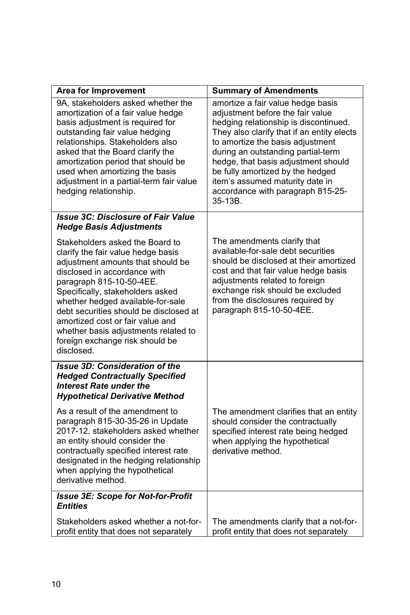| <b>Area for Improvement</b>                                                                                                                                                                                                                                                                                                                                                                                            | <b>Summary of Amendments</b>                                                                                                                                                                                                                                                                                                                                                                         |
|------------------------------------------------------------------------------------------------------------------------------------------------------------------------------------------------------------------------------------------------------------------------------------------------------------------------------------------------------------------------------------------------------------------------|------------------------------------------------------------------------------------------------------------------------------------------------------------------------------------------------------------------------------------------------------------------------------------------------------------------------------------------------------------------------------------------------------|
| 9A, stakeholders asked whether the<br>amortization of a fair value hedge<br>basis adjustment is required for<br>outstanding fair value hedging<br>relationships. Stakeholders also<br>asked that the Board clarify the<br>amortization period that should be<br>used when amortizing the basis<br>adjustment in a partial-term fair value<br>hedging relationship.                                                     | amortize a fair value hedge basis<br>adjustment before the fair value<br>hedging relationship is discontinued.<br>They also clarify that if an entity elects<br>to amortize the basis adjustment<br>during an outstanding partial-term<br>hedge, that basis adjustment should<br>be fully amortized by the hedged<br>item's assumed maturity date in<br>accordance with paragraph 815-25-<br>35-13B. |
| <b>Issue 3C: Disclosure of Fair Value</b><br><b>Hedge Basis Adjustments</b>                                                                                                                                                                                                                                                                                                                                            |                                                                                                                                                                                                                                                                                                                                                                                                      |
| Stakeholders asked the Board to<br>clarify the fair value hedge basis<br>adjustment amounts that should be<br>disclosed in accordance with<br>paragraph 815-10-50-4EE.<br>Specifically, stakeholders asked<br>whether hedged available-for-sale<br>debt securities should be disclosed at<br>amortized cost or fair value and<br>whether basis adjustments related to<br>foreign exchange risk should be<br>disclosed. | The amendments clarify that<br>available-for-sale debt securities<br>should be disclosed at their amortized<br>cost and that fair value hedge basis<br>adjustments related to foreign<br>exchange risk should be excluded<br>from the disclosures required by<br>paragraph 815-10-50-4EE.                                                                                                            |
| <b>Issue 3D: Consideration of the</b><br><b>Hedged Contractually Specified</b><br><b>Interest Rate under the</b><br><b>Hypothetical Derivative Method</b>                                                                                                                                                                                                                                                              |                                                                                                                                                                                                                                                                                                                                                                                                      |
| As a result of the amendment to<br>paragraph 815-30-35-26 in Update<br>2017-12, stakeholders asked whether<br>an entity should consider the<br>contractually specified interest rate<br>designated in the hedging relationship<br>when applying the hypothetical<br>derivative method.                                                                                                                                 | The amendment clarifies that an entity<br>should consider the contractually<br>specified interest rate being hedged<br>when applying the hypothetical<br>derivative method.                                                                                                                                                                                                                          |
| <b>Issue 3E: Scope for Not-for-Profit</b><br><b>Entities</b>                                                                                                                                                                                                                                                                                                                                                           |                                                                                                                                                                                                                                                                                                                                                                                                      |
| Stakeholders asked whether a not-for-<br>profit entity that does not separately                                                                                                                                                                                                                                                                                                                                        | The amendments clarify that a not-for-<br>profit entity that does not separately                                                                                                                                                                                                                                                                                                                     |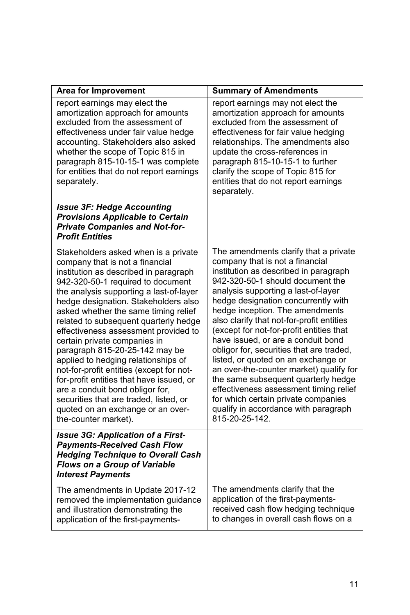| <b>Area for Improvement</b>                                                                                                                                                                                                                                                                                                                                                                                                                                                                                                                                                                                                                                                                                  | <b>Summary of Amendments</b>                                                                                                                                                                                                                                                                                                                                                                                                                                                                                                                                                                                                                                                                                          |
|--------------------------------------------------------------------------------------------------------------------------------------------------------------------------------------------------------------------------------------------------------------------------------------------------------------------------------------------------------------------------------------------------------------------------------------------------------------------------------------------------------------------------------------------------------------------------------------------------------------------------------------------------------------------------------------------------------------|-----------------------------------------------------------------------------------------------------------------------------------------------------------------------------------------------------------------------------------------------------------------------------------------------------------------------------------------------------------------------------------------------------------------------------------------------------------------------------------------------------------------------------------------------------------------------------------------------------------------------------------------------------------------------------------------------------------------------|
| report earnings may elect the<br>amortization approach for amounts<br>excluded from the assessment of<br>effectiveness under fair value hedge<br>accounting. Stakeholders also asked<br>whether the scope of Topic 815 in<br>paragraph 815-10-15-1 was complete<br>for entities that do not report earnings<br>separately.                                                                                                                                                                                                                                                                                                                                                                                   | report earnings may not elect the<br>amortization approach for amounts<br>excluded from the assessment of<br>effectiveness for fair value hedging<br>relationships. The amendments also<br>update the cross-references in<br>paragraph 815-10-15-1 to further<br>clarify the scope of Topic 815 for<br>entities that do not report earnings<br>separately.                                                                                                                                                                                                                                                                                                                                                            |
| <b>Issue 3F: Hedge Accounting</b><br><b>Provisions Applicable to Certain</b><br><b>Private Companies and Not-for-</b><br><b>Profit Entities</b>                                                                                                                                                                                                                                                                                                                                                                                                                                                                                                                                                              |                                                                                                                                                                                                                                                                                                                                                                                                                                                                                                                                                                                                                                                                                                                       |
| Stakeholders asked when is a private<br>company that is not a financial<br>institution as described in paragraph<br>942-320-50-1 required to document<br>the analysis supporting a last-of-layer<br>hedge designation. Stakeholders also<br>asked whether the same timing relief<br>related to subsequent quarterly hedge<br>effectiveness assessment provided to<br>certain private companies in<br>paragraph 815-20-25-142 may be<br>applied to hedging relationships of<br>not-for-profit entities (except for not-<br>for-profit entities that have issued, or<br>are a conduit bond obligor for,<br>securities that are traded, listed, or<br>quoted on an exchange or an over-<br>the-counter market). | The amendments clarify that a private<br>company that is not a financial<br>institution as described in paragraph<br>942-320-50-1 should document the<br>analysis supporting a last-of-layer<br>hedge designation concurrently with<br>hedge inception. The amendments<br>also clarify that not-for-profit entities<br>(except for not-for-profit entities that<br>have issued, or are a conduit bond<br>obligor for, securities that are traded,<br>listed, or quoted on an exchange or<br>an over-the-counter market) qualify for<br>the same subsequent quarterly hedge<br>effectiveness assessment timing relief<br>for which certain private companies<br>qualify in accordance with paragraph<br>815-20-25-142. |
| <b>Issue 3G: Application of a First-</b><br><b>Payments-Received Cash Flow</b><br><b>Hedging Technique to Overall Cash</b><br>Flows on a Group of Variable<br><b>Interest Payments</b>                                                                                                                                                                                                                                                                                                                                                                                                                                                                                                                       |                                                                                                                                                                                                                                                                                                                                                                                                                                                                                                                                                                                                                                                                                                                       |
| The amendments in Update 2017-12<br>removed the implementation guidance<br>and illustration demonstrating the<br>application of the first-payments-                                                                                                                                                                                                                                                                                                                                                                                                                                                                                                                                                          | The amendments clarify that the<br>application of the first-payments-<br>received cash flow hedging technique<br>to changes in overall cash flows on a                                                                                                                                                                                                                                                                                                                                                                                                                                                                                                                                                                |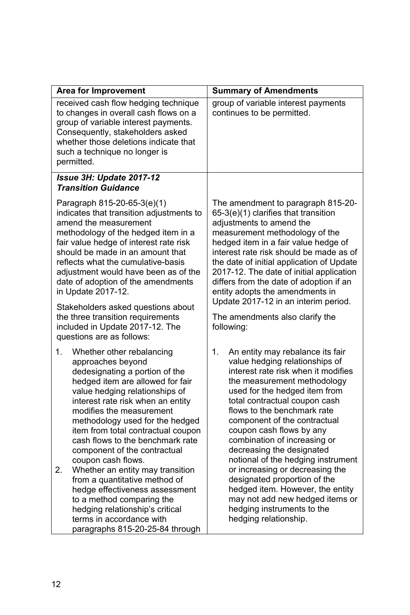| <b>Area for Improvement</b>                                                                                                                                                                                                                                                                                                                                                                           | <b>Summary of Amendments</b>                                                                                                                                                                                                                                                                                                                                                                                                               |  |
|-------------------------------------------------------------------------------------------------------------------------------------------------------------------------------------------------------------------------------------------------------------------------------------------------------------------------------------------------------------------------------------------------------|--------------------------------------------------------------------------------------------------------------------------------------------------------------------------------------------------------------------------------------------------------------------------------------------------------------------------------------------------------------------------------------------------------------------------------------------|--|
| received cash flow hedging technique<br>to changes in overall cash flows on a<br>group of variable interest payments.<br>Consequently, stakeholders asked<br>whether those deletions indicate that<br>such a technique no longer is<br>permitted.                                                                                                                                                     | group of variable interest payments<br>continues to be permitted.                                                                                                                                                                                                                                                                                                                                                                          |  |
| Issue 3H: Update 2017-12<br><b>Transition Guidance</b>                                                                                                                                                                                                                                                                                                                                                |                                                                                                                                                                                                                                                                                                                                                                                                                                            |  |
| Paragraph 815-20-65-3(e)(1)<br>indicates that transition adjustments to<br>amend the measurement<br>methodology of the hedged item in a<br>fair value hedge of interest rate risk<br>should be made in an amount that<br>reflects what the cumulative-basis<br>adjustment would have been as of the<br>date of adoption of the amendments<br>in Update 2017-12.<br>Stakeholders asked questions about | The amendment to paragraph 815-20-<br>65-3(e)(1) clarifies that transition<br>adjustments to amend the<br>measurement methodology of the<br>hedged item in a fair value hedge of<br>interest rate risk should be made as of<br>the date of initial application of Update<br>2017-12. The date of initial application<br>differs from the date of adoption if an<br>entity adopts the amendments in<br>Update 2017-12 in an interim period. |  |
| the three transition requirements<br>included in Update 2017-12. The<br>questions are as follows:                                                                                                                                                                                                                                                                                                     | The amendments also clarify the<br>following:                                                                                                                                                                                                                                                                                                                                                                                              |  |
| 1.<br>Whether other rebalancing<br>approaches beyond<br>dedesignating a portion of the<br>hedged item are allowed for fair<br>value hedging relationships of<br>interest rate risk when an entity<br>modifies the measurement<br>methodology used for the hedged<br>item from total contractual coupon<br>cash flows to the benchmark rate<br>component of the contractual<br>coupon cash flows.      | 1.<br>An entity may rebalance its fair<br>value hedging relationships of<br>interest rate risk when it modifies<br>the measurement methodology<br>used for the hedged item from<br>total contractual coupon cash<br>flows to the benchmark rate<br>component of the contractual<br>coupon cash flows by any<br>combination of increasing or<br>decreasing the designated<br>notional of the hedging instrument                             |  |
| 2.<br>Whether an entity may transition<br>from a quantitative method of<br>hedge effectiveness assessment<br>to a method comparing the<br>hedging relationship's critical<br>terms in accordance with<br>paragraphs 815-20-25-84 through                                                                                                                                                              | or increasing or decreasing the<br>designated proportion of the<br>hedged item. However, the entity<br>may not add new hedged items or<br>hedging instruments to the<br>hedging relationship.                                                                                                                                                                                                                                              |  |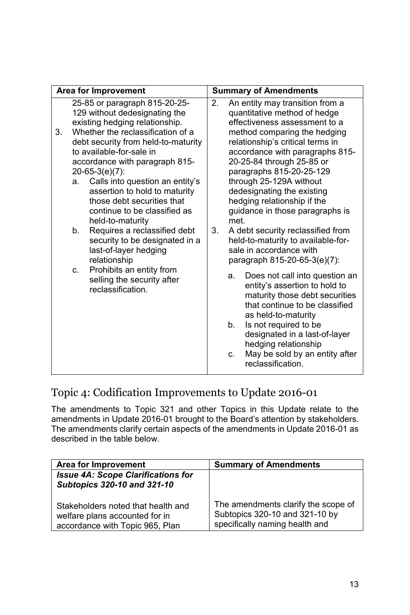| Area for Improvement |                     | <b>Summary of Amendments</b>                                                                                                                                                                                                                                                                                                                                                                                                                                                                                                                                                                                    |          |                                                                                                                                                                                                                                                                                                                                                                                                                                                                                                                                                                                                                                                                                                                                                                                                                                                                    |
|----------------------|---------------------|-----------------------------------------------------------------------------------------------------------------------------------------------------------------------------------------------------------------------------------------------------------------------------------------------------------------------------------------------------------------------------------------------------------------------------------------------------------------------------------------------------------------------------------------------------------------------------------------------------------------|----------|--------------------------------------------------------------------------------------------------------------------------------------------------------------------------------------------------------------------------------------------------------------------------------------------------------------------------------------------------------------------------------------------------------------------------------------------------------------------------------------------------------------------------------------------------------------------------------------------------------------------------------------------------------------------------------------------------------------------------------------------------------------------------------------------------------------------------------------------------------------------|
| 3.                   | a.<br>b.<br>$C_{-}$ | 25-85 or paragraph 815-20-25-<br>129 without dedesignating the<br>existing hedging relationship.<br>Whether the reclassification of a<br>debt security from held-to-maturity<br>to available-for-sale in<br>accordance with paragraph 815-<br>$20-65-3(e)(7)$ :<br>Calls into question an entity's<br>assertion to hold to maturity<br>those debt securities that<br>continue to be classified as<br>held-to-maturity<br>Requires a reclassified debt<br>security to be designated in a<br>last-of-layer hedging<br>relationship<br>Prohibits an entity from<br>selling the security after<br>reclassification. | 2.<br>3. | An entity may transition from a<br>quantitative method of hedge<br>effectiveness assessment to a<br>method comparing the hedging<br>relationship's critical terms in<br>accordance with paragraphs 815-<br>20-25-84 through 25-85 or<br>paragraphs 815-20-25-129<br>through 25-129A without<br>dedesignating the existing<br>hedging relationship if the<br>guidance in those paragraphs is<br>met.<br>A debt security reclassified from<br>held-to-maturity to available-for-<br>sale in accordance with<br>paragraph 815-20-65-3(e)(7):<br>Does not call into question an<br>a.<br>entity's assertion to hold to<br>maturity those debt securities<br>that continue to be classified<br>as held-to-maturity<br>Is not required to be<br>b.<br>designated in a last-of-layer<br>hedging relationship<br>May be sold by an entity after<br>C.<br>reclassification. |

## Topic 4: Codification Improvements to Update 2016-01

The amendments to Topic 321 and other Topics in this Update relate to the amendments in Update 2016-01 brought to the Board's attention by stakeholders. The amendments clarify certain aspects of the amendments in Update 2016-01 as described in the table below.

| Area for Improvement                                                                                    | <b>Summary of Amendments</b>                                                                            |
|---------------------------------------------------------------------------------------------------------|---------------------------------------------------------------------------------------------------------|
| <b>Issue 4A: Scope Clarifications for</b><br>Subtopics 320-10 and 321-10                                |                                                                                                         |
| Stakeholders noted that health and<br>welfare plans accounted for in<br>accordance with Topic 965, Plan | The amendments clarify the scope of<br>Subtopics 320-10 and 321-10 by<br>specifically naming health and |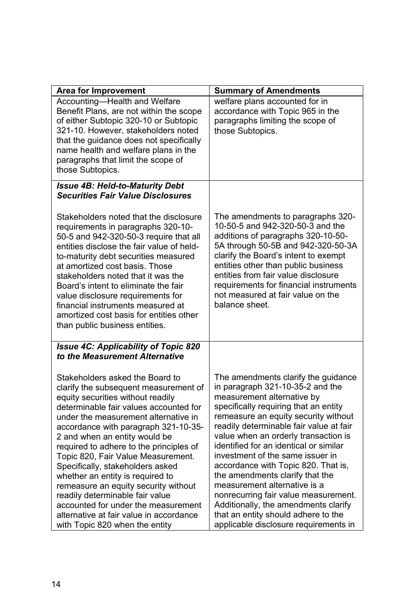| <b>Area for Improvement</b>                                                                                                                                                                                                                                                                                                                                                                                                                                                                                                                                                                                                      | <b>Summary of Amendments</b>                                                                                                                                                                                                                                                                                                                                                                                                                                                                                                                                                                                                      |
|----------------------------------------------------------------------------------------------------------------------------------------------------------------------------------------------------------------------------------------------------------------------------------------------------------------------------------------------------------------------------------------------------------------------------------------------------------------------------------------------------------------------------------------------------------------------------------------------------------------------------------|-----------------------------------------------------------------------------------------------------------------------------------------------------------------------------------------------------------------------------------------------------------------------------------------------------------------------------------------------------------------------------------------------------------------------------------------------------------------------------------------------------------------------------------------------------------------------------------------------------------------------------------|
| Accounting-Health and Welfare<br>Benefit Plans, are not within the scope<br>of either Subtopic 320-10 or Subtopic<br>321-10. However, stakeholders noted<br>that the guidance does not specifically<br>name health and welfare plans in the<br>paragraphs that limit the scope of<br>those Subtopics.                                                                                                                                                                                                                                                                                                                            | welfare plans accounted for in<br>accordance with Topic 965 in the<br>paragraphs limiting the scope of<br>those Subtopics.                                                                                                                                                                                                                                                                                                                                                                                                                                                                                                        |
| <b>Issue 4B: Held-to-Maturity Debt</b><br><b>Securities Fair Value Disclosures</b>                                                                                                                                                                                                                                                                                                                                                                                                                                                                                                                                               |                                                                                                                                                                                                                                                                                                                                                                                                                                                                                                                                                                                                                                   |
| Stakeholders noted that the disclosure<br>requirements in paragraphs 320-10-<br>50-5 and 942-320-50-3 require that all<br>entities disclose the fair value of held-<br>to-maturity debt securities measured<br>at amortized cost basis. Those<br>stakeholders noted that it was the<br>Board's intent to eliminate the fair<br>value disclosure requirements for<br>financial instruments measured at<br>amortized cost basis for entities other<br>than public business entities.                                                                                                                                               | The amendments to paragraphs 320-<br>10-50-5 and 942-320-50-3 and the<br>additions of paragraphs 320-10-50-<br>5A through 50-5B and 942-320-50-3A<br>clarify the Board's intent to exempt<br>entities other than public business<br>entities from fair value disclosure<br>requirements for financial instruments<br>not measured at fair value on the<br>balance sheet.                                                                                                                                                                                                                                                          |
| <b>Issue 4C: Applicability of Topic 820</b><br>to the Measurement Alternative                                                                                                                                                                                                                                                                                                                                                                                                                                                                                                                                                    |                                                                                                                                                                                                                                                                                                                                                                                                                                                                                                                                                                                                                                   |
| Stakeholders asked the Board to<br>clarify the subsequent measurement of<br>equity securities without readily<br>determinable fair values accounted for<br>under the measurement alternative in<br>accordance with paragraph 321-10-35-<br>2 and when an entity would be<br>required to adhere to the principles of<br>Topic 820, Fair Value Measurement.<br>Specifically, stakeholders asked<br>whether an entity is required to<br>remeasure an equity security without<br>readily determinable fair value<br>accounted for under the measurement<br>alternative at fair value in accordance<br>with Topic 820 when the entity | The amendments clarify the guidance<br>in paragraph 321-10-35-2 and the<br>measurement alternative by<br>specifically requiring that an entity<br>remeasure an equity security without<br>readily determinable fair value at fair<br>value when an orderly transaction is<br>identified for an identical or similar<br>investment of the same issuer in<br>accordance with Topic 820. That is,<br>the amendments clarify that the<br>measurement alternative is a<br>nonrecurring fair value measurement.<br>Additionally, the amendments clarify<br>that an entity should adhere to the<br>applicable disclosure requirements in |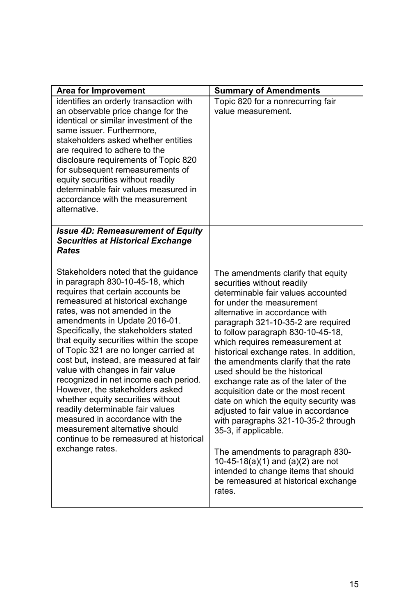| <b>Area for Improvement</b>                                                                                                                                                                                                                                                                                                                                                                                                                                                                                                                                                                                                                                                                                              | <b>Summary of Amendments</b>                                                                                                                                                                                                                                                                                                                                                                                                                                                                                                                                                                                                                                                                                                                                                                              |
|--------------------------------------------------------------------------------------------------------------------------------------------------------------------------------------------------------------------------------------------------------------------------------------------------------------------------------------------------------------------------------------------------------------------------------------------------------------------------------------------------------------------------------------------------------------------------------------------------------------------------------------------------------------------------------------------------------------------------|-----------------------------------------------------------------------------------------------------------------------------------------------------------------------------------------------------------------------------------------------------------------------------------------------------------------------------------------------------------------------------------------------------------------------------------------------------------------------------------------------------------------------------------------------------------------------------------------------------------------------------------------------------------------------------------------------------------------------------------------------------------------------------------------------------------|
| identifies an orderly transaction with<br>an observable price change for the<br>identical or similar investment of the<br>same issuer. Furthermore,<br>stakeholders asked whether entities<br>are required to adhere to the<br>disclosure requirements of Topic 820<br>for subsequent remeasurements of<br>equity securities without readily<br>determinable fair values measured in<br>accordance with the measurement<br>alternative.                                                                                                                                                                                                                                                                                  | Topic 820 for a nonrecurring fair<br>value measurement.                                                                                                                                                                                                                                                                                                                                                                                                                                                                                                                                                                                                                                                                                                                                                   |
| <b>Issue 4D: Remeasurement of Equity</b><br><b>Securities at Historical Exchange</b><br>Rates                                                                                                                                                                                                                                                                                                                                                                                                                                                                                                                                                                                                                            |                                                                                                                                                                                                                                                                                                                                                                                                                                                                                                                                                                                                                                                                                                                                                                                                           |
| Stakeholders noted that the guidance<br>in paragraph 830-10-45-18, which<br>requires that certain accounts be<br>remeasured at historical exchange<br>rates, was not amended in the<br>amendments in Update 2016-01.<br>Specifically, the stakeholders stated<br>that equity securities within the scope<br>of Topic 321 are no longer carried at<br>cost but, instead, are measured at fair<br>value with changes in fair value<br>recognized in net income each period.<br>However, the stakeholders asked<br>whether equity securities without<br>readily determinable fair values<br>measured in accordance with the<br>measurement alternative should<br>continue to be remeasured at historical<br>exchange rates. | The amendments clarify that equity<br>securities without readily<br>determinable fair values accounted<br>for under the measurement<br>alternative in accordance with<br>paragraph 321-10-35-2 are required<br>to follow paragraph 830-10-45-18,<br>which requires remeasurement at<br>historical exchange rates. In addition,<br>the amendments clarify that the rate<br>used should be the historical<br>exchange rate as of the later of the<br>acquisition date or the most recent<br>date on which the equity security was<br>adjusted to fair value in accordance<br>with paragraphs 321-10-35-2 through<br>35-3, if applicable.<br>The amendments to paragraph 830-<br>10-45-18(a)(1) and (a)(2) are not<br>intended to change items that should<br>be remeasured at historical exchange<br>rates. |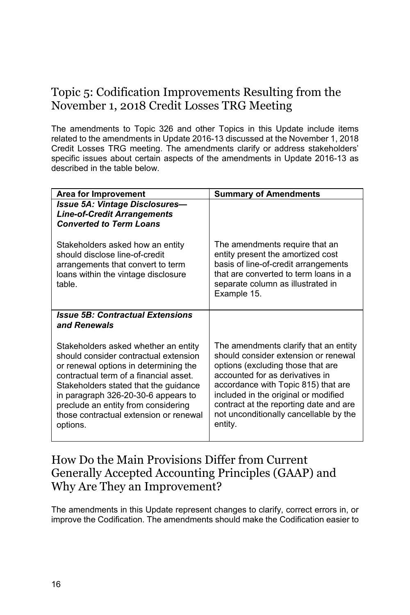# Topic 5: Codification Improvements Resulting from the November 1, 2018 Credit Losses TRG Meeting

The amendments to Topic 326 and other Topics in this Update include items related to the amendments in Update 2016-13 discussed at the November 1, 2018 Credit Losses TRG meeting. The amendments clarify or address stakeholders' specific issues about certain aspects of the amendments in Update 2016-13 as described in the table below.

| Area for Improvement                                                                                                                                                                                                                                                                                                                          | <b>Summary of Amendments</b>                                                                                                                                                                                                                                                                                                        |
|-----------------------------------------------------------------------------------------------------------------------------------------------------------------------------------------------------------------------------------------------------------------------------------------------------------------------------------------------|-------------------------------------------------------------------------------------------------------------------------------------------------------------------------------------------------------------------------------------------------------------------------------------------------------------------------------------|
| <b>Issue 5A: Vintage Disclosures-</b><br><b>Line-of-Credit Arrangements</b><br><b>Converted to Term Loans</b>                                                                                                                                                                                                                                 |                                                                                                                                                                                                                                                                                                                                     |
| Stakeholders asked how an entity<br>should disclose line-of-credit<br>arrangements that convert to term<br>loans within the vintage disclosure<br>table.                                                                                                                                                                                      | The amendments require that an<br>entity present the amortized cost<br>basis of line-of-credit arrangements<br>that are converted to term loans in a<br>separate column as illustrated in<br>Example 15.                                                                                                                            |
| <b>Issue 5B: Contractual Extensions</b><br>and Renewals                                                                                                                                                                                                                                                                                       |                                                                                                                                                                                                                                                                                                                                     |
| Stakeholders asked whether an entity<br>should consider contractual extension<br>or renewal options in determining the<br>contractual term of a financial asset.<br>Stakeholders stated that the guidance<br>in paragraph 326-20-30-6 appears to<br>preclude an entity from considering<br>those contractual extension or renewal<br>options. | The amendments clarify that an entity<br>should consider extension or renewal<br>options (excluding those that are<br>accounted for as derivatives in<br>accordance with Topic 815) that are<br>included in the original or modified<br>contract at the reporting date and are<br>not unconditionally cancellable by the<br>entity. |

### How Do the Main Provisions Differ from Current Generally Accepted Accounting Principles (GAAP) and Why Are They an Improvement?

The amendments in this Update represent changes to clarify, correct errors in, or improve the Codification. The amendments should make the Codification easier to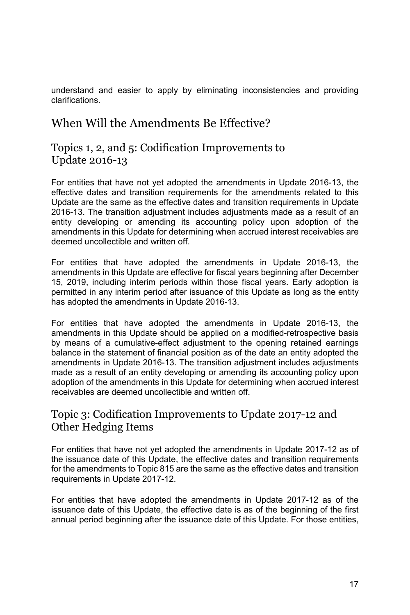understand and easier to apply by eliminating inconsistencies and providing clarifications.

### When Will the Amendments Be Effective?

### Topics 1, 2, and 5: Codification Improvements to Update 2016-13

For entities that have not yet adopted the amendments in Update 2016-13, the effective dates and transition requirements for the amendments related to this Update are the same as the effective dates and transition requirements in Update 2016-13. The transition adjustment includes adjustments made as a result of an entity developing or amending its accounting policy upon adoption of the amendments in this Update for determining when accrued interest receivables are deemed uncollectible and written off.

For entities that have adopted the amendments in Update 2016-13, the amendments in this Update are effective for fiscal years beginning after December 15, 2019, including interim periods within those fiscal years. Early adoption is permitted in any interim period after issuance of this Update as long as the entity has adopted the amendments in Update 2016-13.

For entities that have adopted the amendments in Update 2016-13, the amendments in this Update should be applied on a modified-retrospective basis by means of a cumulative-effect adjustment to the opening retained earnings balance in the statement of financial position as of the date an entity adopted the amendments in Update 2016-13. The transition adjustment includes adjustments made as a result of an entity developing or amending its accounting policy upon adoption of the amendments in this Update for determining when accrued interest receivables are deemed uncollectible and written off.

### Topic 3: Codification Improvements to Update 2017-12 and Other Hedging Items

For entities that have not yet adopted the amendments in Update 2017-12 as of the issuance date of this Update, the effective dates and transition requirements for the amendments to Topic 815 are the same as the effective dates and transition requirements in Update 2017-12.

For entities that have adopted the amendments in Update 2017-12 as of the issuance date of this Update, the effective date is as of the beginning of the first annual period beginning after the issuance date of this Update. For those entities,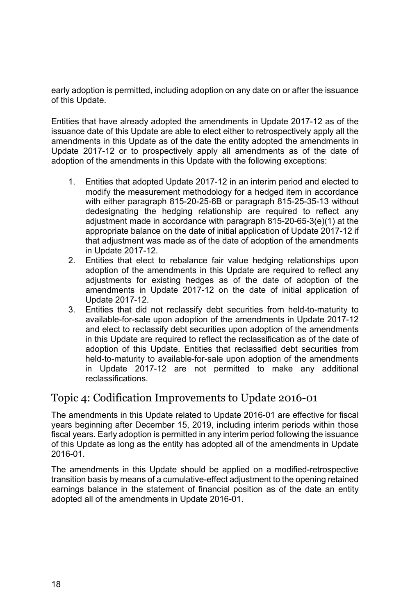early adoption is permitted, including adoption on any date on or after the issuance of this Update.

Entities that have already adopted the amendments in Update 2017-12 as of the issuance date of this Update are able to elect either to retrospectively apply all the amendments in this Update as of the date the entity adopted the amendments in Update 2017-12 or to prospectively apply all amendments as of the date of adoption of the amendments in this Update with the following exceptions:

- 1. Entities that adopted Update 2017-12 in an interim period and elected to modify the measurement methodology for a hedged item in accordance with either paragraph 815-20-25-6B or paragraph 815-25-35-13 without dedesignating the hedging relationship are required to reflect any adjustment made in accordance with paragraph 815-20-65-3(e)(1) at the appropriate balance on the date of initial application of Update 2017-12 if that adjustment was made as of the date of adoption of the amendments in Update 2017-12.
- 2. Entities that elect to rebalance fair value hedging relationships upon adoption of the amendments in this Update are required to reflect any adjustments for existing hedges as of the date of adoption of the amendments in Update 2017-12 on the date of initial application of Update 2017-12.
- 3. Entities that did not reclassify debt securities from held-to-maturity to available-for-sale upon adoption of the amendments in Update 2017-12 and elect to reclassify debt securities upon adoption of the amendments in this Update are required to reflect the reclassification as of the date of adoption of this Update. Entities that reclassified debt securities from held-to-maturity to available-for-sale upon adoption of the amendments in Update 2017-12 are not permitted to make any additional reclassifications.

### Topic 4: Codification Improvements to Update 2016-01

The amendments in this Update related to Update 2016-01 are effective for fiscal years beginning after December 15, 2019, including interim periods within those fiscal years. Early adoption is permitted in any interim period following the issuance of this Update as long as the entity has adopted all of the amendments in Update 2016-01.

The amendments in this Update should be applied on a modified-retrospective transition basis by means of a cumulative-effect adjustment to the opening retained earnings balance in the statement of financial position as of the date an entity adopted all of the amendments in Update 2016-01.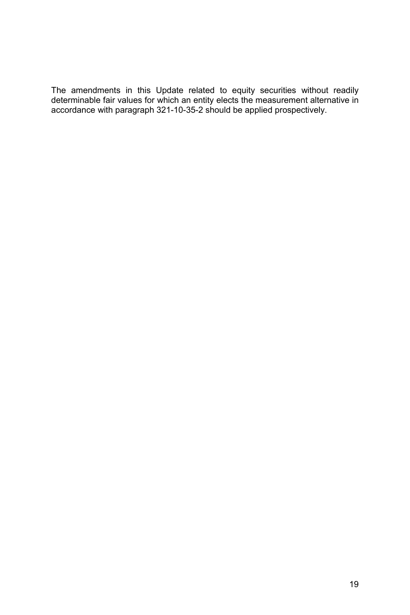The amendments in this Update related to equity securities without readily determinable fair values for which an entity elects the measurement alternative in accordance with paragraph 321-10-35-2 should be applied prospectively.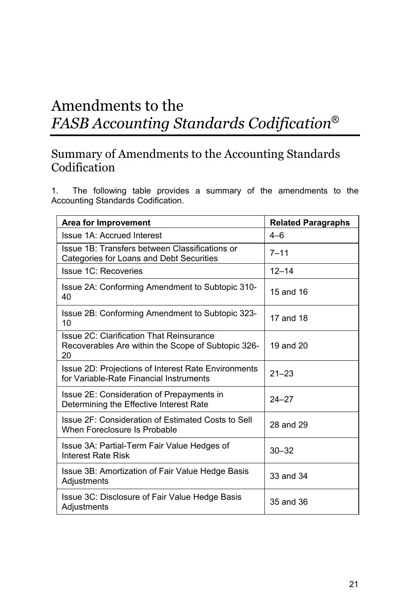# Amendments to the *FASB Accounting Standards Codification*®

## Summary of Amendments to the Accounting Standards Codification

1. The following table provides a summary of the amendments to the Accounting Standards Codification.

| <b>Area for Improvement</b>                                                                                 | <b>Related Paragraphs</b> |
|-------------------------------------------------------------------------------------------------------------|---------------------------|
| <b>Issue 1A: Accrued Interest</b>                                                                           | $4 - 6$                   |
| Issue 1B: Transfers between Classifications or<br>Categories for Loans and Debt Securities                  | $7 - 11$                  |
| <b>Issue 1C: Recoveries</b>                                                                                 | $12 - 14$                 |
| Issue 2A: Conforming Amendment to Subtopic 310-<br>40                                                       | 15 and 16                 |
| Issue 2B: Conforming Amendment to Subtopic 323-<br>10                                                       | 17 and 18                 |
| <b>Issue 2C: Clarification That Reinsurance</b><br>Recoverables Are within the Scope of Subtopic 326-<br>20 | 19 and 20                 |
| Issue 2D: Projections of Interest Rate Environments<br>for Variable-Rate Financial Instruments              | $21 - 23$                 |
| Issue 2E: Consideration of Prepayments in<br>Determining the Effective Interest Rate                        | $24 - 27$                 |
| Issue 2F: Consideration of Estimated Costs to Sell<br>When Foreclosure Is Probable                          | 28 and 29                 |
| Issue 3A: Partial-Term Fair Value Hedges of<br>Interest Rate Risk                                           | $30 - 32$                 |
| Issue 3B: Amortization of Fair Value Hedge Basis<br>Adjustments                                             | 33 and 34                 |
| Issue 3C: Disclosure of Fair Value Hedge Basis<br>Adjustments                                               | 35 and 36                 |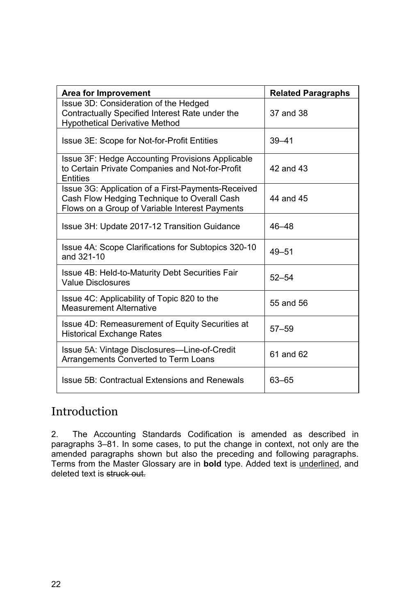| Area for Improvement                                                                                                                                | <b>Related Paragraphs</b> |
|-----------------------------------------------------------------------------------------------------------------------------------------------------|---------------------------|
| Issue 3D: Consideration of the Hedged<br>Contractually Specified Interest Rate under the<br><b>Hypothetical Derivative Method</b>                   | 37 and 38                 |
| Issue 3E: Scope for Not-for-Profit Entities                                                                                                         | $39 - 41$                 |
| Issue 3F: Hedge Accounting Provisions Applicable<br>to Certain Private Companies and Not-for-Profit<br>Entities                                     | 42 and 43                 |
| Issue 3G: Application of a First-Payments-Received<br>Cash Flow Hedging Technique to Overall Cash<br>Flows on a Group of Variable Interest Payments | 44 and 45                 |
| Issue 3H: Update 2017-12 Transition Guidance                                                                                                        | 46-48                     |
| Issue 4A: Scope Clarifications for Subtopics 320-10<br>and 321-10                                                                                   | $49 - 51$                 |
| Issue 4B: Held-to-Maturity Debt Securities Fair<br><b>Value Disclosures</b>                                                                         | $52 - 54$                 |
| Issue 4C: Applicability of Topic 820 to the<br><b>Measurement Alternative</b>                                                                       | 55 and 56                 |
| Issue 4D: Remeasurement of Equity Securities at<br><b>Historical Exchange Rates</b>                                                                 | $57 - 59$                 |
| Issue 5A: Vintage Disclosures-Line-of-Credit<br>Arrangements Converted to Term Loans                                                                | 61 and 62                 |
| Issue 5B: Contractual Extensions and Renewals                                                                                                       | 63-65                     |

## Introduction

2. The Accounting Standards Codification is amended as described in paragraphs 3–81. In some cases, to put the change in context, not only are the amended paragraphs shown but also the preceding and following paragraphs. Terms from the Master Glossary are in **bold** type. Added text is underlined, and deleted text is struck out.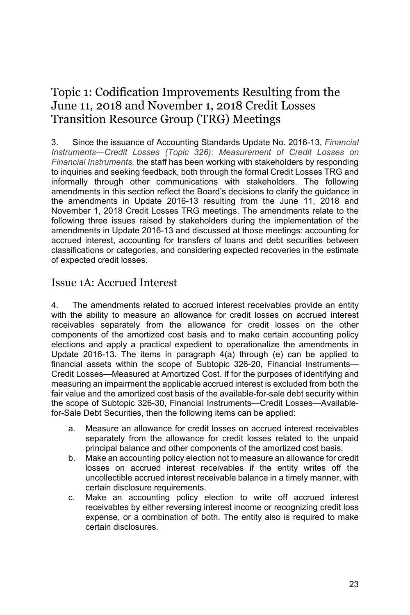# Topic 1: Codification Improvements Resulting from the June 11, 2018 and November 1, 2018 Credit Losses Transition Resource Group (TRG) Meetings

3. Since the issuance of Accounting Standards Update No. 2016-13, *Financial Instruments—Credit Losses (Topic 326): Measurement of Credit Losses on Financial Instruments,* the staff has been working with stakeholders by responding to inquiries and seeking feedback, both through the formal Credit Losses TRG and informally through other communications with stakeholders. The following amendments in this section reflect the Board's decisions to clarify the guidance in the amendments in Update 2016-13 resulting from the June 11, 2018 and November 1, 2018 Credit Losses TRG meetings. The amendments relate to the following three issues raised by stakeholders during the implementation of the amendments in Update 2016-13 and discussed at those meetings: accounting for accrued interest, accounting for transfers of loans and debt securities between classifications or categories, and considering expected recoveries in the estimate of expected credit losses.

### Issue 1A: Accrued Interest

4. The amendments related to accrued interest receivables provide an entity with the ability to measure an allowance for credit losses on accrued interest receivables separately from the allowance for credit losses on the other components of the amortized cost basis and to make certain accounting policy elections and apply a practical expedient to operationalize the amendments in Update 2016-13. The items in paragraph 4(a) through (e) can be applied to financial assets within the scope of Subtopic 326-20, Financial Instruments— Credit Losses—Measured at Amortized Cost. If for the purposes of identifying and measuring an impairment the applicable accrued interest is excluded from both the fair value and the amortized cost basis of the available-for-sale debt security within the scope of Subtopic 326-30, Financial Instruments—Credit Losses—Availablefor-Sale Debt Securities, then the following items can be applied:

- a. Measure an allowance for credit losses on accrued interest receivables separately from the allowance for credit losses related to the unpaid principal balance and other components of the amortized cost basis.
- b. Make an accounting policy election not to measure an allowance for credit losses on accrued interest receivables if the entity writes off the uncollectible accrued interest receivable balance in a timely manner, with certain disclosure requirements.
- c. Make an accounting policy election to write off accrued interest receivables by either reversing interest income or recognizing credit loss expense, or a combination of both. The entity also is required to make certain disclosures.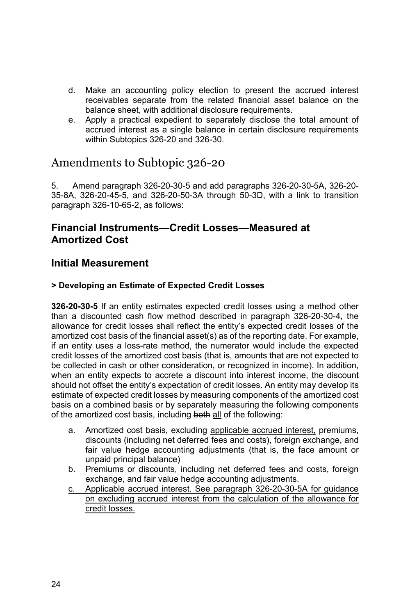- d. Make an accounting policy election to present the accrued interest receivables separate from the related financial asset balance on the balance sheet, with additional disclosure requirements.
- e. Apply a practical expedient to separately disclose the total amount of accrued interest as a single balance in certain disclosure requirements within Subtopics 326-20 and 326-30.

### Amendments to Subtopic 326-20

5. Amend paragraph 326-20-30-5 and add paragraphs 326-20-30-5A, 326-20- 35-8A, 326-20-45-5, and 326-20-50-3A through 50-3D, with a link to transition paragraph 326-10-65-2, as follows:

#### **Financial Instruments—Credit Losses—Measured at Amortized Cost**

### **Initial Measurement**

#### **> Developing an Estimate of Expected Credit Losses**

**326-20-30-5** If an entity estimates expected credit losses using a method other than a discounted cash flow method described in paragraph 326-20-30-4, the allowance for credit losses shall reflect the entity's expected credit losses of the amortized cost basis of the financial asset(s) as of the reporting date. For example, if an entity uses a loss-rate method, the numerator would include the expected credit losses of the amortized cost basis (that is, amounts that are not expected to be collected in cash or other consideration, or recognized in income). In addition, when an entity expects to accrete a discount into interest income, the discount should not offset the entity's expectation of credit losses. An entity may develop its estimate of expected credit losses by measuring components of the amortized cost basis on a combined basis or by separately measuring the following components of the amortized cost basis, including both all of the following:

- a. Amortized cost basis, excluding applicable accrued interest, premiums, discounts (including net deferred fees and costs), foreign exchange, and fair value hedge accounting adjustments (that is, the face amount or unpaid principal balance)
- b. Premiums or discounts, including net deferred fees and costs, foreign exchange, and fair value hedge accounting adjustments.
- c. Applicable accrued interest. See paragraph 326-20-30-5A for guidance on excluding accrued interest from the calculation of the allowance for credit losses.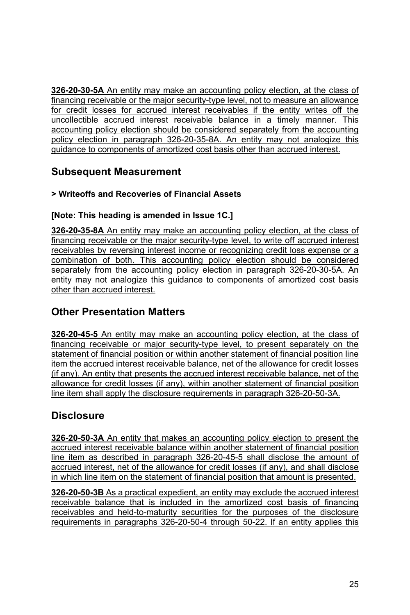**326-20-30-5A** An entity may make an accounting policy election, at the class of financing receivable or the major security-type level, not to measure an allowance for credit losses for accrued interest receivables if the entity writes off the uncollectible accrued interest receivable balance in a timely manner. This accounting policy election should be considered separately from the accounting policy election in paragraph 326-20-35-8A. An entity may not analogize this guidance to components of amortized cost basis other than accrued interest.

### **Subsequent Measurement**

#### **> Writeoffs and Recoveries of Financial Assets**

#### **[Note: This heading is amended in Issue 1C.]**

**326-20-35-8A** An entity may make an accounting policy election, at the class of financing receivable or the major security-type level, to write off accrued interest receivables by reversing interest income or recognizing credit loss expense or a combination of both. This accounting policy election should be considered separately from the accounting policy election in paragraph 326-20-30-5A. An entity may not analogize this guidance to components of amortized cost basis other than accrued interest.

### **Other Presentation Matters**

**326-20-45-5** An entity may make an accounting policy election, at the class of financing receivable or major security-type level, to present separately on the statement of financial position or within another statement of financial position line item the accrued interest receivable balance, net of the allowance for credit losses (if any). An entity that presents the accrued interest receivable balance, net of the allowance for credit losses (if any), within another statement of financial position line item shall apply the disclosure requirements in paragraph 326-20-50-3A.

### **Disclosure**

**326-20-50-3A** An entity that makes an accounting policy election to present the accrued interest receivable balance within another statement of financial position line item as described in paragraph 326-20-45-5 shall disclose the amount of accrued interest, net of the allowance for credit losses (if any), and shall disclose in which line item on the statement of financial position that amount is presented.

**326-20-50-3B** As a practical expedient, an entity may exclude the accrued interest receivable balance that is included in the amortized cost basis of financing receivables and held-to-maturity securities for the purposes of the disclosure requirements in paragraphs 326-20-50-4 through 50-22. If an entity applies this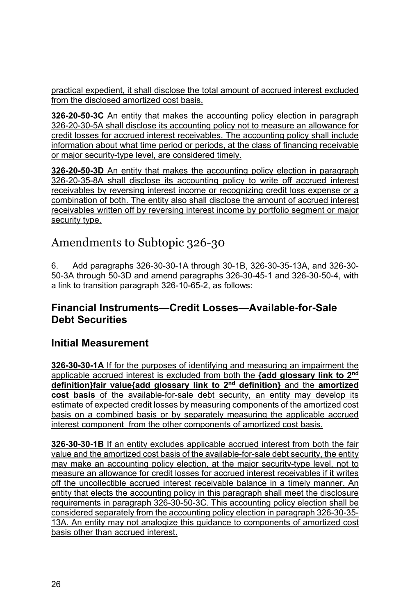practical expedient, it shall disclose the total amount of accrued interest excluded from the disclosed amortized cost basis.

**326-20-50-3C** An entity that makes the accounting policy election in paragraph 326-20-30-5A shall disclose its accounting policy not to measure an allowance for credit losses for accrued interest receivables. The accounting policy shall include information about what time period or periods, at the class of financing receivable or major security-type level, are considered timely.

**326-20-50-3D** An entity that makes the accounting policy election in paragraph 326-20-35-8A shall disclose its accounting policy to write off accrued interest receivables by reversing interest income or recognizing credit loss expense or a combination of both. The entity also shall disclose the amount of accrued interest receivables written off by reversing interest income by portfolio segment or major security type.

# Amendments to Subtopic 326-30

6. Add paragraphs 326-30-30-1A through 30-1B, 326-30-35-13A, and 326-30- 50-3A through 50-3D and amend paragraphs 326-30-45-1 and 326-30-50-4, with a link to transition paragraph 326-10-65-2, as follows:

### **Financial Instruments—Credit Losses—Available-for-Sale Debt Securities**

### **Initial Measurement**

**326-30-30-1A** If for the purposes of identifying and measuring an impairment the applicable accrued interest is excluded from both the **{add glossary link to 2nd definition}fair value{add glossary link to 2nd definition}** and the **amortized cost basis** of the available-for-sale debt security, an entity may develop its estimate of expected credit losses by measuring components of the amortized cost basis on a combined basis or by separately measuring the applicable accrued interest component from the other components of amortized cost basis.

**326-30-30-1B** If an entity excludes applicable accrued interest from both the fair value and the amortized cost basis of the available-for-sale debt security, the entity may make an accounting policy election, at the major security-type level, not to measure an allowance for credit losses for accrued interest receivables if it writes off the uncollectible accrued interest receivable balance in a timely manner. An entity that elects the accounting policy in this paragraph shall meet the disclosure requirements in paragraph 326-30-50-3C. This accounting policy election shall be considered separately from the accounting policy election in paragraph 326-30-35- 13A. An entity may not analogize this guidance to components of amortized cost basis other than accrued interest.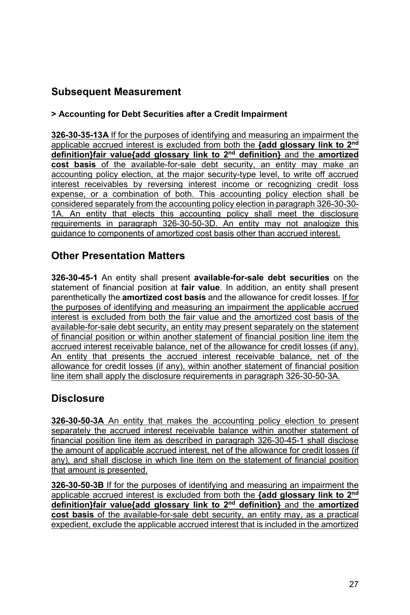### **Subsequent Measurement**

#### **> Accounting for Debt Securities after a Credit Impairment**

**326-30-35-13A** If for the purposes of identifying and measuring an impairment the applicable accrued interest is excluded from both the **{add glossary link to 2nd definition}fair value{add glossary link to 2nd definition}** and the **amortized cost basis** of the available-for-sale debt security, an entity may make an accounting policy election, at the major security-type level, to write off accrued interest receivables by reversing interest income or recognizing credit loss expense, or a combination of both. This accounting policy election shall be considered separately from the accounting policy election in paragraph 326-30-30- 1A. An entity that elects this accounting policy shall meet the disclosure requirements in paragraph 326-30-50-3D. An entity may not analogize this guidance to components of amortized cost basis other than accrued interest.

### **Other Presentation Matters**

**326-30-45-1** An entity shall present **available-for-sale debt securities** on the statement of financial position at **fair value**. In addition, an entity shall present parenthetically the **amortized cost basis** and the allowance for credit losses. If for the purposes of identifying and measuring an impairment the applicable accrued interest is excluded from both the fair value and the amortized cost basis of the available-for-sale debt security, an entity may present separately on the statement of financial position or within another statement of financial position line item the accrued interest receivable balance, net of the allowance for credit losses (if any). An entity that presents the accrued interest receivable balance, net of the allowance for credit losses (if any), within another statement of financial position line item shall apply the disclosure requirements in paragraph 326-30-50-3A.

### **Disclosure**

**326-30-50-3A** An entity that makes the accounting policy election to present separately the accrued interest receivable balance within another statement of financial position line item as described in paragraph 326-30-45-1 shall disclose the amount of applicable accrued interest, net of the allowance for credit losses (if any), and shall disclose in which line item on the statement of financial position that amount is presented.

**326-30-50-3B** If for the purposes of identifying and measuring an impairment the applicable accrued interest is excluded from both the **{add glossary link to 2nd definition}fair value{add glossary link to 2nd definition}** and the **amortized cost basis** of the available-for-sale debt security, an entity may, as a practical expedient, exclude the applicable accrued interest that is included in the amortized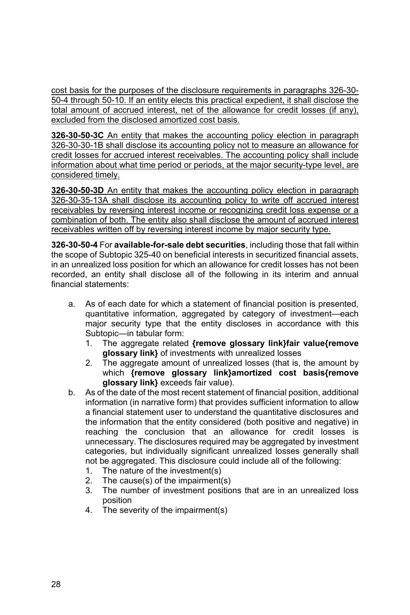cost basis for the purposes of the disclosure requirements in paragraphs 326-30- 50-4 through 50-10. If an entity elects this practical expedient, it shall disclose the total amount of accrued interest, net of the allowance for credit losses (if any), excluded from the disclosed amortized cost basis.

**326-30-50-3C** An entity that makes the accounting policy election in paragraph 326-30-30-1B shall disclose its accounting policy not to measure an allowance for credit losses for accrued interest receivables. The accounting policy shall include information about what time period or periods, at the major security-type level, are considered timely.

**326-30-50-3D** An entity that makes the accounting policy election in paragraph 326-30-35-13A shall disclose its accounting policy to write off accrued interest receivables by reversing interest income or recognizing credit loss expense or a combination of both. The entity also shall disclose the amount of accrued interest receivables written off by reversing interest income by major security type.

**326-30-50-4** For **available-for-sale debt securities**, including those that fall within the scope of Subtopic 325-40 on beneficial interests in securitized financial assets, in an unrealized loss position for which an allowance for credit losses has not been recorded, an entity shall disclose all of the following in its interim and annual financial statements:

- a. As of each date for which a statement of financial position is presented, quantitative information, aggregated by category of investment—each major security type that the entity discloses in accordance with this Subtopic—in tabular form:
	- 1. The aggregate related **{remove glossary link}fair value{remove glossary link}** of investments with unrealized losses
	- 2. The aggregate amount of unrealized losses (that is, the amount by which **{remove glossary link}amortized cost basis{remove glossary link}** exceeds fair value).
- b. As of the date of the most recent statement of financial position, additional information (in narrative form) that provides sufficient information to allow a financial statement user to understand the quantitative disclosures and the information that the entity considered (both positive and negative) in reaching the conclusion that an allowance for credit losses is unnecessary. The disclosures required may be aggregated by investment categories, but individually significant unrealized losses generally shall not be aggregated. This disclosure could include all of the following:
	- 1. The nature of the investment(s)
	- 2. The cause(s) of the impairment(s)
	- 3. The number of investment positions that are in an unrealized loss position
	- 4. The severity of the impairment(s)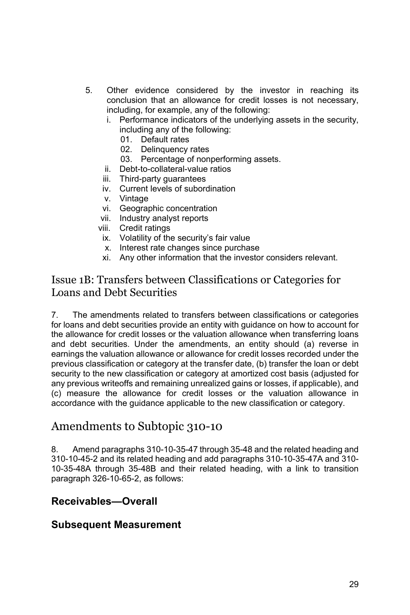- 5. Other evidence considered by the investor in reaching its conclusion that an allowance for credit losses is not necessary, including, for example, any of the following:
	- i. Performance indicators of the underlying assets in the security, including any of the following:
		- 01. Default rates
		- 02. Delinquency rates
		- 03. Percentage of nonperforming assets.
	- ii. Debt-to-collateral-value ratios
	- iii. Third-party guarantees
	- iv. Current levels of subordination
	- v. Vintage
	- vi. Geographic concentration
	- vii. Industry analyst reports
	- viii. Credit ratings
		- ix. Volatility of the security's fair value
		- x. Interest rate changes since purchase
	- xi. Any other information that the investor considers relevant.

### Issue 1B: Transfers between Classifications or Categories for Loans and Debt Securities

7. The amendments related to transfers between classifications or categories for loans and debt securities provide an entity with guidance on how to account for the allowance for credit losses or the valuation allowance when transferring loans and debt securities. Under the amendments, an entity should (a) reverse in earnings the valuation allowance or allowance for credit losses recorded under the previous classification or category at the transfer date, (b) transfer the loan or debt security to the new classification or category at amortized cost basis (adjusted for any previous writeoffs and remaining unrealized gains or losses, if applicable), and (c) measure the allowance for credit losses or the valuation allowance in accordance with the guidance applicable to the new classification or category.

### Amendments to Subtopic 310-10

8. Amend paragraphs 310-10-35-47 through 35-48 and the related heading and 310-10-45-2 and its related heading and add paragraphs 310-10-35-47A and 310- 10-35-48A through 35-48B and their related heading, with a link to transition paragraph 326-10-65-2, as follows:

### **Receivables—Overall**

#### **Subsequent Measurement**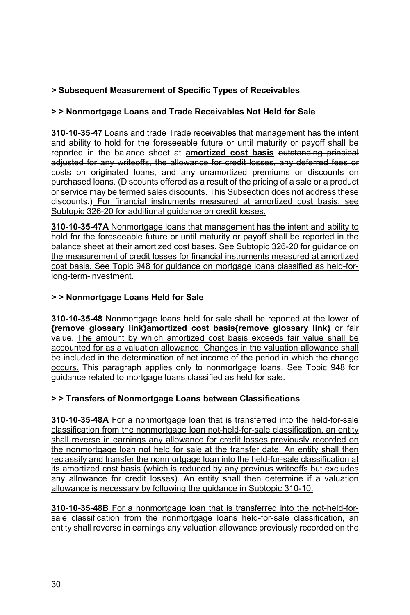#### **> Subsequent Measurement of Specific Types of Receivables**

#### **> > Nonmortgage Loans and Trade Receivables Not Held for Sale**

**310-10-35-47** Loans and trade Trade receivables that management has the intent and ability to hold for the foreseeable future or until maturity or payoff shall be reported in the balance sheet at **amortized cost basis** outstanding principal adjusted for any writeoffs, the allowance for credit losses, any deferred fees or costs on originated loans, and any unamortized premiums or discounts on purchased loans. (Discounts offered as a result of the pricing of a sale or a product or service may be termed sales discounts. This Subsection does not address these discounts.) For financial instruments measured at amortized cost basis, see Subtopic 326-20 for additional guidance on credit losses.

**310-10-35-47A** Nonmortgage loans that management has the intent and ability to hold for the foreseeable future or until maturity or payoff shall be reported in the balance sheet at their amortized cost bases. See Subtopic 326-20 for guidance on the measurement of credit losses for financial instruments measured at amortized cost basis. See Topic 948 for guidance on mortgage loans classified as held-forlong-term-investment.

#### **> > Nonmortgage Loans Held for Sale**

**310-10-35-48** Nonmortgage loans held for sale shall be reported at the lower of **{remove glossary link}amortized cost basis{remove glossary link}** or fair value. The amount by which amortized cost basis exceeds fair value shall be accounted for as a valuation allowance. Changes in the valuation allowance shall be included in the determination of net income of the period in which the change occurs. This paragraph applies only to nonmortgage loans. See Topic 948 for guidance related to mortgage loans classified as held for sale.

#### **> > Transfers of Nonmortgage Loans between Classifications**

**310-10-35-48A** For a nonmortgage loan that is transferred into the held-for-sale classification from the nonmortgage loan not-held-for-sale classification, an entity shall reverse in earnings any allowance for credit losses previously recorded on the nonmortgage loan not held for sale at the transfer date. An entity shall then reclassify and transfer the nonmortgage loan into the held-for-sale classification at its amortized cost basis (which is reduced by any previous writeoffs but excludes any allowance for credit losses). An entity shall then determine if a valuation allowance is necessary by following the guidance in Subtopic 310-10.

**310-10-35-48B** For a nonmortgage loan that is transferred into the not-held-forsale classification from the nonmortgage loans held-for-sale classification, an entity shall reverse in earnings any valuation allowance previously recorded on the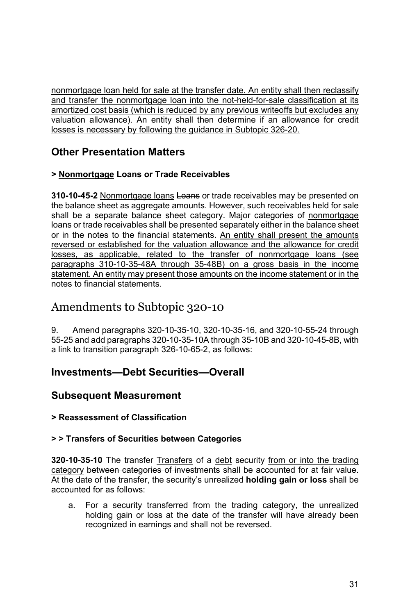nonmortgage loan held for sale at the transfer date. An entity shall then reclassify and transfer the nonmortgage loan into the not-held-for-sale classification at its amortized cost basis (which is reduced by any previous writeoffs but excludes any valuation allowance). An entity shall then determine if an allowance for credit losses is necessary by following the guidance in Subtopic 326-20.

# **Other Presentation Matters**

### **> Nonmortgage Loans or Trade Receivables**

**310-10-45-2** Nonmortgage loans Loans or trade receivables may be presented on the balance sheet as aggregate amounts. However, such receivables held for sale shall be a separate balance sheet category. Major categories of nonmortgage loans or trade receivables shall be presented separately either in the balance sheet or in the notes to the financial statements. An entity shall present the amounts reversed or established for the valuation allowance and the allowance for credit losses, as applicable, related to the transfer of nonmortgage loans (see paragraphs 310-10-35-48A through 35-48B) on a gross basis in the income statement. An entity may present those amounts on the income statement or in the notes to financial statements.

# Amendments to Subtopic 320-10

9. Amend paragraphs 320-10-35-10, 320-10-35-16, and 320-10-55-24 through 55-25 and add paragraphs 320-10-35-10A through 35-10B and 320-10-45-8B, with a link to transition paragraph 326-10-65-2, as follows:

## **Investments—Debt Securities—Overall**

## **Subsequent Measurement**

**> Reassessment of Classification** 

### **> > Transfers of Securities between Categories**

**320-10-35-10** The transfer Transfers of a debt security from or into the trading category between categories of investments shall be accounted for at fair value. At the date of the transfer, the security's unrealized **holding gain or loss** shall be accounted for as follows:

a. For a security transferred from the trading category, the unrealized holding gain or loss at the date of the transfer will have already been recognized in earnings and shall not be reversed.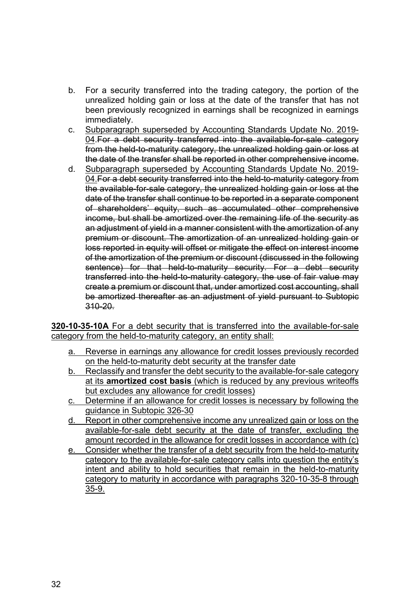- b. For a security transferred into the trading category, the portion of the unrealized holding gain or loss at the date of the transfer that has not been previously recognized in earnings shall be recognized in earnings immediately.
- c. Subparagraph superseded by Accounting Standards Update No. 2019- 04. For a debt security transferred into the available-for-sale category **From the held-to-maturity category, the unrealized holding gain or loss at** the date of the transfer shall be reported in other comprehensive income.
- d. Subparagraph superseded by Accounting Standards Update No. 2019- 04. For a debt security transferred into the held-to-maturity category from the available-for-sale category, the unrealized holding gain or loss at the date of the transfer shall continue to be reported in a separate component of shareholders' equity, such as accumulated other comprehensive income, but shall be amortized over the remaining life of the security as an adjustment of yield in a manner consistent with the amortization of any premium or discount. The amortization of an unrealized holding gain or loss reported in equity will offset or mitigate the effect on interest income of the amortization of the premium or discount (discussed in the following sentence) for that held-to-maturity security. For a debt security transferred into the held-to-maturity category, the use of fair value may create a premium or discount that, under amortized cost accounting, shall be amortized thereafter as an adjustment of yield pursuant to Subtopic 310-20.

**320-10-35-10A** For a debt security that is transferred into the available-for-sale category from the held-to-maturity category, an entity shall:

- a. Reverse in earnings any allowance for credit losses previously recorded on the held-to-maturity debt security at the transfer date
- b. Reclassify and transfer the debt security to the available-for-sale category at its **amortized cost basis** (which is reduced by any previous writeoffs but excludes any allowance for credit losses)
- c. Determine if an allowance for credit losses is necessary by following the guidance in Subtopic 326-30
- d. Report in other comprehensive income any unrealized gain or loss on the available-for-sale debt security at the date of transfer, excluding the amount recorded in the allowance for credit losses in accordance with (c)
- e. Consider whether the transfer of a debt security from the held-to-maturity category to the available-for-sale category calls into question the entity's intent and ability to hold securities that remain in the held-to-maturity category to maturity in accordance with paragraphs 320-10-35-8 through 35-9.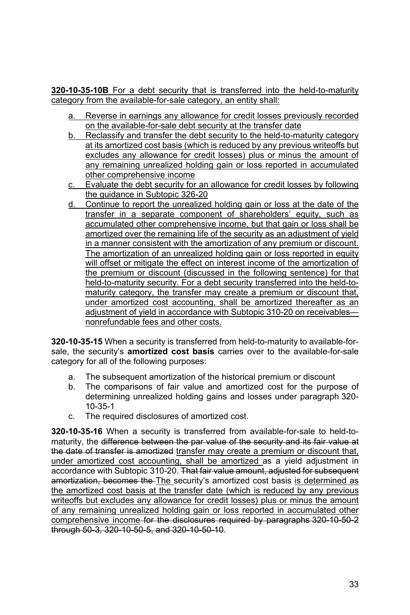**320-10-35-10B** For a debt security that is transferred into the held-to-maturity category from the available-for-sale category, an entity shall:

- a. Reverse in earnings any allowance for credit losses previously recorded on the available-for-sale debt security at the transfer date
- b. Reclassify and transfer the debt security to the held-to-maturity category at its amortized cost basis (which is reduced by any previous writeoffs but excludes any allowance for credit losses) plus or minus the amount of any remaining unrealized holding gain or loss reported in accumulated other comprehensive income
- c. Evaluate the debt security for an allowance for credit losses by following the guidance in Subtopic 326-20
- d. Continue to report the unrealized holding gain or loss at the date of the transfer in a separate component of shareholders' equity, such as accumulated other comprehensive income, but that gain or loss shall be amortized over the remaining life of the security as an adjustment of yield in a manner consistent with the amortization of any premium or discount. The amortization of an unrealized holding gain or loss reported in equity will offset or mitigate the effect on interest income of the amortization of the premium or discount (discussed in the following sentence) for that held-to-maturity security. For a debt security transferred into the held-tomaturity category, the transfer may create a premium or discount that, under amortized cost accounting, shall be amortized thereafter as an adjustment of yield in accordance with Subtopic 310-20 on receivables nonrefundable fees and other costs.

**320-10-35-15** When a security is transferred from held-to-maturity to available-forsale, the security's **amortized cost basis** carries over to the available-for-sale category for all of the following purposes:

- a. The subsequent amortization of the historical premium or discount
- b. The comparisons of fair value and amortized cost for the purpose of determining unrealized holding gains and losses under paragraph 320- 10-35-1
- c. The required disclosures of amortized cost.

**320-10-35-16** When a security is transferred from available-for-sale to held-tomaturity, the difference between the par value of the security and its fair value at the date of transfer is amortized transfer may create a premium or discount that, under amortized cost accounting, shall be amortized as a yield adjustment in accordance with Subtopic 310-20. That fair value amount, adjusted for subsequent amortization, becomes the The security's amortized cost basis is determined as the amortized cost basis at the transfer date (which is reduced by any previous writeoffs but excludes any allowance for credit losses) plus or minus the amount of any remaining unrealized holding gain or loss reported in accumulated other comprehensive income for the disclosures required by paragraphs 320-10-50-2 through 50-3, 320-10-50-5, and 320-10-50-10.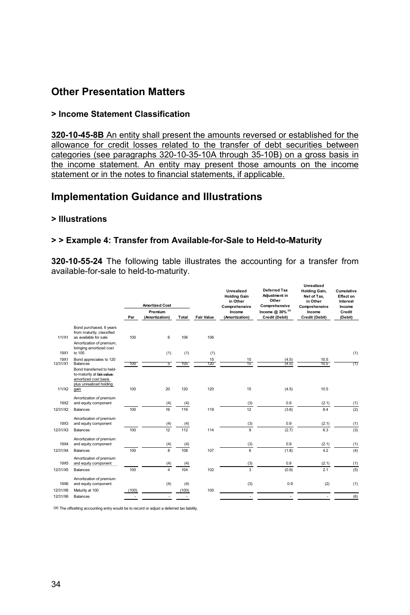## **Other Presentation Matters**

#### **> Income Statement Classification**

**320-10-45-8B** An entity shall present the amounts reversed or established for the allowance for credit losses related to the transfer of debt securities between categories (see paragraphs 320-10-35-10A through 35-10B) on a gross basis in the income statement. An entity may present those amounts on the income statement or in the notes to financial statements, if applicable.

### **Implementation Guidance and Illustrations**

#### **> Illustrations**

#### **> > Example 4: Transfer from Available-for-Sale to Held-to-Maturity**

**320-10-55-24** The following table illustrates the accounting for a transfer from available-for-sale to held-to-maturity.

|                  |                                                                                                           | Par   | <b>Amortized Cost</b><br>Premium<br>(Amortization) | Total      | <b>Fair Value</b> | Unrealized<br><b>Holding Gain</b><br>in Other<br>Comprehensive<br>Income<br>(Amortization) | Deferred Tax<br>Adjustment in<br>Other<br>Comprehensive<br>Income @ 30% (a)<br>Credit (Debit) | <b>Unrealized</b><br><b>Holding Gain,</b><br>Net of Tax.<br>in Other<br>Comprehensive<br>Income<br>Credit (Debit) | Cumulative<br>Effect on<br>Interest<br>Income<br>Credit<br>(Debit) |
|------------------|-----------------------------------------------------------------------------------------------------------|-------|----------------------------------------------------|------------|-------------------|--------------------------------------------------------------------------------------------|-----------------------------------------------------------------------------------------------|-------------------------------------------------------------------------------------------------------------------|--------------------------------------------------------------------|
| 1/1/X1           | Bond purchased, 6 years<br>from maturity, classified<br>as available for sale<br>Amortization of premium, | 100   | 6                                                  | 106        | 106               |                                                                                            |                                                                                               |                                                                                                                   |                                                                    |
| 19X1             | bringing amortized cost<br>to 105                                                                         |       | (1)                                                | (1)        | (1)               |                                                                                            |                                                                                               |                                                                                                                   | (1)                                                                |
| 19X1<br>12/31/X1 | Bond appreciates to 120<br>Balances<br>Bond transferred to held-<br>to-maturity at fair-value-            | 100   | 5                                                  | 105        | 15<br>120         | $\frac{15}{15}$                                                                            | $\frac{(4.5)}{(4.5)}$                                                                         | 10.5<br>10.5                                                                                                      | (1)                                                                |
| 1/1/X2           | amortized cost basis<br>plus unrealized holding<br>gain                                                   | 100   | 20                                                 | 120        | 120               | 15                                                                                         | (4.5)                                                                                         | 10.5                                                                                                              |                                                                    |
|                  | Amortization of premium                                                                                   |       |                                                    |            |                   |                                                                                            |                                                                                               |                                                                                                                   |                                                                    |
| 19X2<br>12/31/X2 | and equity component<br><b>Balances</b>                                                                   | 100   | (4)<br>16                                          | (4)<br>116 | 119               | (3)<br>12                                                                                  | 0.9<br>(3.6)                                                                                  | (2.1)<br>8.4                                                                                                      | (1)<br>(2)                                                         |
| 19X3             | Amortization of premium<br>and equity component                                                           |       | (4)                                                | (4)        |                   | (3)                                                                                        | 0.9                                                                                           | (2.1)                                                                                                             | (1)                                                                |
| 12/31/X3         | Balances                                                                                                  | 100   | 12                                                 | 112        | 114               | $\overline{9}$                                                                             | (2.7)                                                                                         | 6.3                                                                                                               | (3)                                                                |
| 19X4             | Amortization of premium<br>and equity component                                                           |       | (4)                                                | (4)        |                   | (3)                                                                                        | 0.9                                                                                           | (2.1)                                                                                                             | (1)                                                                |
| 12/31/X4         | <b>Balances</b>                                                                                           | 100   | 8                                                  | 108        | 107               | 6                                                                                          | (1.8)                                                                                         | 4.2                                                                                                               | (4)                                                                |
| 19X5             | Amortization of premium<br>and equity component                                                           |       | (4)                                                | (4)        |                   | (3)                                                                                        | 0.9                                                                                           | (2.1)                                                                                                             | (1)                                                                |
| 12/31/X5         | Balances                                                                                                  | 100   | $\overline{\mathbf{4}}$                            | 104        | 102               | 3                                                                                          | (0.9)                                                                                         | 2.1                                                                                                               | (5)                                                                |
| 19X6             | Amortization of premium<br>and equity component                                                           |       | (4)                                                | (4)        |                   | (3)                                                                                        | 0.9                                                                                           | (2)                                                                                                               | (1)                                                                |
| 12/31/X6         | Maturity at 100                                                                                           | (100) |                                                    | (100)      | 100               |                                                                                            |                                                                                               |                                                                                                                   |                                                                    |
| 12/31/X6         | Balances                                                                                                  |       |                                                    |            |                   |                                                                                            |                                                                                               |                                                                                                                   | (6)                                                                |

(a) The offsetting accounting entry would be to record or adjust a deferred tax liability.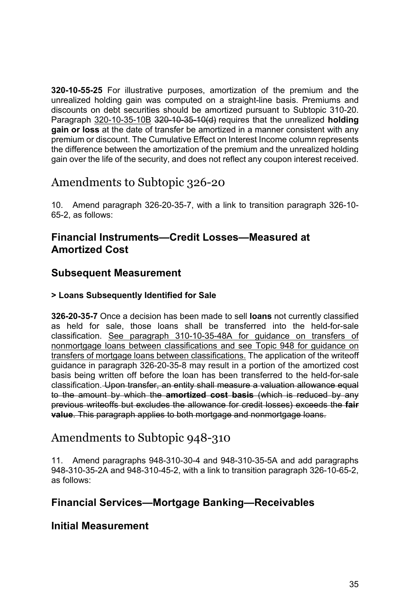**320-10-55-25** For illustrative purposes, amortization of the premium and the unrealized holding gain was computed on a straight-line basis. Premiums and discounts on debt securities should be amortized pursuant to Subtopic 310-20. Paragraph 320-10-35-10B 320-10-35-10(d) requires that the unrealized **holding gain or loss** at the date of transfer be amortized in a manner consistent with any premium or discount. The Cumulative Effect on Interest Income column represents the difference between the amortization of the premium and the unrealized holding gain over the life of the security, and does not reflect any coupon interest received.

# Amendments to Subtopic 326-20

10. Amend paragraph 326-20-35-7, with a link to transition paragraph 326-10- 65-2, as follows:

## **Financial Instruments—Credit Losses—Measured at Amortized Cost**

## **Subsequent Measurement**

### **> Loans Subsequently Identified for Sale**

**326-20-35-7** Once a decision has been made to sell **loans** not currently classified as held for sale, those loans shall be transferred into the held-for-sale classification. See paragraph 310-10-35-48A for guidance on transfers of nonmortgage loans between classifications and see Topic 948 for guidance on transfers of mortgage loans between classifications. The application of the writeoff guidance in paragraph 326-20-35-8 may result in a portion of the amortized cost basis being written off before the loan has been transferred to the held-for-sale classification. Upon transfer, an entity shall measure a valuation allowance equal to the amount by which the **amortized cost basis** (which is reduced by any previous writeoffs but excludes the allowance for credit losses) exceeds the **fair value**. This paragraph applies to both mortgage and nonmortgage loans.

# Amendments to Subtopic 948-310

11. Amend paragraphs 948-310-30-4 and 948-310-35-5A and add paragraphs 948-310-35-2A and 948-310-45-2, with a link to transition paragraph 326-10-65-2, as follows:

## **Financial Services—Mortgage Banking—Receivables**

### **Initial Measurement**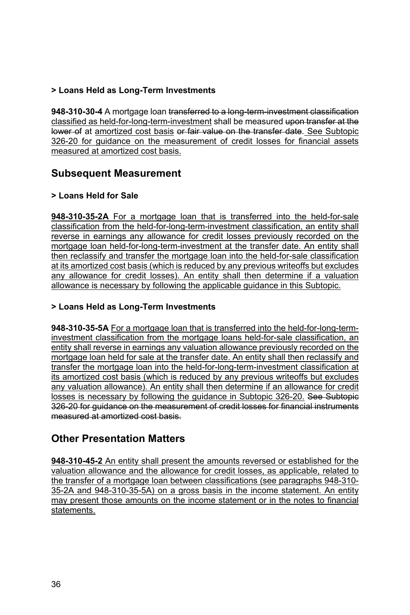### **> Loans Held as Long-Term Investments**

**948-310-30-4** A mortgage loan transferred to a long-term-investment classification classified as held-for-long-term-investment shall be measured upon transfer at the lower of at amortized cost basis or fair value on the transfer date. See Subtopic 326-20 for guidance on the measurement of credit losses for financial assets measured at amortized cost basis.

## **Subsequent Measurement**

### **> Loans Held for Sale**

**948-310-35-2A** For a mortgage loan that is transferred into the held-for-sale classification from the held-for-long-term-investment classification, an entity shall reverse in earnings any allowance for credit losses previously recorded on the mortgage loan held-for-long-term-investment at the transfer date. An entity shall then reclassify and transfer the mortgage loan into the held-for-sale classification at its amortized cost basis (which is reduced by any previous writeoffs but excludes any allowance for credit losses). An entity shall then determine if a valuation allowance is necessary by following the applicable guidance in this Subtopic.

#### **> Loans Held as Long-Term Investments**

**948-310-35-5A** For a mortgage loan that is transferred into the held-for-long-terminvestment classification from the mortgage loans held-for-sale classification, an entity shall reverse in earnings any valuation allowance previously recorded on the mortgage loan held for sale at the transfer date. An entity shall then reclassify and transfer the mortgage loan into the held-for-long-term-investment classification at its amortized cost basis (which is reduced by any previous writeoffs but excludes any valuation allowance). An entity shall then determine if an allowance for credit losses is necessary by following the guidance in Subtopic 326-20. See Subtopic 326-20 for guidance on the measurement of credit losses for financial instruments measured at amortized cost basis.

# **Other Presentation Matters**

**948-310-45-2** An entity shall present the amounts reversed or established for the valuation allowance and the allowance for credit losses, as applicable, related to the transfer of a mortgage loan between classifications (see paragraphs 948-310- 35-2A and 948-310-35-5A) on a gross basis in the income statement. An entity may present those amounts on the income statement or in the notes to financial statements.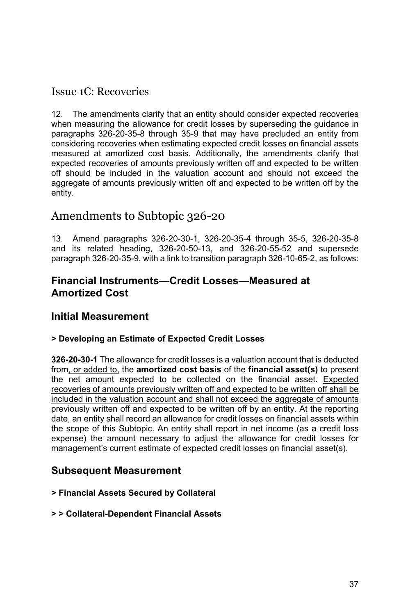## Issue 1C: Recoveries

12. The amendments clarify that an entity should consider expected recoveries when measuring the allowance for credit losses by superseding the guidance in paragraphs 326-20-35-8 through 35-9 that may have precluded an entity from considering recoveries when estimating expected credit losses on financial assets measured at amortized cost basis. Additionally, the amendments clarify that expected recoveries of amounts previously written off and expected to be written off should be included in the valuation account and should not exceed the aggregate of amounts previously written off and expected to be written off by the entity.

# Amendments to Subtopic 326-20

13. Amend paragraphs 326-20-30-1, 326-20-35-4 through 35-5, 326-20-35-8 and its related heading, 326-20-50-13, and 326-20-55-52 and supersede paragraph 326-20-35-9, with a link to transition paragraph 326-10-65-2, as follows:

### **Financial Instruments—Credit Losses—Measured at Amortized Cost**

## **Initial Measurement**

### **> Developing an Estimate of Expected Credit Losses**

**326-20-30-1** The allowance for credit losses is a valuation account that is deducted from, or added to, the **amortized cost basis** of the **financial asset(s)** to present the net amount expected to be collected on the financial asset. Expected recoveries of amounts previously written off and expected to be written off shall be included in the valuation account and shall not exceed the aggregate of amounts previously written off and expected to be written off by an entity. At the reporting date, an entity shall record an allowance for credit losses on financial assets within the scope of this Subtopic. An entity shall report in net income (as a credit loss expense) the amount necessary to adjust the allowance for credit losses for management's current estimate of expected credit losses on financial asset(s).

## **Subsequent Measurement**

### **> Financial Assets Secured by Collateral**

#### **> > Collateral-Dependent Financial Assets**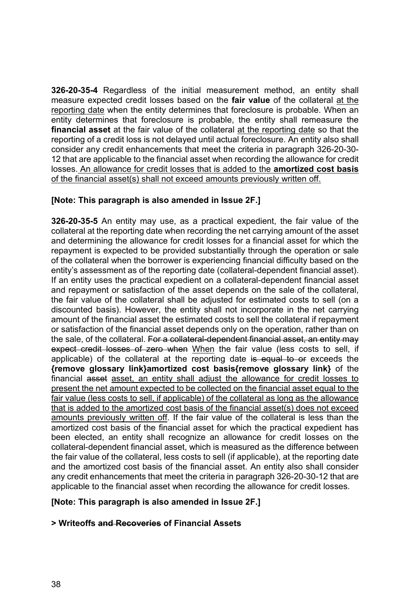**326-20-35-4** Regardless of the initial measurement method, an entity shall measure expected credit losses based on the **fair value** of the collateral at the reporting date when the entity determines that foreclosure is probable. When an entity determines that foreclosure is probable, the entity shall remeasure the **financial asset** at the fair value of the collateral at the reporting date so that the reporting of a credit loss is not delayed until actual foreclosure. An entity also shall consider any credit enhancements that meet the criteria in paragraph 326-20-30- 12 that are applicable to the financial asset when recording the allowance for credit losses. An allowance for credit losses that is added to the **amortized cost basis** of the financial asset(s) shall not exceed amounts previously written off.

#### **[Note: This paragraph is also amended in Issue 2F.]**

**326-20-35-5** An entity may use, as a practical expedient, the fair value of the collateral at the reporting date when recording the net carrying amount of the asset and determining the allowance for credit losses for a financial asset for which the repayment is expected to be provided substantially through the operation or sale of the collateral when the borrower is experiencing financial difficulty based on the entity's assessment as of the reporting date (collateral-dependent financial asset). If an entity uses the practical expedient on a collateral-dependent financial asset and repayment or satisfaction of the asset depends on the sale of the collateral, the fair value of the collateral shall be adjusted for estimated costs to sell (on a discounted basis). However, the entity shall not incorporate in the net carrying amount of the financial asset the estimated costs to sell the collateral if repayment or satisfaction of the financial asset depends only on the operation, rather than on the sale, of the collateral. For a collateral-dependent financial asset, an entity may expect credit losses of zero when When the fair value (less costs to sell, if applicable) of the collateral at the reporting date is equal to or exceeds the **{remove glossary link}amortized cost basis{remove glossary link}** of the financial asset asset, an entity shall adjust the allowance for credit losses to present the net amount expected to be collected on the financial asset equal to the fair value (less costs to sell, if applicable) of the collateral as long as the allowance that is added to the amortized cost basis of the financial asset(s) does not exceed amounts previously written off. If the fair value of the collateral is less than the amortized cost basis of the financial asset for which the practical expedient has been elected, an entity shall recognize an allowance for credit losses on the collateral-dependent financial asset, which is measured as the difference between the fair value of the collateral, less costs to sell (if applicable), at the reporting date and the amortized cost basis of the financial asset. An entity also shall consider any credit enhancements that meet the criteria in paragraph 326-20-30-12 that are applicable to the financial asset when recording the allowance for credit losses.

#### **[Note: This paragraph is also amended in Issue 2F.]**

#### **> Writeoffs and Recoveries of Financial Assets**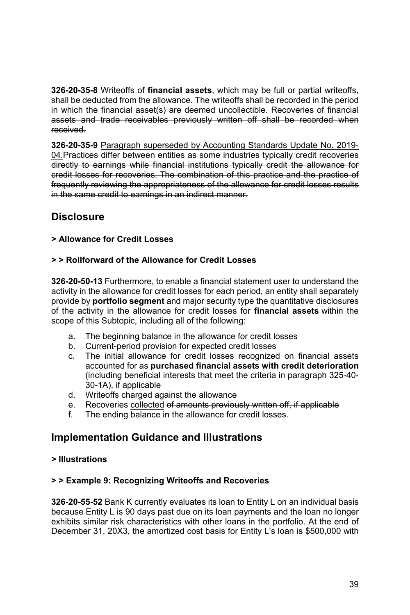**326-20-35-8** Writeoffs of **financial assets**, which may be full or partial writeoffs, shall be deducted from the allowance. The writeoffs shall be recorded in the period in which the financial asset(s) are deemed uncollectible. Recoveries of financial assets and trade receivables previously written off shall be recorded when received.

**326-20-35-9** Paragraph superseded by Accounting Standards Update No. 2019- 04.Practices differ between entities as some industries typically credit recoveries directly to earnings while financial institutions typically credit the allowance for credit losses for recoveries. The combination of this practice and the practice of frequently reviewing the appropriateness of the allowance for credit losses results in the same credit to earnings in an indirect manner.

## **Disclosure**

#### **> Allowance for Credit Losses**

#### **> > Rollforward of the Allowance for Credit Losses**

**326-20-50-13** Furthermore, to enable a financial statement user to understand the activity in the allowance for credit losses for each period, an entity shall separately provide by **portfolio segment** and major security type the quantitative disclosures of the activity in the allowance for credit losses for **financial assets** within the scope of this Subtopic, including all of the following:

- a. The beginning balance in the allowance for credit losses
- b. Current-period provision for expected credit losses
- c. The initial allowance for credit losses recognized on financial assets accounted for as **purchased financial assets with credit deterioration** (including beneficial interests that meet the criteria in paragraph 325-40- 30-1A), if applicable
- d. Writeoffs charged against the allowance
- e. Recoveries collected of amounts previously written off, if applicable
- f. The ending balance in the allowance for credit losses.

### **Implementation Guidance and Illustrations**

#### **> Illustrations**

#### **> > Example 9: Recognizing Writeoffs and Recoveries**

**326-20-55-52** Bank K currently evaluates its loan to Entity L on an individual basis because Entity L is 90 days past due on its loan payments and the loan no longer exhibits similar risk characteristics with other loans in the portfolio. At the end of December 31, 20X3, the amortized cost basis for Entity L's loan is \$500,000 with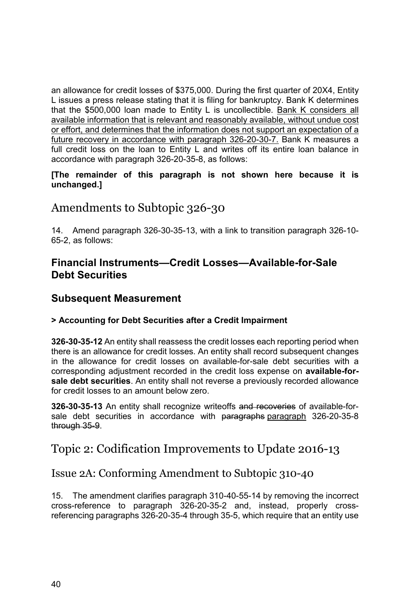an allowance for credit losses of \$375,000. During the first quarter of 20X4, Entity L issues a press release stating that it is filing for bankruptcy. Bank K determines that the \$500,000 loan made to Entity L is uncollectible. Bank K considers all available information that is relevant and reasonably available, without undue cost or effort, and determines that the information does not support an expectation of a future recovery in accordance with paragraph 326-20-30-7. Bank K measures a full credit loss on the loan to Entity L and writes off its entire loan balance in accordance with paragraph 326-20-35-8, as follows:

#### **[The remainder of this paragraph is not shown here because it is unchanged.]**

# Amendments to Subtopic 326-30

14. Amend paragraph 326-30-35-13, with a link to transition paragraph 326-10- 65-2, as follows:

## **Financial Instruments—Credit Losses—Available-for-Sale Debt Securities**

## **Subsequent Measurement**

### **> Accounting for Debt Securities after a Credit Impairment**

**326-30-35-12** An entity shall reassess the credit losses each reporting period when there is an allowance for credit losses. An entity shall record subsequent changes in the allowance for credit losses on available-for-sale debt securities with a corresponding adjustment recorded in the credit loss expense on **available-forsale debt securities**. An entity shall not reverse a previously recorded allowance for credit losses to an amount below zero.

**326-30-35-13** An entity shall recognize writeoffs and recoveries of available-forsale debt securities in accordance with paragraphs paragraph 326-20-35-8 through 35-9.

# Topic 2: Codification Improvements to Update 2016-13

# Issue 2A: Conforming Amendment to Subtopic 310-40

15. The amendment clarifies paragraph 310-40-55-14 by removing the incorrect cross-reference to paragraph 326-20-35-2 and, instead, properly crossreferencing paragraphs 326-20-35-4 through 35-5, which require that an entity use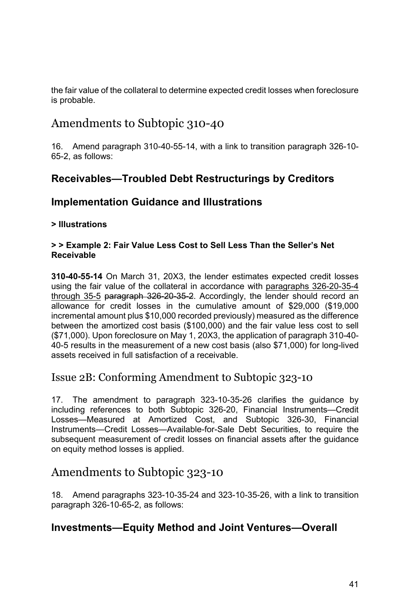the fair value of the collateral to determine expected credit losses when foreclosure is probable.

# Amendments to Subtopic 310-40

16. Amend paragraph 310-40-55-14, with a link to transition paragraph 326-10- 65-2, as follows:

## **Receivables—Troubled Debt Restructurings by Creditors**

## **Implementation Guidance and Illustrations**

### **> Illustrations**

#### **> > Example 2: Fair Value Less Cost to Sell Less Than the Seller's Net Receivable**

**310-40-55-14** On March 31, 20X3, the lender estimates expected credit losses using the fair value of the collateral in accordance with paragraphs 326-20-35-4 through 35-5 paragraph 326-20-35-2. Accordingly, the lender should record an allowance for credit losses in the cumulative amount of \$29,000 (\$19,000 incremental amount plus \$10,000 recorded previously) measured as the difference between the amortized cost basis (\$100,000) and the fair value less cost to sell (\$71,000). Upon foreclosure on May 1, 20X3, the application of paragraph 310-40- 40-5 results in the measurement of a new cost basis (also \$71,000) for long-lived assets received in full satisfaction of a receivable.

# Issue 2B: Conforming Amendment to Subtopic 323-10

17. The amendment to paragraph 323-10-35-26 clarifies the guidance by including references to both Subtopic 326-20, Financial Instruments—Credit Losses—Measured at Amortized Cost, and Subtopic 326-30, Financial Instruments—Credit Losses—Available-for-Sale Debt Securities, to require the subsequent measurement of credit losses on financial assets after the guidance on equity method losses is applied.

# Amendments to Subtopic 323-10

18. Amend paragraphs 323-10-35-24 and 323-10-35-26, with a link to transition paragraph 326-10-65-2, as follows:

## **Investments—Equity Method and Joint Ventures—Overall**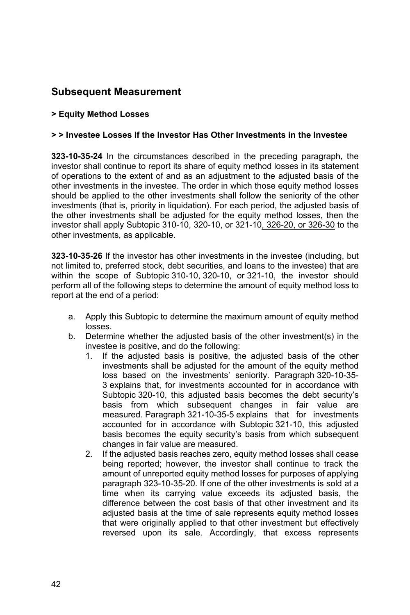# **Subsequent Measurement**

#### **> Equity Method Losses**

#### **> > Investee Losses If the Investor Has Other Investments in the Investee**

**323-10-35-24** In the circumstances described in the preceding paragraph, the investor shall continue to report its share of equity method losses in its statement of operations to the extent of and as an adjustment to the adjusted basis of the other investments in the investee. The order in which those equity method losses should be applied to the other investments shall follow the seniority of the other investments (that is, priority in liquidation). For each period, the adjusted basis of the other investments shall be adjusted for the equity method losses, then the investor shall apply Subtopic 310-10, 320-10, or 321-10, 326-20, or 326-30 to the other investments, as applicable.

**323-10-35-26** If the investor has other investments in the investee (including, but not limited to, preferred stock, debt securities, and loans to the investee) that are within the scope of Subtopic 310-10, 320-10, or 321-10, the investor should perform all of the following steps to determine the amount of equity method loss to report at the end of a period:

- a. Apply this Subtopic to determine the maximum amount of equity method losses.
- b. Determine whether the adjusted basis of the other investment(s) in the investee is positive, and do the following:
	- 1. If the adjusted basis is positive, the adjusted basis of the other investments shall be adjusted for the amount of the equity method loss based on the investments' seniority. Paragraph 320-10-35- 3 explains that, for investments accounted for in accordance with Subtopic 320-10, this adjusted basis becomes the debt security's basis from which subsequent changes in fair value are measured. Paragraph 321-10-35-5 explains that for investments accounted for in accordance with Subtopic 321-10, this adjusted basis becomes the equity security's basis from which subsequent changes in fair value are measured.
	- 2. If the adjusted basis reaches zero, equity method losses shall cease being reported; however, the investor shall continue to track the amount of unreported equity method losses for purposes of applying paragraph 323-10-35-20. If one of the other investments is sold at a time when its carrying value exceeds its adjusted basis, the difference between the cost basis of that other investment and its adjusted basis at the time of sale represents equity method losses that were originally applied to that other investment but effectively reversed upon its sale. Accordingly, that excess represents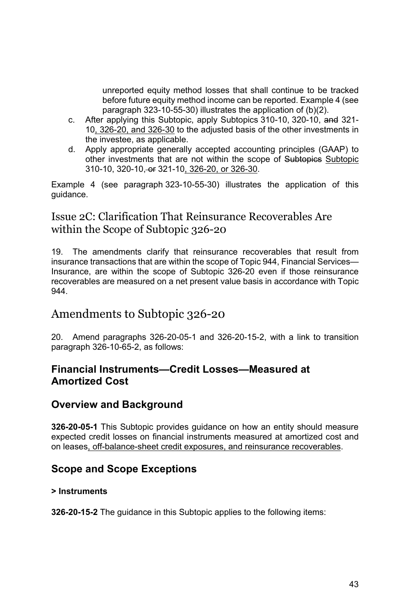unreported equity method losses that shall continue to be tracked before future equity method income can be reported. Example 4 (see paragraph 323-10-55-30) illustrates the application of (b)(2).

- c. After applying this Subtopic, apply Subtopics 310-10, 320-10, and 321-10, 326-20, and 326-30 to the adjusted basis of the other investments in the investee, as applicable.
- d. Apply appropriate generally accepted accounting principles (GAAP) to other investments that are not within the scope of Subtopics Subtopic 310-10, 320-10, or 321-10, 326-20, or 326-30.

Example 4 (see paragraph 323-10-55-30) illustrates the application of this guidance.

### Issue 2C: Clarification That Reinsurance Recoverables Are within the Scope of Subtopic 326-20

19. The amendments clarify that reinsurance recoverables that result from insurance transactions that are within the scope of Topic 944, Financial Services— Insurance, are within the scope of Subtopic 326-20 even if those reinsurance recoverables are measured on a net present value basis in accordance with Topic 944.

# Amendments to Subtopic 326-20

20. Amend paragraphs 326-20-05-1 and 326-20-15-2, with a link to transition paragraph 326-10-65-2, as follows:

## **Financial Instruments—Credit Losses—Measured at Amortized Cost**

## **Overview and Background**

**326-20-05-1** This Subtopic provides guidance on how an entity should measure expected credit losses on financial instruments measured at amortized cost and on leases, off-balance-sheet credit exposures, and reinsurance recoverables.

## **Scope and Scope Exceptions**

### **> Instruments**

**326-20-15-2** The guidance in this Subtopic applies to the following items: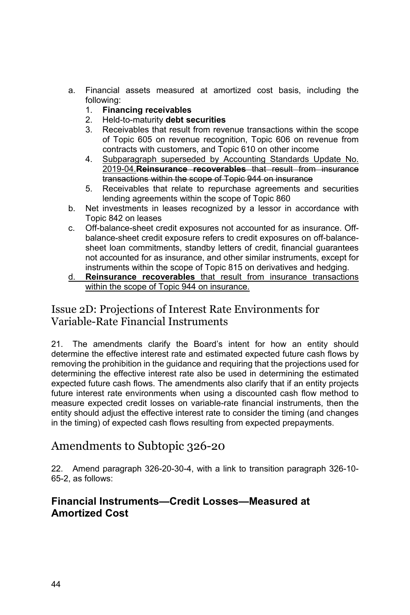- a. Financial assets measured at amortized cost basis, including the following:
	- 1. **Financing receivables**
	- 2. Held-to-maturity **debt securities**
	- 3. Receivables that result from revenue transactions within the scope of Topic 605 on revenue recognition, Topic 606 on revenue from contracts with customers, and Topic 610 on other income
	- 4. Subparagraph superseded by Accounting Standards Update No. 2019-04.**Reinsurance recoverables** that result from insurance transactions within the scope of Topic 944 on insurance
	- 5. Receivables that relate to repurchase agreements and securities lending agreements within the scope of Topic 860
- b. Net investments in leases recognized by a lessor in accordance with Topic 842 on leases
- c. Off-balance-sheet credit exposures not accounted for as insurance. Offbalance-sheet credit exposure refers to credit exposures on off-balancesheet loan commitments, standby letters of credit, financial guarantees not accounted for as insurance, and other similar instruments, except for instruments within the scope of Topic 815 on derivatives and hedging.
- d. **Reinsurance recoverables** that result from insurance transactions within the scope of Topic 944 on insurance.

## Issue 2D: Projections of Interest Rate Environments for Variable-Rate Financial Instruments

21. The amendments clarify the Board's intent for how an entity should determine the effective interest rate and estimated expected future cash flows by removing the prohibition in the guidance and requiring that the projections used for determining the effective interest rate also be used in determining the estimated expected future cash flows. The amendments also clarify that if an entity projects future interest rate environments when using a discounted cash flow method to measure expected credit losses on variable-rate financial instruments, then the entity should adjust the effective interest rate to consider the timing (and changes in the timing) of expected cash flows resulting from expected prepayments.

# Amendments to Subtopic 326-20

22. Amend paragraph 326-20-30-4, with a link to transition paragraph 326-10- 65-2, as follows:

## **Financial Instruments—Credit Losses—Measured at Amortized Cost**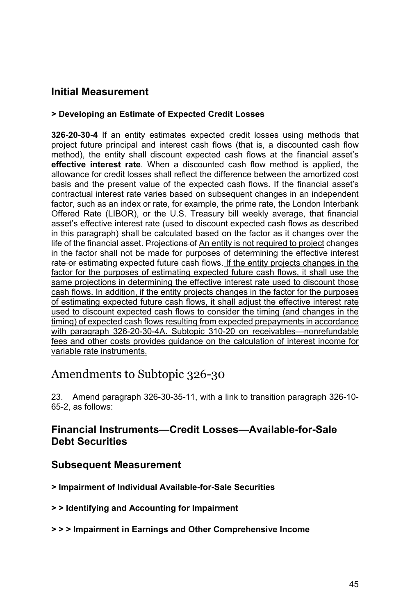## **Initial Measurement**

#### **> Developing an Estimate of Expected Credit Losses**

**326-20-30-4** If an entity estimates expected credit losses using methods that project future principal and interest cash flows (that is, a discounted cash flow method), the entity shall discount expected cash flows at the financial asset's **effective interest rate**. When a discounted cash flow method is applied, the allowance for credit losses shall reflect the difference between the amortized cost basis and the present value of the expected cash flows. If the financial asset's contractual interest rate varies based on subsequent changes in an independent factor, such as an index or rate, for example, the prime rate, the London Interbank Offered Rate (LIBOR), or the U.S. Treasury bill weekly average, that financial asset's effective interest rate (used to discount expected cash flows as described in this paragraph) shall be calculated based on the factor as it changes over the life of the financial asset. Projections of An entity is not required to project changes in the factor shall not be made for purposes of determining the effective interest rate or estimating expected future cash flows. If the entity projects changes in the factor for the purposes of estimating expected future cash flows, it shall use the same projections in determining the effective interest rate used to discount those cash flows. In addition, if the entity projects changes in the factor for the purposes of estimating expected future cash flows, it shall adjust the effective interest rate used to discount expected cash flows to consider the timing (and changes in the timing) of expected cash flows resulting from expected prepayments in accordance with paragraph 326-20-30-4A. Subtopic 310-20 on receivables—nonrefundable fees and other costs provides guidance on the calculation of interest income for variable rate instruments.

# Amendments to Subtopic 326-30

23. Amend paragraph 326-30-35-11, with a link to transition paragraph 326-10- 65-2, as follows:

### **Financial Instruments—Credit Losses—Available-for-Sale Debt Securities**

### **Subsequent Measurement**

- **> Impairment of Individual Available-for-Sale Securities**
- **> > Identifying and Accounting for Impairment**
- **> > > Impairment in Earnings and Other Comprehensive Income**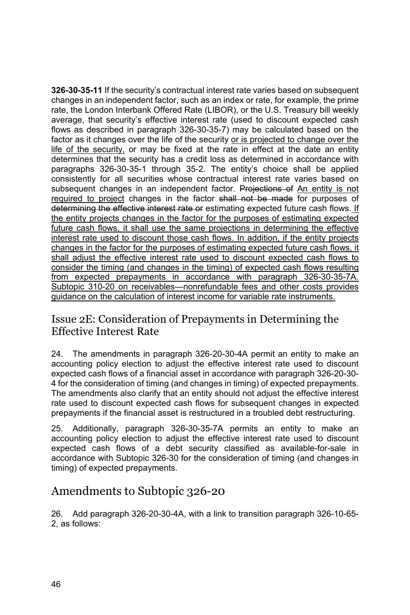**326-30-35-11** If the security's contractual interest rate varies based on subsequent changes in an independent factor, such as an index or rate, for example, the prime rate, the London Interbank Offered Rate (LIBOR), or the U.S. Treasury bill weekly average, that security's effective interest rate (used to discount expected cash flows as described in paragraph 326-30-35-7) may be calculated based on the factor as it changes over the life of the security or is projected to change over the life of the security, or may be fixed at the rate in effect at the date an entity determines that the security has a credit loss as determined in accordance with paragraphs 326-30-35-1 through 35-2. The entity's choice shall be applied consistently for all securities whose contractual interest rate varies based on subsequent changes in an independent factor. Projections of An entity is not required to project changes in the factor shall not be made for purposes of determining the effective interest rate or estimating expected future cash flows. If the entity projects changes in the factor for the purposes of estimating expected future cash flows, it shall use the same projections in determining the effective interest rate used to discount those cash flows. In addition, if the entity projects changes in the factor for the purposes of estimating expected future cash flows, it shall adjust the effective interest rate used to discount expected cash flows to consider the timing (and changes in the timing) of expected cash flows resulting from expected prepayments in accordance with paragraph 326-30-35-7A. Subtopic 310-20 on receivables—nonrefundable fees and other costs provides guidance on the calculation of interest income for variable rate instruments.

## Issue 2E: Consideration of Prepayments in Determining the Effective Interest Rate

24. The amendments in paragraph 326-20-30-4A permit an entity to make an accounting policy election to adjust the effective interest rate used to discount expected cash flows of a financial asset in accordance with paragraph 326-20-30- 4 for the consideration of timing (and changes in timing) of expected prepayments. The amendments also clarify that an entity should not adjust the effective interest rate used to discount expected cash flows for subsequent changes in expected prepayments if the financial asset is restructured in a troubled debt restructuring.

25. Additionally, paragraph 326-30-35-7A permits an entity to make an accounting policy election to adjust the effective interest rate used to discount expected cash flows of a debt security classified as available-for-sale in accordance with Subtopic 326-30 for the consideration of timing (and changes in timing) of expected prepayments.

# Amendments to Subtopic 326-20

26. Add paragraph 326-20-30-4A, with a link to transition paragraph 326-10-65- 2, as follows: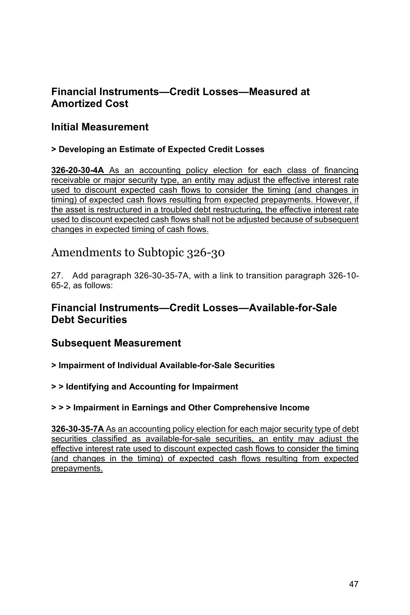## **Financial Instruments—Credit Losses—Measured at Amortized Cost**

## **Initial Measurement**

### **> Developing an Estimate of Expected Credit Losses**

**326-20-30-4A** As an accounting policy election for each class of financing receivable or major security type, an entity may adjust the effective interest rate used to discount expected cash flows to consider the timing (and changes in timing) of expected cash flows resulting from expected prepayments. However, if the asset is restructured in a troubled debt restructuring, the effective interest rate used to discount expected cash flows shall not be adjusted because of subsequent changes in expected timing of cash flows.

# Amendments to Subtopic 326-30

27. Add paragraph 326-30-35-7A, with a link to transition paragraph 326-10- 65-2, as follows:

### **Financial Instruments—Credit Losses—Available-for-Sale Debt Securities**

### **Subsequent Measurement**

**> Impairment of Individual Available-for-Sale Securities** 

**> > Identifying and Accounting for Impairment** 

### **> > > Impairment in Earnings and Other Comprehensive Income**

**326-30-35-7A** As an accounting policy election for each major security type of debt securities classified as available-for-sale securities, an entity may adjust the effective interest rate used to discount expected cash flows to consider the timing (and changes in the timing) of expected cash flows resulting from expected prepayments.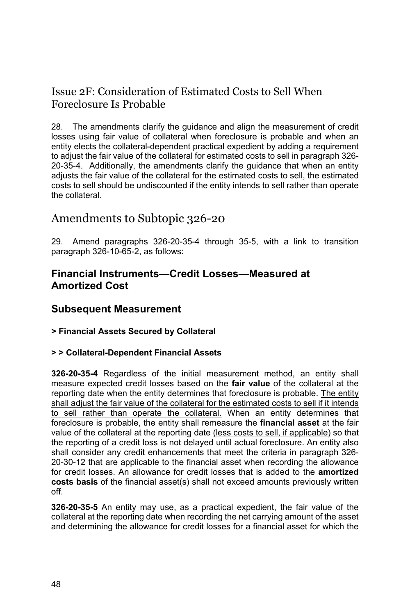# Issue 2F: Consideration of Estimated Costs to Sell When Foreclosure Is Probable

28. The amendments clarify the guidance and align the measurement of credit losses using fair value of collateral when foreclosure is probable and when an entity elects the collateral-dependent practical expedient by adding a requirement to adjust the fair value of the collateral for estimated costs to sell in paragraph 326- 20-35-4. Additionally, the amendments clarify the guidance that when an entity adjusts the fair value of the collateral for the estimated costs to sell, the estimated costs to sell should be undiscounted if the entity intends to sell rather than operate the collateral.

# Amendments to Subtopic 326-20

29. Amend paragraphs 326-20-35-4 through 35-5, with a link to transition paragraph 326-10-65-2, as follows:

### **Financial Instruments—Credit Losses—Measured at Amortized Cost**

### **Subsequent Measurement**

#### **> Financial Assets Secured by Collateral**

#### **> > Collateral-Dependent Financial Assets**

**326-20-35-4** Regardless of the initial measurement method, an entity shall measure expected credit losses based on the **fair value** of the collateral at the reporting date when the entity determines that foreclosure is probable. The entity shall adjust the fair value of the collateral for the estimated costs to sell if it intends to sell rather than operate the collateral. When an entity determines that foreclosure is probable, the entity shall remeasure the **financial asset** at the fair value of the collateral at the reporting date (less costs to sell, if applicable) so that the reporting of a credit loss is not delayed until actual foreclosure. An entity also shall consider any credit enhancements that meet the criteria in paragraph 326- 20-30-12 that are applicable to the financial asset when recording the allowance for credit losses. An allowance for credit losses that is added to the **amortized costs basis** of the financial asset(s) shall not exceed amounts previously written off.

**326-20-35-5** An entity may use, as a practical expedient, the fair value of the collateral at the reporting date when recording the net carrying amount of the asset and determining the allowance for credit losses for a financial asset for which the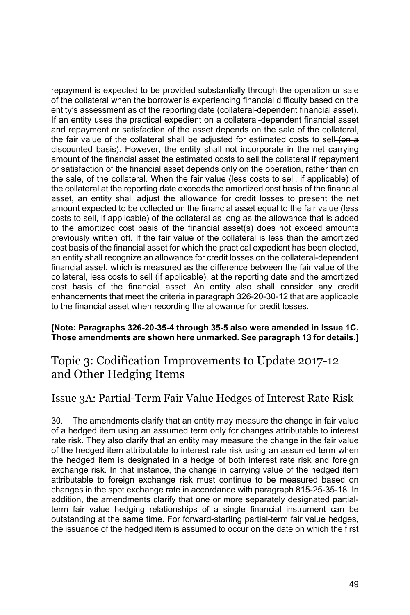repayment is expected to be provided substantially through the operation or sale of the collateral when the borrower is experiencing financial difficulty based on the entity's assessment as of the reporting date (collateral-dependent financial asset). If an entity uses the practical expedient on a collateral-dependent financial asset and repayment or satisfaction of the asset depends on the sale of the collateral, the fair value of the collateral shall be adjusted for estimated costs to sell-(on a discounted basis). However, the entity shall not incorporate in the net carrying amount of the financial asset the estimated costs to sell the collateral if repayment or satisfaction of the financial asset depends only on the operation, rather than on the sale, of the collateral. When the fair value (less costs to sell, if applicable) of the collateral at the reporting date exceeds the amortized cost basis of the financial asset, an entity shall adjust the allowance for credit losses to present the net amount expected to be collected on the financial asset equal to the fair value (less costs to sell, if applicable) of the collateral as long as the allowance that is added to the amortized cost basis of the financial asset(s) does not exceed amounts previously written off. If the fair value of the collateral is less than the amortized cost basis of the financial asset for which the practical expedient has been elected, an entity shall recognize an allowance for credit losses on the collateral-dependent financial asset, which is measured as the difference between the fair value of the collateral, less costs to sell (if applicable), at the reporting date and the amortized cost basis of the financial asset. An entity also shall consider any credit enhancements that meet the criteria in paragraph 326-20-30-12 that are applicable to the financial asset when recording the allowance for credit losses.

#### **[Note: Paragraphs 326-20-35-4 through 35-5 also were amended in Issue 1C. Those amendments are shown here unmarked. See paragraph 13 for details.]**

# Topic 3: Codification Improvements to Update 2017-12 and Other Hedging Items

## Issue 3A: Partial-Term Fair Value Hedges of Interest Rate Risk

30. The amendments clarify that an entity may measure the change in fair value of a hedged item using an assumed term only for changes attributable to interest rate risk. They also clarify that an entity may measure the change in the fair value of the hedged item attributable to interest rate risk using an assumed term when the hedged item is designated in a hedge of both interest rate risk and foreign exchange risk. In that instance, the change in carrying value of the hedged item attributable to foreign exchange risk must continue to be measured based on changes in the spot exchange rate in accordance with paragraph 815-25-35-18. In addition, the amendments clarify that one or more separately designated partialterm fair value hedging relationships of a single financial instrument can be outstanding at the same time. For forward-starting partial-term fair value hedges, the issuance of the hedged item is assumed to occur on the date on which the first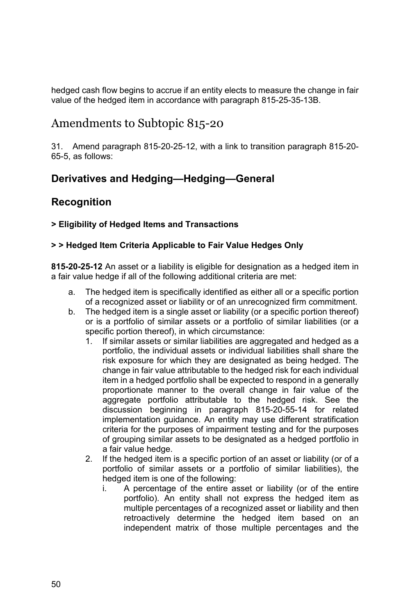hedged cash flow begins to accrue if an entity elects to measure the change in fair value of the hedged item in accordance with paragraph 815-25-35-13B.

# Amendments to Subtopic 815-20

31. Amend paragraph 815-20-25-12, with a link to transition paragraph 815-20- 65-5, as follows:

# **Derivatives and Hedging—Hedging—General**

# **Recognition**

### **> Eligibility of Hedged Items and Transactions**

### **> > Hedged Item Criteria Applicable to Fair Value Hedges Only**

**815-20-25-12** An asset or a liability is eligible for designation as a hedged item in a fair value hedge if all of the following additional criteria are met:

- a. The hedged item is specifically identified as either all or a specific portion of a recognized asset or liability or of an unrecognized firm commitment.
- b. The hedged item is a single asset or liability (or a specific portion thereof) or is a portfolio of similar assets or a portfolio of similar liabilities (or a specific portion thereof), in which circumstance:
	- 1. If similar assets or similar liabilities are aggregated and hedged as a portfolio, the individual assets or individual liabilities shall share the risk exposure for which they are designated as being hedged. The change in fair value attributable to the hedged risk for each individual item in a hedged portfolio shall be expected to respond in a generally proportionate manner to the overall change in fair value of the aggregate portfolio attributable to the hedged risk. See the discussion beginning in paragraph 815-20-55-14 for related implementation guidance. An entity may use different stratification criteria for the purposes of impairment testing and for the purposes of grouping similar assets to be designated as a hedged portfolio in a fair value hedge.
	- 2. If the hedged item is a specific portion of an asset or liability (or of a portfolio of similar assets or a portfolio of similar liabilities), the hedged item is one of the following:
		- i. A percentage of the entire asset or liability (or of the entire portfolio). An entity shall not express the hedged item as multiple percentages of a recognized asset or liability and then retroactively determine the hedged item based on an independent matrix of those multiple percentages and the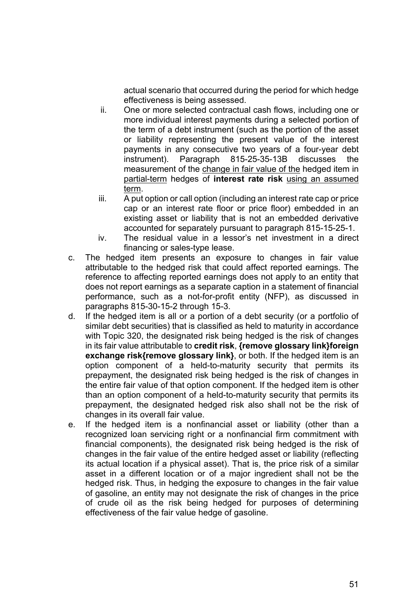actual scenario that occurred during the period for which hedge effectiveness is being assessed.

- ii. One or more selected contractual cash flows, including one or more individual interest payments during a selected portion of the term of a debt instrument (such as the portion of the asset or liability representing the present value of the interest payments in any consecutive two years of a four-year debt instrument). Paragraph 815-25-35-13B discusses the measurement of the change in fair value of the hedged item in partial-term hedges of **interest rate risk** using an assumed term.
- iii. A put option or call option (including an interest rate cap or price cap or an interest rate floor or price floor) embedded in an existing asset or liability that is not an embedded derivative accounted for separately pursuant to paragraph 815-15-25-1.
- iv. The residual value in a lessor's net investment in a direct financing or sales-type lease.
- c. The hedged item presents an exposure to changes in fair value attributable to the hedged risk that could affect reported earnings. The reference to affecting reported earnings does not apply to an entity that does not report earnings as a separate caption in a statement of financial performance, such as a not-for-profit entity (NFP), as discussed in paragraphs 815-30-15-2 through 15-3.
- d. If the hedged item is all or a portion of a debt security (or a portfolio of similar debt securities) that is classified as held to maturity in accordance with Topic 320, the designated risk being hedged is the risk of changes in its fair value attributable to **credit risk**, **{remove glossary link}foreign exchange risk{remove glossary link}**, or both. If the hedged item is an option component of a held-to-maturity security that permits its prepayment, the designated risk being hedged is the risk of changes in the entire fair value of that option component. If the hedged item is other than an option component of a held-to-maturity security that permits its prepayment, the designated hedged risk also shall not be the risk of changes in its overall fair value.
- e. If the hedged item is a nonfinancial asset or liability (other than a recognized loan servicing right or a nonfinancial firm commitment with financial components), the designated risk being hedged is the risk of changes in the fair value of the entire hedged asset or liability (reflecting its actual location if a physical asset). That is, the price risk of a similar asset in a different location or of a major ingredient shall not be the hedged risk. Thus, in hedging the exposure to changes in the fair value of gasoline, an entity may not designate the risk of changes in the price of crude oil as the risk being hedged for purposes of determining effectiveness of the fair value hedge of gasoline.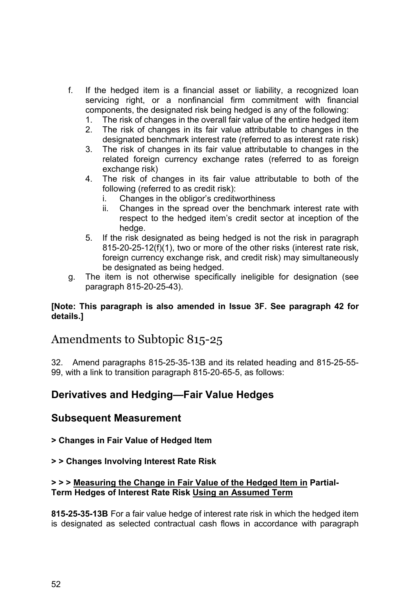- f. If the hedged item is a financial asset or liability, a recognized loan servicing right, or a nonfinancial firm commitment with financial components, the designated risk being hedged is any of the following:
	- 1. The risk of changes in the overall fair value of the entire hedged item
	- 2. The risk of changes in its fair value attributable to changes in the designated benchmark interest rate (referred to as interest rate risk)
	- 3. The risk of changes in its fair value attributable to changes in the related foreign currency exchange rates (referred to as foreign exchange risk)
	- 4. The risk of changes in its fair value attributable to both of the following (referred to as credit risk):
		- i. Changes in the obligor's creditworthiness
		- ii. Changes in the spread over the benchmark interest rate with respect to the hedged item's credit sector at inception of the hedge.
	- 5. If the risk designated as being hedged is not the risk in paragraph 815-20-25-12(f)(1), two or more of the other risks (interest rate risk, foreign currency exchange risk, and credit risk) may simultaneously be designated as being hedged.
- g. The item is not otherwise specifically ineligible for designation (see paragraph 815-20-25-43).

#### **[Note: This paragraph is also amended in Issue 3F. See paragraph 42 for details.]**

# Amendments to Subtopic 815-25

32. Amend paragraphs 815-25-35-13B and its related heading and 815-25-55- 99, with a link to transition paragraph 815-20-65-5, as follows:

## **Derivatives and Hedging—Fair Value Hedges**

### **Subsequent Measurement**

**> Changes in Fair Value of Hedged Item** 

#### **> > Changes Involving Interest Rate Risk**

#### **> > > Measuring the Change in Fair Value of the Hedged Item in Partial-Term Hedges of Interest Rate Risk Using an Assumed Term**

**815-25-35-13B** For a fair value hedge of interest rate risk in which the hedged item is designated as selected contractual cash flows in accordance with paragraph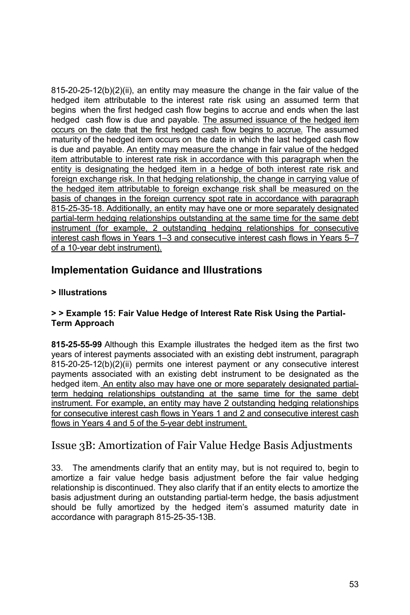815-20-25-12(b)(2)(ii), an entity may measure the change in the fair value of the hedged item attributable to the interest rate risk using an assumed term that begins when the first hedged cash flow begins to accrue and ends when the last hedged cash flow is due and payable. The assumed issuance of the hedged item occurs on the date that the first hedged cash flow begins to accrue. The assumed maturity of the hedged item occurs on the date in which the last hedged cash flow is due and payable. An entity may measure the change in fair value of the hedged item attributable to interest rate risk in accordance with this paragraph when the entity is designating the hedged item in a hedge of both interest rate risk and foreign exchange risk. In that hedging relationship, the change in carrying value of the hedged item attributable to foreign exchange risk shall be measured on the basis of changes in the foreign currency spot rate in accordance with paragraph 815-25-35-18. Additionally, an entity may have one or more separately designated partial-term hedging relationships outstanding at the same time for the same debt instrument (for example, 2 outstanding hedging relationships for consecutive interest cash flows in Years 1–3 and consecutive interest cash flows in Years 5–7 of a 10-year debt instrument).

## **Implementation Guidance and Illustrations**

### **> Illustrations**

#### **> > Example 15: Fair Value Hedge of Interest Rate Risk Using the Partial-Term Approach**

**815-25-55-99** Although this Example illustrates the hedged item as the first two years of interest payments associated with an existing debt instrument, paragraph 815-20-25-12(b)(2)(ii) permits one interest payment or any consecutive interest payments associated with an existing debt instrument to be designated as the hedged item. An entity also may have one or more separately designated partialterm hedging relationships outstanding at the same time for the same debt instrument. For example, an entity may have 2 outstanding hedging relationships for consecutive interest cash flows in Years 1 and 2 and consecutive interest cash flows in Years 4 and 5 of the 5-year debt instrument.

# Issue 3B: Amortization of Fair Value Hedge Basis Adjustments

33. The amendments clarify that an entity may, but is not required to, begin to amortize a fair value hedge basis adjustment before the fair value hedging relationship is discontinued. They also clarify that if an entity elects to amortize the basis adjustment during an outstanding partial-term hedge, the basis adjustment should be fully amortized by the hedged item's assumed maturity date in accordance with paragraph 815-25-35-13B.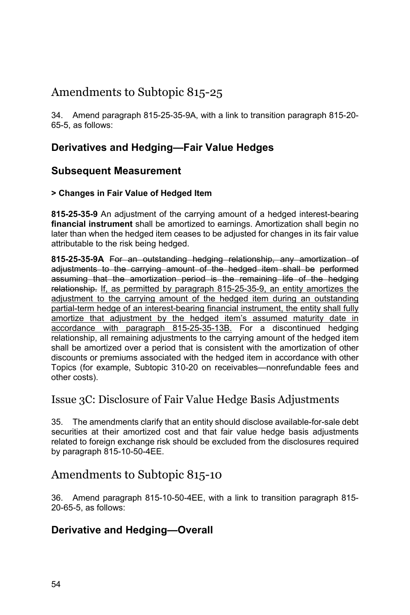# Amendments to Subtopic 815-25

34. Amend paragraph 815-25-35-9A, with a link to transition paragraph 815-20- 65-5, as follows:

# **Derivatives and Hedging—Fair Value Hedges**

## **Subsequent Measurement**

### **> Changes in Fair Value of Hedged Item**

**815-25-35-9** An adjustment of the carrying amount of a hedged interest-bearing **financial instrument** shall be amortized to earnings. Amortization shall begin no later than when the hedged item ceases to be adjusted for changes in its fair value attributable to the risk being hedged.

**815-25-35-9A** For an outstanding hedging relationship, any amortization of adjustments to the carrying amount of the hedged item shall be performed assuming that the amortization period is the remaining life of the hedging relationship. If, as permitted by paragraph 815-25-35-9, an entity amortizes the adjustment to the carrying amount of the hedged item during an outstanding partial-term hedge of an interest-bearing financial instrument, the entity shall fully amortize that adjustment by the hedged item's assumed maturity date in accordance with paragraph 815-25-35-13B. For a discontinued hedging relationship, all remaining adjustments to the carrying amount of the hedged item shall be amortized over a period that is consistent with the amortization of other discounts or premiums associated with the hedged item in accordance with other Topics (for example, Subtopic 310-20 on receivables—nonrefundable fees and other costs).

## Issue 3C: Disclosure of Fair Value Hedge Basis Adjustments

35. The amendments clarify that an entity should disclose available-for-sale debt securities at their amortized cost and that fair value hedge basis adjustments related to foreign exchange risk should be excluded from the disclosures required by paragraph 815-10-50-4EE.

# Amendments to Subtopic 815-10

36. Amend paragraph 815-10-50-4EE, with a link to transition paragraph 815- 20-65-5, as follows:

## **Derivative and Hedging—Overall**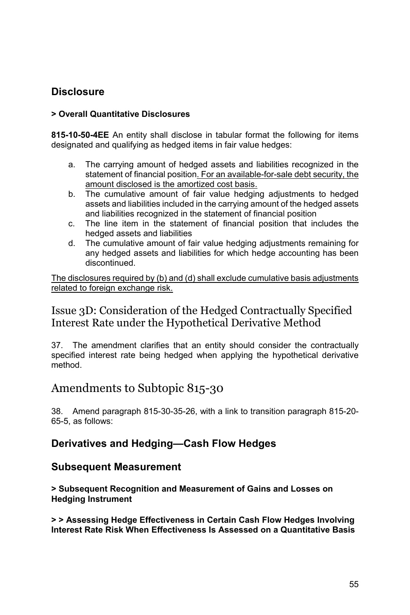# **Disclosure**

### **> Overall Quantitative Disclosures**

**815-10-50-4EE** An entity shall disclose in tabular format the following for items designated and qualifying as hedged items in fair value hedges:

- a. The carrying amount of hedged assets and liabilities recognized in the statement of financial position. For an available-for-sale debt security, the amount disclosed is the amortized cost basis.
- b. The cumulative amount of fair value hedging adjustments to hedged assets and liabilities included in the carrying amount of the hedged assets and liabilities recognized in the statement of financial position
- c. The line item in the statement of financial position that includes the hedged assets and liabilities
- d. The cumulative amount of fair value hedging adjustments remaining for any hedged assets and liabilities for which hedge accounting has been discontinued.

The disclosures required by (b) and (d) shall exclude cumulative basis adjustments related to foreign exchange risk.

## Issue 3D: Consideration of the Hedged Contractually Specified Interest Rate under the Hypothetical Derivative Method

37. The amendment clarifies that an entity should consider the contractually specified interest rate being hedged when applying the hypothetical derivative method.

# Amendments to Subtopic 815-30

38. Amend paragraph 815-30-35-26, with a link to transition paragraph 815-20- 65-5, as follows:

## **Derivatives and Hedging—Cash Flow Hedges**

### **Subsequent Measurement**

**> Subsequent Recognition and Measurement of Gains and Losses on Hedging Instrument** 

**> > Assessing Hedge Effectiveness in Certain Cash Flow Hedges Involving Interest Rate Risk When Effectiveness Is Assessed on a Quantitative Basis**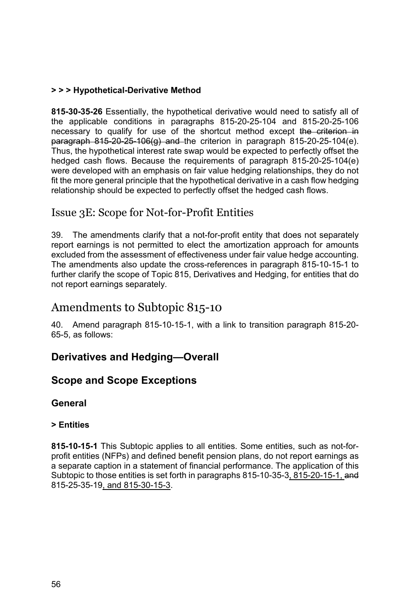### **> > > Hypothetical-Derivative Method**

**815-30-35-26** Essentially, the hypothetical derivative would need to satisfy all of the applicable conditions in paragraphs 815-20-25-104 and 815-20-25-106 necessary to qualify for use of the shortcut method except the criterion in paragraph  $815-20-25-106(g)$  and the criterion in paragraph  $815-20-25-104(e)$ . Thus, the hypothetical interest rate swap would be expected to perfectly offset the hedged cash flows. Because the requirements of paragraph 815-20-25-104(e) were developed with an emphasis on fair value hedging relationships, they do not fit the more general principle that the hypothetical derivative in a cash flow hedging relationship should be expected to perfectly offset the hedged cash flows.

## Issue 3E: Scope for Not-for-Profit Entities

39. The amendments clarify that a not-for-profit entity that does not separately report earnings is not permitted to elect the amortization approach for amounts excluded from the assessment of effectiveness under fair value hedge accounting. The amendments also update the cross-references in paragraph 815-10-15-1 to further clarify the scope of Topic 815, Derivatives and Hedging, for entities that do not report earnings separately.

# Amendments to Subtopic 815-10

40. Amend paragraph 815-10-15-1, with a link to transition paragraph 815-20- 65-5, as follows:

## **Derivatives and Hedging—Overall**

### **Scope and Scope Exceptions**

### **General**

### **> Entities**

**815-10-15-1** This Subtopic applies to all entities. Some entities, such as not-forprofit entities (NFPs) and defined benefit pension plans, do not report earnings as a separate caption in a statement of financial performance. The application of this Subtopic to those entities is set forth in paragraphs 815-10-35-3, 815-20-15-1, and 815-25-35-19, and 815-30-15-3.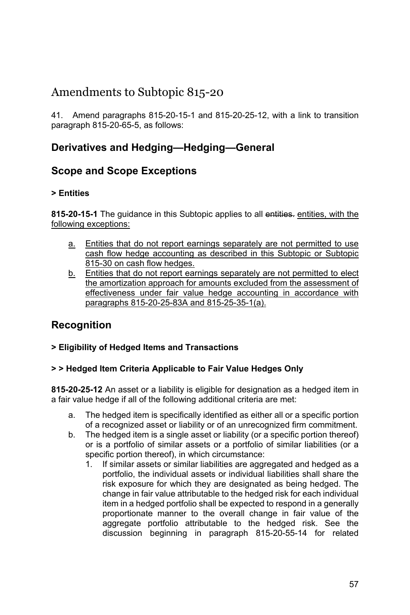# Amendments to Subtopic 815-20

41. Amend paragraphs 815-20-15-1 and 815-20-25-12, with a link to transition paragraph 815-20-65-5, as follows:

## **Derivatives and Hedging—Hedging—General**

## **Scope and Scope Exceptions**

### **> Entities**

**815-20-15-1** The guidance in this Subtopic applies to all entities. entities, with the following exceptions:

- a. Entities that do not report earnings separately are not permitted to use cash flow hedge accounting as described in this Subtopic or Subtopic 815-30 on cash flow hedges.
- b. Entities that do not report earnings separately are not permitted to elect the amortization approach for amounts excluded from the assessment of effectiveness under fair value hedge accounting in accordance with paragraphs 815-20-25-83A and 815-25-35-1(a).

# **Recognition**

### **> Eligibility of Hedged Items and Transactions**

### **> > Hedged Item Criteria Applicable to Fair Value Hedges Only**

**815-20-25-12** An asset or a liability is eligible for designation as a hedged item in a fair value hedge if all of the following additional criteria are met:

- a. The hedged item is specifically identified as either all or a specific portion of a recognized asset or liability or of an unrecognized firm commitment.
- b. The hedged item is a single asset or liability (or a specific portion thereof) or is a portfolio of similar assets or a portfolio of similar liabilities (or a specific portion thereof), in which circumstance:
	- 1. If similar assets or similar liabilities are aggregated and hedged as a portfolio, the individual assets or individual liabilities shall share the risk exposure for which they are designated as being hedged. The change in fair value attributable to the hedged risk for each individual item in a hedged portfolio shall be expected to respond in a generally proportionate manner to the overall change in fair value of the aggregate portfolio attributable to the hedged risk. See the discussion beginning in paragraph 815-20-55-14 for related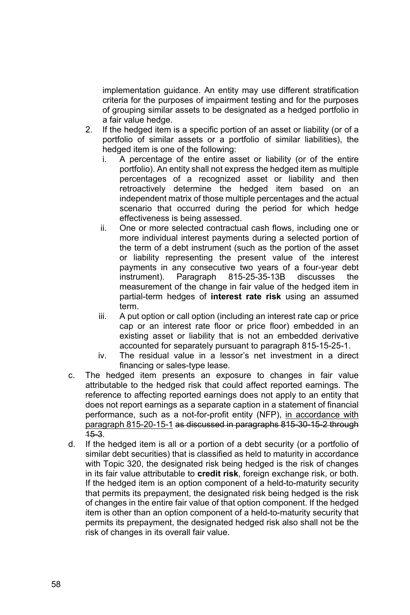implementation guidance. An entity may use different stratification criteria for the purposes of impairment testing and for the purposes of grouping similar assets to be designated as a hedged portfolio in a fair value hedge.

- 2. If the hedged item is a specific portion of an asset or liability (or of a portfolio of similar assets or a portfolio of similar liabilities), the hedged item is one of the following:
	- i. A percentage of the entire asset or liability (or of the entire portfolio). An entity shall not express the hedged item as multiple percentages of a recognized asset or liability and then retroactively determine the hedged item based on an independent matrix of those multiple percentages and the actual scenario that occurred during the period for which hedge effectiveness is being assessed.
	- ii. One or more selected contractual cash flows, including one or more individual interest payments during a selected portion of the term of a debt instrument (such as the portion of the asset or liability representing the present value of the interest payments in any consecutive two years of a four-year debt instrument). Paragraph 815-25-35-13B discusses the measurement of the change in fair value of the hedged item in partial-term hedges of **interest rate risk** using an assumed term.
	- iii. A put option or call option (including an interest rate cap or price cap or an interest rate floor or price floor) embedded in an existing asset or liability that is not an embedded derivative accounted for separately pursuant to paragraph 815-15-25-1.
	- iv. The residual value in a lessor's net investment in a direct financing or sales-type lease.
- c. The hedged item presents an exposure to changes in fair value attributable to the hedged risk that could affect reported earnings. The reference to affecting reported earnings does not apply to an entity that does not report earnings as a separate caption in a statement of financial performance, such as a not-for-profit entity (NFP), in accordance with paragraph 815-20-15-1 as discussed in paragraphs 815-30-15-2 through 15-3.
- d. If the hedged item is all or a portion of a debt security (or a portfolio of similar debt securities) that is classified as held to maturity in accordance with Topic 320, the designated risk being hedged is the risk of changes in its fair value attributable to **credit risk**, foreign exchange risk, or both. If the hedged item is an option component of a held-to-maturity security that permits its prepayment, the designated risk being hedged is the risk of changes in the entire fair value of that option component. If the hedged item is other than an option component of a held-to-maturity security that permits its prepayment, the designated hedged risk also shall not be the risk of changes in its overall fair value.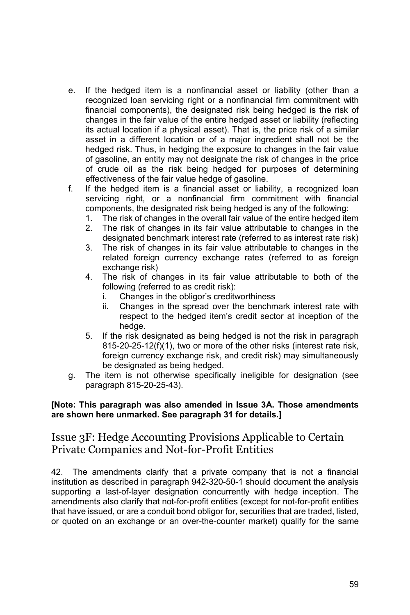- e. If the hedged item is a nonfinancial asset or liability (other than a recognized loan servicing right or a nonfinancial firm commitment with financial components), the designated risk being hedged is the risk of changes in the fair value of the entire hedged asset or liability (reflecting its actual location if a physical asset). That is, the price risk of a similar asset in a different location or of a major ingredient shall not be the hedged risk. Thus, in hedging the exposure to changes in the fair value of gasoline, an entity may not designate the risk of changes in the price of crude oil as the risk being hedged for purposes of determining effectiveness of the fair value hedge of gasoline.
- f. If the hedged item is a financial asset or liability, a recognized loan servicing right, or a nonfinancial firm commitment with financial components, the designated risk being hedged is any of the following:
	- 1. The risk of changes in the overall fair value of the entire hedged item
	- 2. The risk of changes in its fair value attributable to changes in the designated benchmark interest rate (referred to as interest rate risk)
	- 3. The risk of changes in its fair value attributable to changes in the related foreign currency exchange rates (referred to as foreign exchange risk)
	- 4. The risk of changes in its fair value attributable to both of the following (referred to as credit risk):
		- i. Changes in the obligor's creditworthiness
		- ii. Changes in the spread over the benchmark interest rate with respect to the hedged item's credit sector at inception of the hedge.
	- 5. If the risk designated as being hedged is not the risk in paragraph 815-20-25-12(f)(1), two or more of the other risks (interest rate risk, foreign currency exchange risk, and credit risk) may simultaneously be designated as being hedged.
- g. The item is not otherwise specifically ineligible for designation (see paragraph 815-20-25-43).

#### **[Note: This paragraph was also amended in Issue 3A. Those amendments are shown here unmarked. See paragraph 31 for details.]**

## Issue 3F: Hedge Accounting Provisions Applicable to Certain Private Companies and Not-for-Profit Entities

42. The amendments clarify that a private company that is not a financial institution as described in paragraph 942-320-50-1 should document the analysis supporting a last-of-layer designation concurrently with hedge inception. The amendments also clarify that not-for-profit entities (except for not-for-profit entities that have issued, or are a conduit bond obligor for, securities that are traded, listed, or quoted on an exchange or an over-the-counter market) qualify for the same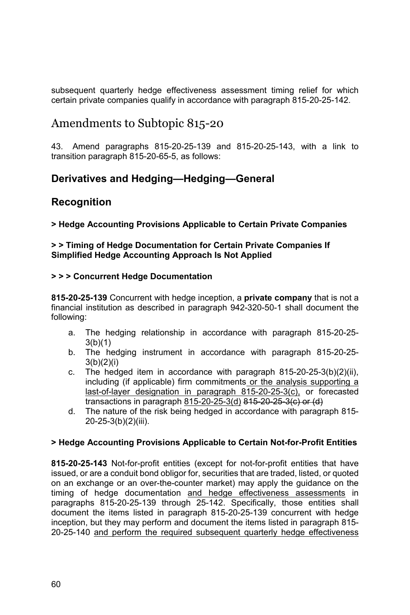subsequent quarterly hedge effectiveness assessment timing relief for which certain private companies qualify in accordance with paragraph 815-20-25-142.

# Amendments to Subtopic 815-20

43. Amend paragraphs 815-20-25-139 and 815-20-25-143, with a link to transition paragraph 815-20-65-5, as follows:

# **Derivatives and Hedging—Hedging—General**

## **Recognition**

**> Hedge Accounting Provisions Applicable to Certain Private Companies** 

#### **> > Timing of Hedge Documentation for Certain Private Companies If Simplified Hedge Accounting Approach Is Not Applied**

#### **> > > Concurrent Hedge Documentation**

**815-20-25-139** Concurrent with hedge inception, a **private company** that is not a financial institution as described in paragraph 942-320-50-1 shall document the following:

- a. The hedging relationship in accordance with paragraph 815-20-25- 3(b)(1)
- b. The hedging instrument in accordance with paragraph 815-20-25-  $3(b)(2)(i)$
- c. The hedged item in accordance with paragraph 815-20-25-3(b)(2)(ii), including (if applicable) firm commitments or the analysis supporting a last-of-layer designation in paragraph 815-20-25-3(c), or forecasted transactions in paragraph 815-20-25-3(d)  $815-20-25-3(c)$  or  $(d)$
- d. The nature of the risk being hedged in accordance with paragraph 815- 20-25-3(b)(2)(iii).

### **> Hedge Accounting Provisions Applicable to Certain Not-for-Profit Entities**

**815-20-25-143** Not-for-profit entities (except for not-for-profit entities that have issued, or are a conduit bond obligor for, securities that are traded, listed, or quoted on an exchange or an over-the-counter market) may apply the guidance on the timing of hedge documentation and hedge effectiveness assessments in paragraphs 815-20-25-139 through 25-142. Specifically, those entities shall document the items listed in paragraph 815-20-25-139 concurrent with hedge inception, but they may perform and document the items listed in paragraph 815- 20-25-140 and perform the required subsequent quarterly hedge effectiveness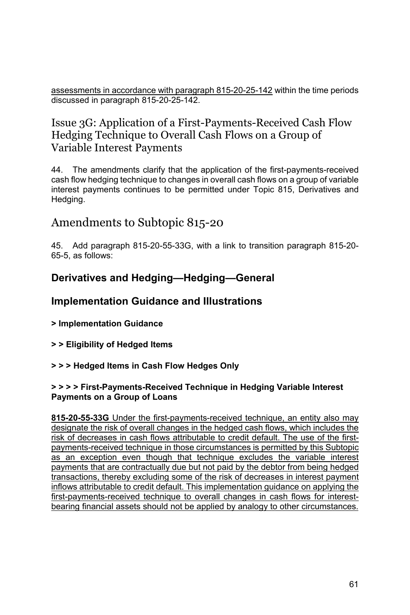assessments in accordance with paragraph 815-20-25-142 within the time periods discussed in paragraph 815-20-25-142.

# Issue 3G: Application of a First-Payments-Received Cash Flow Hedging Technique to Overall Cash Flows on a Group of Variable Interest Payments

44. The amendments clarify that the application of the first-payments-received cash flow hedging technique to changes in overall cash flows on a group of variable interest payments continues to be permitted under Topic 815, Derivatives and Hedging.

# Amendments to Subtopic 815-20

45. Add paragraph 815-20-55-33G, with a link to transition paragraph 815-20- 65-5, as follows:

## **Derivatives and Hedging—Hedging—General**

## **Implementation Guidance and Illustrations**

- **> Implementation Guidance**
- **> > Eligibility of Hedged Items**

#### **> > > Hedged Items in Cash Flow Hedges Only**

#### **> > > > First-Payments-Received Technique in Hedging Variable Interest Payments on a Group of Loans**

**815-20-55-33G** Under the first-payments-received technique, an entity also may designate the risk of overall changes in the hedged cash flows, which includes the risk of decreases in cash flows attributable to credit default. The use of the firstpayments-received technique in those circumstances is permitted by this Subtopic as an exception even though that technique excludes the variable interest payments that are contractually due but not paid by the debtor from being hedged transactions, thereby excluding some of the risk of decreases in interest payment inflows attributable to credit default. This implementation guidance on applying the first-payments-received technique to overall changes in cash flows for interestbearing financial assets should not be applied by analogy to other circumstances.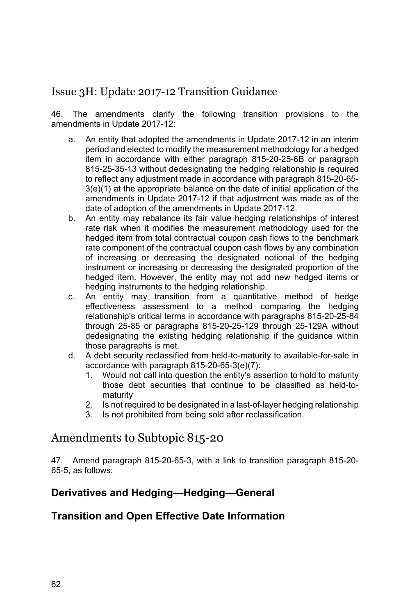# Issue 3H: Update 2017-12 Transition Guidance

46. The amendments clarify the following transition provisions to the amendments in Update 2017-12:

- a. An entity that adopted the amendments in Update 2017-12 in an interim period and elected to modify the measurement methodology for a hedged item in accordance with either paragraph 815-20-25-6B or paragraph 815-25-35-13 without dedesignating the hedging relationship is required to reflect any adjustment made in accordance with paragraph 815-20-65- 3(e)(1) at the appropriate balance on the date of initial application of the amendments in Update 2017-12 if that adjustment was made as of the date of adoption of the amendments in Update 2017-12.
- b. An entity may rebalance its fair value hedging relationships of interest rate risk when it modifies the measurement methodology used for the hedged item from total contractual coupon cash flows to the benchmark rate component of the contractual coupon cash flows by any combination of increasing or decreasing the designated notional of the hedging instrument or increasing or decreasing the designated proportion of the hedged item. However, the entity may not add new hedged items or hedging instruments to the hedging relationship.
- c. An entity may transition from a quantitative method of hedge effectiveness assessment to a method comparing the hedging relationship's critical terms in accordance with paragraphs 815-20-25-84 through 25-85 or paragraphs 815-20-25-129 through 25-129A without dedesignating the existing hedging relationship if the guidance within those paragraphs is met.
- d. A debt security reclassified from held-to-maturity to available-for-sale in accordance with paragraph 815-20-65-3(e)(7):
	- 1. Would not call into question the entity's assertion to hold to maturity those debt securities that continue to be classified as held-tomaturity
	- 2. Is not required to be designated in a last-of-layer hedging relationship
	- 3. Is not prohibited from being sold after reclassification.

# Amendments to Subtopic 815-20

47. Amend paragraph 815-20-65-3, with a link to transition paragraph 815-20- 65-5, as follows:

## **Derivatives and Hedging—Hedging—General**

## **Transition and Open Effective Date Information**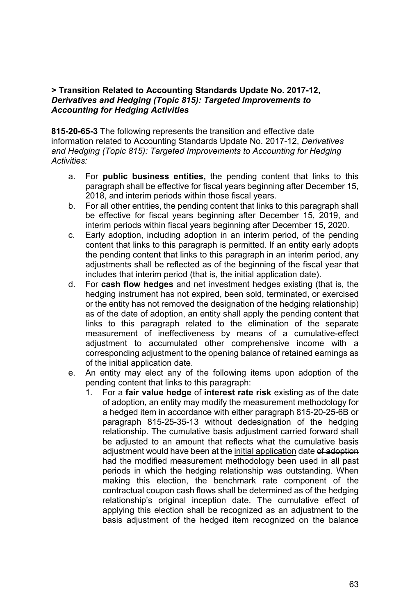#### **> Transition Related to Accounting Standards Update No. 2017-12,**  *Derivatives and Hedging (Topic 815): Targeted Improvements to Accounting for Hedging Activities*

**815-20-65-3** The following represents the transition and effective date information related to Accounting Standards Update No. 2017-12, *Derivatives and Hedging (Topic 815): Targeted Improvements to Accounting for Hedging Activities:* 

- a. For **public business entities,** the pending content that links to this paragraph shall be effective for fiscal years beginning after December 15, 2018, and interim periods within those fiscal years.
- b. For all other entities, the pending content that links to this paragraph shall be effective for fiscal years beginning after December 15, 2019, and interim periods within fiscal years beginning after December 15, 2020.
- c. Early adoption, including adoption in an interim period, of the pending content that links to this paragraph is permitted. If an entity early adopts the pending content that links to this paragraph in an interim period, any adjustments shall be reflected as of the beginning of the fiscal year that includes that interim period (that is, the initial application date).
- d. For **cash flow hedges** and net investment hedges existing (that is, the hedging instrument has not expired, been sold, terminated, or exercised or the entity has not removed the designation of the hedging relationship) as of the date of adoption, an entity shall apply the pending content that links to this paragraph related to the elimination of the separate measurement of ineffectiveness by means of a cumulative-effect adjustment to accumulated other comprehensive income with a corresponding adjustment to the opening balance of retained earnings as of the initial application date.
- e. An entity may elect any of the following items upon adoption of the pending content that links to this paragraph:
	- 1. For a **fair value hedge** of **interest rate risk** existing as of the date of adoption, an entity may modify the measurement methodology for a hedged item in accordance with either paragraph 815-20-25-6B or paragraph 815-25-35-13 without dedesignation of the hedging relationship. The cumulative basis adjustment carried forward shall be adjusted to an amount that reflects what the cumulative basis adjustment would have been at the initial application date of adoption had the modified measurement methodology been used in all past periods in which the hedging relationship was outstanding. When making this election, the benchmark rate component of the contractual coupon cash flows shall be determined as of the hedging relationship's original inception date. The cumulative effect of applying this election shall be recognized as an adjustment to the basis adjustment of the hedged item recognized on the balance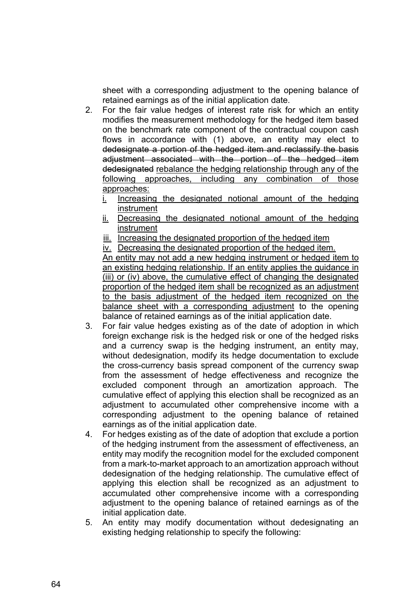sheet with a corresponding adjustment to the opening balance of retained earnings as of the initial application date.

- 2. For the fair value hedges of interest rate risk for which an entity modifies the measurement methodology for the hedged item based on the benchmark rate component of the contractual coupon cash flows in accordance with (1) above, an entity may elect to dedesignate a portion of the hedged item and reclassify the basis adjustment associated with the portion of the hedged item dedesignated rebalance the hedging relationship through any of the following approaches, including any combination of those approaches:
	- i. Increasing the designated notional amount of the hedging instrument
	- ii. Decreasing the designated notional amount of the hedging instrument
	- iii. Increasing the designated proportion of the hedged item
	- iv. Decreasing the designated proportion of the hedged item.

An entity may not add a new hedging instrument or hedged item to an existing hedging relationship. If an entity applies the guidance in (iii) or (iv) above, the cumulative effect of changing the designated proportion of the hedged item shall be recognized as an adjustment to the basis adjustment of the hedged item recognized on the balance sheet with a corresponding adjustment to the opening balance of retained earnings as of the initial application date.

- 3. For fair value hedges existing as of the date of adoption in which foreign exchange risk is the hedged risk or one of the hedged risks and a currency swap is the hedging instrument, an entity may, without dedesignation, modify its hedge documentation to exclude the cross-currency basis spread component of the currency swap from the assessment of hedge effectiveness and recognize the excluded component through an amortization approach. The cumulative effect of applying this election shall be recognized as an adjustment to accumulated other comprehensive income with a corresponding adjustment to the opening balance of retained earnings as of the initial application date.
- 4. For hedges existing as of the date of adoption that exclude a portion of the hedging instrument from the assessment of effectiveness, an entity may modify the recognition model for the excluded component from a mark-to-market approach to an amortization approach without dedesignation of the hedging relationship. The cumulative effect of applying this election shall be recognized as an adjustment to accumulated other comprehensive income with a corresponding adjustment to the opening balance of retained earnings as of the initial application date.
- 5. An entity may modify documentation without dedesignating an existing hedging relationship to specify the following: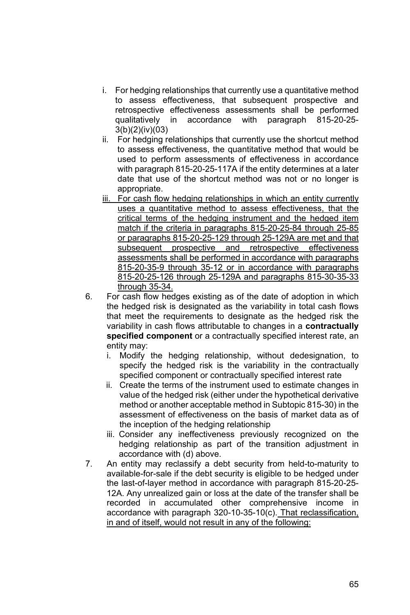- i. For hedging relationships that currently use a quantitative method to assess effectiveness, that subsequent prospective and retrospective effectiveness assessments shall be performed qualitatively in accordance with paragraph 815-20-25- 3(b)(2)(iv)(03)
- ii. For hedging relationships that currently use the shortcut method to assess effectiveness, the quantitative method that would be used to perform assessments of effectiveness in accordance with paragraph 815-20-25-117A if the entity determines at a later date that use of the shortcut method was not or no longer is appropriate.
- iii. For cash flow hedging relationships in which an entity currently uses a quantitative method to assess effectiveness, that the critical terms of the hedging instrument and the hedged item match if the criteria in paragraphs 815-20-25-84 through 25-85 or paragraphs 815-20-25-129 through 25-129A are met and that subsequent prospective and retrospective effectiveness assessments shall be performed in accordance with paragraphs 815-20-35-9 through 35-12 or in accordance with paragraphs 815-20-25-126 through 25-129A and paragraphs 815-30-35-33 through 35-34.
- 6. For cash flow hedges existing as of the date of adoption in which the hedged risk is designated as the variability in total cash flows that meet the requirements to designate as the hedged risk the variability in cash flows attributable to changes in a **contractually specified component** or a contractually specified interest rate, an entity may:
	- i. Modify the hedging relationship, without dedesignation, to specify the hedged risk is the variability in the contractually specified component or contractually specified interest rate
	- ii. Create the terms of the instrument used to estimate changes in value of the hedged risk (either under the hypothetical derivative method or another acceptable method in Subtopic 815-30) in the assessment of effectiveness on the basis of market data as of the inception of the hedging relationship
	- iii. Consider any ineffectiveness previously recognized on the hedging relationship as part of the transition adjustment in accordance with (d) above.
- 7. An entity may reclassify a debt security from held-to-maturity to available-for-sale if the debt security is eligible to be hedged under the last-of-layer method in accordance with paragraph 815-20-25- 12A. Any unrealized gain or loss at the date of the transfer shall be recorded in accumulated other comprehensive income in accordance with paragraph 320-10-35-10(c). That reclassification, in and of itself, would not result in any of the following: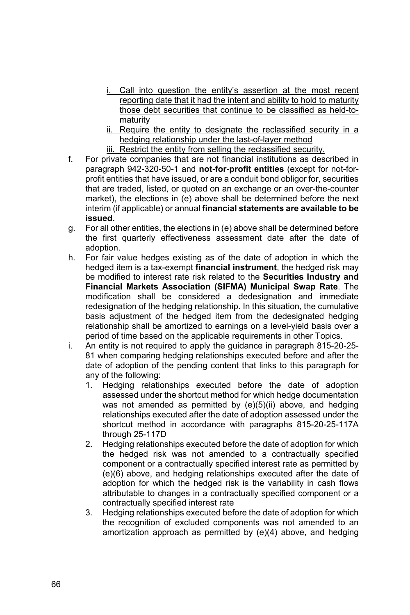- i. Call into question the entity's assertion at the most recent reporting date that it had the intent and ability to hold to maturity those debt securities that continue to be classified as held-tomaturity
- ii. Require the entity to designate the reclassified security in a hedging relationship under the last-of-layer method
- iii. Restrict the entity from selling the reclassified security.
- f. For private companies that are not financial institutions as described in paragraph 942-320-50-1 and **not-for-profit entities** (except for not-forprofit entities that have issued, or are a conduit bond obligor for, securities that are traded, listed, or quoted on an exchange or an over-the-counter market), the elections in (e) above shall be determined before the next interim (if applicable) or annual **financial statements are available to be issued.**
- g. For all other entities, the elections in (e) above shall be determined before the first quarterly effectiveness assessment date after the date of adoption.
- h. For fair value hedges existing as of the date of adoption in which the hedged item is a tax-exempt **financial instrument**, the hedged risk may be modified to interest rate risk related to the **Securities Industry and Financial Markets Association (SIFMA) Municipal Swap Rate**. The modification shall be considered a dedesignation and immediate redesignation of the hedging relationship. In this situation, the cumulative basis adjustment of the hedged item from the dedesignated hedging relationship shall be amortized to earnings on a level-yield basis over a period of time based on the applicable requirements in other Topics.
- i. An entity is not required to apply the guidance in paragraph 815-20-25- 81 when comparing hedging relationships executed before and after the date of adoption of the pending content that links to this paragraph for any of the following:
	- 1. Hedging relationships executed before the date of adoption assessed under the shortcut method for which hedge documentation was not amended as permitted by (e)(5)(ii) above, and hedging relationships executed after the date of adoption assessed under the shortcut method in accordance with paragraphs 815-20-25-117A through 25-117D
	- 2. Hedging relationships executed before the date of adoption for which the hedged risk was not amended to a contractually specified component or a contractually specified interest rate as permitted by (e)(6) above, and hedging relationships executed after the date of adoption for which the hedged risk is the variability in cash flows attributable to changes in a contractually specified component or a contractually specified interest rate
	- 3. Hedging relationships executed before the date of adoption for which the recognition of excluded components was not amended to an amortization approach as permitted by (e)(4) above, and hedging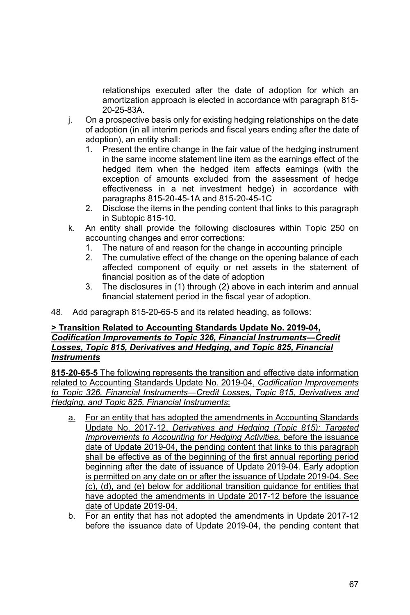relationships executed after the date of adoption for which an amortization approach is elected in accordance with paragraph 815- 20-25-83A.

- j. On a prospective basis only for existing hedging relationships on the date of adoption (in all interim periods and fiscal years ending after the date of adoption), an entity shall:
	- 1. Present the entire change in the fair value of the hedging instrument in the same income statement line item as the earnings effect of the hedged item when the hedged item affects earnings (with the exception of amounts excluded from the assessment of hedge effectiveness in a net investment hedge) in accordance with paragraphs 815-20-45-1A and 815-20-45-1C
	- 2. Disclose the items in the pending content that links to this paragraph in Subtopic 815-10.
- k. An entity shall provide the following disclosures within Topic 250 on accounting changes and error corrections:
	- 1. The nature of and reason for the change in accounting principle
	- 2. The cumulative effect of the change on the opening balance of each affected component of equity or net assets in the statement of financial position as of the date of adoption
	- 3. The disclosures in (1) through (2) above in each interim and annual financial statement period in the fiscal year of adoption.
- 48. Add paragraph 815-20-65-5 and its related heading, as follows:

#### **> Transition Related to Accounting Standards Update No. 2019-04,**  *Codification Improvements to Topic 326, Financial Instruments—Credit Losses, Topic 815, Derivatives and Hedging, and Topic 825, Financial Instruments*

**815-20-65-5** The following represents the transition and effective date information related to Accounting Standards Update No. 2019-04, *Codification Improvements to Topic 326, Financial Instruments—Credit Losses, Topic 815, Derivatives and Hedging, and Topic 825, Financial Instruments*:

- a. For an entity that has adopted the amendments in Accounting Standards Update No. 2017-12, *Derivatives and Hedging (Topic 815): Targeted Improvements to Accounting for Hedging Activities,* before the issuance date of Update 2019-04, the pending content that links to this paragraph shall be effective as of the beginning of the first annual reporting period beginning after the date of issuance of Update 2019-04. Early adoption is permitted on any date on or after the issuance of Update 2019-04. See (c), (d), and (e) below for additional transition guidance for entities that have adopted the amendments in Update 2017-12 before the issuance date of Update 2019-04.
- b. For an entity that has not adopted the amendments in Update 2017-12 before the issuance date of Update 2019-04, the pending content that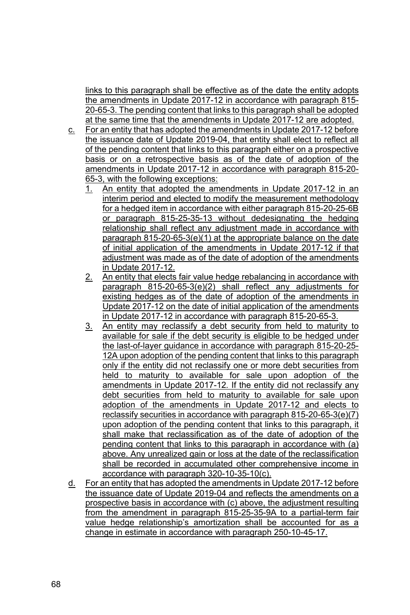links to this paragraph shall be effective as of the date the entity adopts the amendments in Update 2017-12 in accordance with paragraph 815- 20-65-3. The pending content that links to this paragraph shall be adopted at the same time that the amendments in Update 2017-12 are adopted.

- c. For an entity that has adopted the amendments in Update 2017-12 before the issuance date of Update 2019-04, that entity shall elect to reflect all of the pending content that links to this paragraph either on a prospective basis or on a retrospective basis as of the date of adoption of the amendments in Update 2017-12 in accordance with paragraph 815-20- 65-3, with the following exceptions:
	- 1. An entity that adopted the amendments in Update 2017-12 in an interim period and elected to modify the measurement methodology for a hedged item in accordance with either paragraph 815-20-25-6B or paragraph 815-25-35-13 without dedesignating the hedging relationship shall reflect any adjustment made in accordance with paragraph 815-20-65-3(e)(1) at the appropriate balance on the date of initial application of the amendments in Update 2017-12 if that adjustment was made as of the date of adoption of the amendments in Update 2017-12.
	- 2. An entity that elects fair value hedge rebalancing in accordance with paragraph 815-20-65-3(e)(2) shall reflect any adjustments for existing hedges as of the date of adoption of the amendments in Update 2017-12 on the date of initial application of the amendments in Update 2017-12 in accordance with paragraph 815-20-65-3.
	- 3. An entity may reclassify a debt security from held to maturity to available for sale if the debt security is eligible to be hedged under the last-of-layer guidance in accordance with paragraph 815-20-25- 12A upon adoption of the pending content that links to this paragraph only if the entity did not reclassify one or more debt securities from held to maturity to available for sale upon adoption of the amendments in Update 2017-12*.* If the entity did not reclassify any debt securities from held to maturity to available for sale upon adoption of the amendments in Update 2017-12 and elects to reclassify securities in accordance with paragraph 815-20-65-3(e)(7) upon adoption of the pending content that links to this paragraph, it shall make that reclassification as of the date of adoption of the pending content that links to this paragraph in accordance with (a) above. Any unrealized gain or loss at the date of the reclassification shall be recorded in accumulated other comprehensive income in accordance with paragraph 320-10-35-10(c).
- d. For an entity that has adopted the amendments in Update 2017-12 before the issuance date of Update 2019-04 and reflects the amendments on a prospective basis in accordance with (c) above, the adjustment resulting from the amendment in paragraph 815-25-35-9A to a partial-term fair value hedge relationship's amortization shall be accounted for as a change in estimate in accordance with paragraph 250-10-45-17.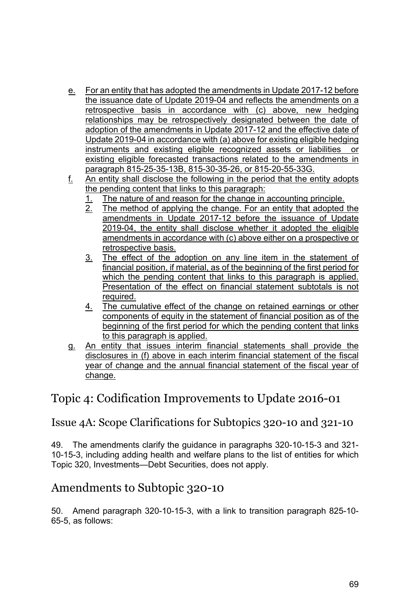- e. For an entity that has adopted the amendments in Update 2017-12 before the issuance date of Update 2019-04 and reflects the amendments on a retrospective basis in accordance with (c) above, new hedging relationships may be retrospectively designated between the date of adoption of the amendments in Update 2017-12 and the effective date of Update 2019-04 in accordance with (a) above for existing eligible hedging instruments and existing eligible recognized assets or liabilities existing eligible forecasted transactions related to the amendments in paragraph 815-25-35-13B, 815-30-35-26, or 815-20-55-33G.
- f. An entity shall disclose the following in the period that the entity adopts the pending content that links to this paragraph:
	- 1. The nature of and reason for the change in accounting principle.<br>2. The method of applying the change. For an entity that adopted
	- The method of applying the change. For an entity that adopted the amendments in Update 2017-12 before the issuance of Update 2019-04, the entity shall disclose whether it adopted the eligible amendments in accordance with (c) above either on a prospective or retrospective basis.
	- 3. The effect of the adoption on any line item in the statement of financial position, if material, as of the beginning of the first period for which the pending content that links to this paragraph is applied. Presentation of the effect on financial statement subtotals is not required.
	- 4. The cumulative effect of the change on retained earnings or other components of equity in the statement of financial position as of the beginning of the first period for which the pending content that links to this paragraph is applied.
- g. An entity that issues interim financial statements shall provide the disclosures in (f) above in each interim financial statement of the fiscal year of change and the annual financial statement of the fiscal year of change.

# Topic 4: Codification Improvements to Update 2016-01

### Issue 4A: Scope Clarifications for Subtopics 320-10 and 321-10

49. The amendments clarify the guidance in paragraphs 320-10-15-3 and 321- 10-15-3, including adding health and welfare plans to the list of entities for which Topic 320, Investments—Debt Securities, does not apply.

# Amendments to Subtopic 320-10

50. Amend paragraph 320-10-15-3, with a link to transition paragraph 825-10- 65-5, as follows: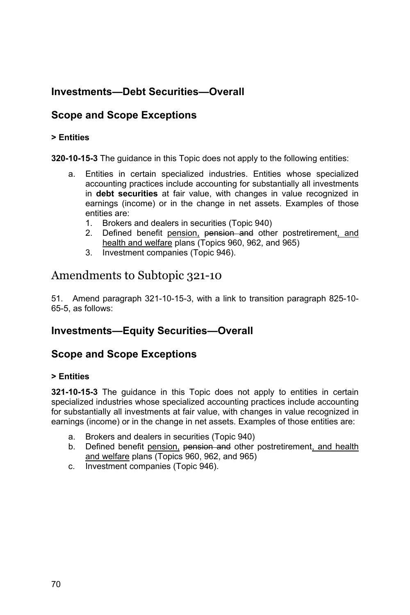# **Investments—Debt Securities—Overall**

### **Scope and Scope Exceptions**

#### **> Entities**

**320-10-15-3** The guidance in this Topic does not apply to the following entities:

- a. Entities in certain specialized industries. Entities whose specialized accounting practices include accounting for substantially all investments in **debt securities** at fair value, with changes in value recognized in earnings (income) or in the change in net assets. Examples of those entities are:
	- 1. Brokers and dealers in securities (Topic 940)
	- 2. Defined benefit pension, pension and other postretirement, and health and welfare plans (Topics 960, 962, and 965)
	- 3. Investment companies (Topic 946).

### Amendments to Subtopic 321-10

51. Amend paragraph 321-10-15-3, with a link to transition paragraph 825-10- 65-5, as follows:

#### **Investments—Equity Securities—Overall**

#### **Scope and Scope Exceptions**

#### **> Entities**

**321-10-15-3** The guidance in this Topic does not apply to entities in certain specialized industries whose specialized accounting practices include accounting for substantially all investments at fair value, with changes in value recognized in earnings (income) or in the change in net assets. Examples of those entities are:

- a. Brokers and dealers in securities (Topic 940)
- b. Defined benefit pension, pension and other postretirement, and health and welfare plans (Topics 960, 962, and 965)
- c. Investment companies (Topic 946).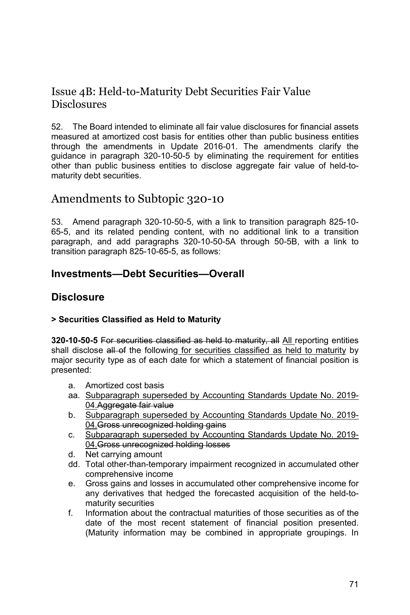### Issue 4B: Held-to-Maturity Debt Securities Fair Value **Disclosures**

52. The Board intended to eliminate all fair value disclosures for financial assets measured at amortized cost basis for entities other than public business entities through the amendments in Update 2016-01. The amendments clarify the guidance in paragraph 320-10-50-5 by eliminating the requirement for entities other than public business entities to disclose aggregate fair value of held-tomaturity debt securities.

# Amendments to Subtopic 320-10

53. Amend paragraph 320-10-50-5, with a link to transition paragraph 825-10- 65-5, and its related pending content, with no additional link to a transition paragraph, and add paragraphs 320-10-50-5A through 50-5B, with a link to transition paragraph 825-10-65-5, as follows:

#### **Investments—Debt Securities—Overall**

#### **Disclosure**

#### **> Securities Classified as Held to Maturity**

**320-10-50-5** For securities classified as held to maturity, all All reporting entities shall disclose all of the following for securities classified as held to maturity by major security type as of each date for which a statement of financial position is presented:

- a. Amortized cost basis
- aa. Subparagraph superseded by Accounting Standards Update No. 2019- 04.Aggregate fair value
- b. Subparagraph superseded by Accounting Standards Update No. 2019- 04. Gross unrecognized holding gains
- c. Subparagraph superseded by Accounting Standards Update No. 2019- 04.Gross unrecognized holding losses
- d. Net carrying amount
- dd. Total other-than-temporary impairment recognized in accumulated other comprehensive income
- e. Gross gains and losses in accumulated other comprehensive income for any derivatives that hedged the forecasted acquisition of the held-tomaturity securities
- f. Information about the contractual maturities of those securities as of the date of the most recent statement of financial position presented. (Maturity information may be combined in appropriate groupings. In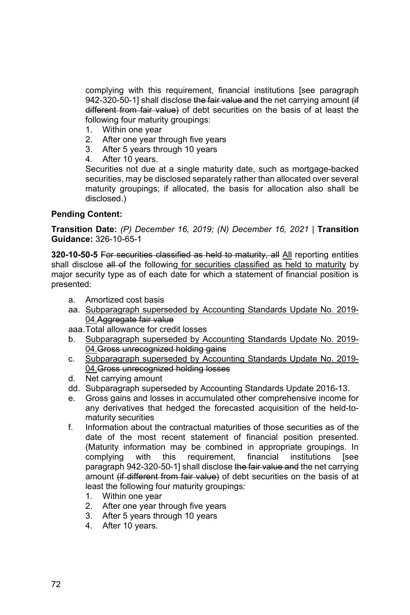complying with this requirement, financial institutions [see paragraph 942-320-50-1] shall disclose the fair value and the net carrying amount (if different from fair value) of debt securities on the basis of at least the following four maturity groupings:

- 1. Within one year
- 2. After one year through five years
- 3. After 5 years through 10 years
- 4. After 10 years.

Securities not due at a single maturity date, such as mortgage-backed securities, may be disclosed separately rather than allocated over several maturity groupings; if allocated, the basis for allocation also shall be disclosed.)

#### **Pending Content:**

**Transition Date:** *(P) December 16, 2019; (N) December 16, 2021* | **Transition Guidance:** 326-10-65-1

**320-10-50-5** For securities classified as held to maturity, all All reporting entities shall disclose all of the following for securities classified as held to maturity by major security type as of each date for which a statement of financial position is presented:

- a. Amortized cost basis
- aa. Subparagraph superseded by Accounting Standards Update No. 2019- 04.Aggregate fair value

aaa. Total allowance for credit losses

- b. Subparagraph superseded by Accounting Standards Update No. 2019- 04. Gross unrecognized holding gains
- c. Subparagraph superseded by Accounting Standards Update No. 2019- 04. Gross unrecognized holding losses
- d. Net carrying amount
- dd. Subparagraph superseded by Accounting Standards Update 2016-13.
- e. Gross gains and losses in accumulated other comprehensive income for any derivatives that hedged the forecasted acquisition of the held-tomaturity securities
- f. Information about the contractual maturities of those securities as of the date of the most recent statement of financial position presented. (Maturity information may be combined in appropriate groupings. In complying with this requirement, financial institutions [see paragraph 942-320-50-11 shall disclose the fair value and the net carrying amount (if different from fair value) of debt securities on the basis of at least the following four maturity groupings:
	- 1. Within one year
	- 2. After one year through five years
	- 3. After 5 years through 10 years
	- 4. After 10 years.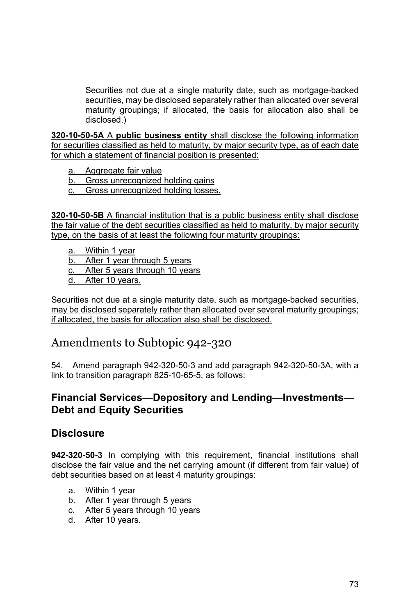Securities not due at a single maturity date, such as mortgage-backed securities, may be disclosed separately rather than allocated over several maturity groupings; if allocated, the basis for allocation also shall be disclosed.)

**320-10-50-5A** A **public business entity** shall disclose the following information for securities classified as held to maturity, by major security type, as of each date for which a statement of financial position is presented:

- a. Aggregate fair value
- b. Gross unrecognized holding gains
- c. Gross unrecognized holding losses.

**320-10-50-5B** A financial institution that is a public business entity shall disclose the fair value of the debt securities classified as held to maturity, by major security type, on the basis of at least the following four maturity groupings:

- a. Within 1 year
- b. After 1 year through 5 years
- c. After 5 years through 10 years
- d. After 10 years.

Securities not due at a single maturity date, such as mortgage-backed securities, may be disclosed separately rather than allocated over several maturity groupings; if allocated, the basis for allocation also shall be disclosed.

# Amendments to Subtopic 942-320

54. Amend paragraph 942-320-50-3 and add paragraph 942-320-50-3A, with a link to transition paragraph 825-10-65-5, as follows:

#### **Financial Services—Depository and Lending—Investments— Debt and Equity Securities**

#### **Disclosure**

**942-320-50-3** In complying with this requirement, financial institutions shall disclose the fair value and the net carrying amount (if different from fair value) of debt securities based on at least 4 maturity groupings:

- a. Within 1 year
- b. After 1 year through 5 years
- c. After 5 years through 10 years
- d. After 10 years.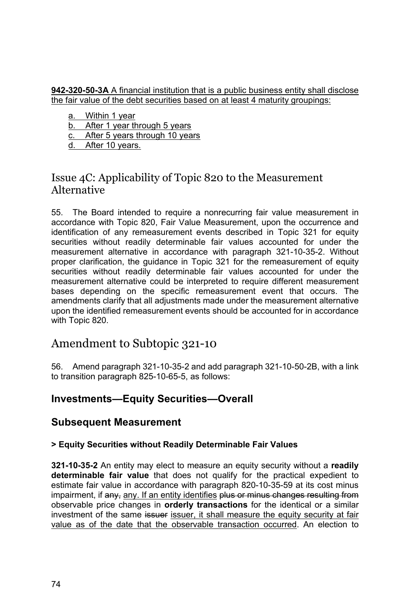#### **942-320-50-3A** A financial institution that is a public business entity shall disclose the fair value of the debt securities based on at least 4 maturity groupings:

a. Within 1 year

b. After 1 year through 5 years

c. After 5 years through 10 years

d. After 10 years.

### Issue 4C: Applicability of Topic 820 to the Measurement Alternative

55. The Board intended to require a nonrecurring fair value measurement in accordance with Topic 820, Fair Value Measurement, upon the occurrence and identification of any remeasurement events described in Topic 321 for equity securities without readily determinable fair values accounted for under the measurement alternative in accordance with paragraph 321-10-35-2. Without proper clarification, the guidance in Topic 321 for the remeasurement of equity securities without readily determinable fair values accounted for under the measurement alternative could be interpreted to require different measurement bases depending on the specific remeasurement event that occurs. The amendments clarify that all adjustments made under the measurement alternative upon the identified remeasurement events should be accounted for in accordance with Topic 820.

# Amendment to Subtopic 321-10

56. Amend paragraph 321-10-35-2 and add paragraph 321-10-50-2B, with a link to transition paragraph 825-10-65-5, as follows:

### **Investments—Equity Securities—Overall**

### **Subsequent Measurement**

#### **> Equity Securities without Readily Determinable Fair Values**

**321-10-35-2** An entity may elect to measure an equity security without a **readily determinable fair value** that does not qualify for the practical expedient to estimate fair value in accordance with paragraph 820-10-35-59 at its cost minus impairment, if any, any. If an entity identifies plus or minus changes resulting from observable price changes in **orderly transactions** for the identical or a similar investment of the same issuer issuer, it shall measure the equity security at fair value as of the date that the observable transaction occurred. An election to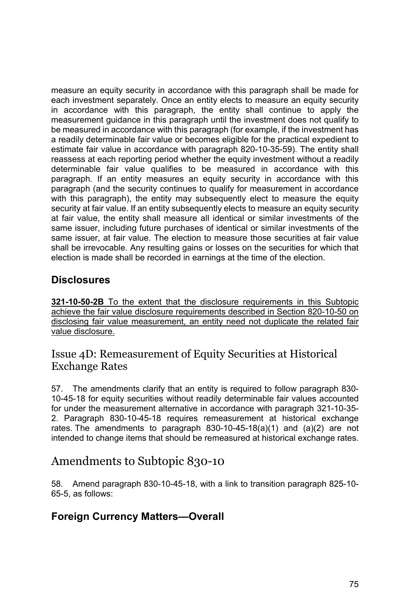measure an equity security in accordance with this paragraph shall be made for each investment separately. Once an entity elects to measure an equity security in accordance with this paragraph, the entity shall continue to apply the measurement guidance in this paragraph until the investment does not qualify to be measured in accordance with this paragraph (for example, if the investment has a readily determinable fair value or becomes eligible for the practical expedient to estimate fair value in accordance with paragraph 820-10-35-59). The entity shall reassess at each reporting period whether the equity investment without a readily determinable fair value qualifies to be measured in accordance with this paragraph. If an entity measures an equity security in accordance with this paragraph (and the security continues to qualify for measurement in accordance with this paragraph), the entity may subsequently elect to measure the equity security at fair value. If an entity subsequently elects to measure an equity security at fair value, the entity shall measure all identical or similar investments of the same issuer, including future purchases of identical or similar investments of the same issuer, at fair value. The election to measure those securities at fair value shall be irrevocable. Any resulting gains or losses on the securities for which that election is made shall be recorded in earnings at the time of the election.

### **Disclosures**

**321-10-50-2B** To the extent that the disclosure requirements in this Subtopic achieve the fair value disclosure requirements described in Section 820-10-50 on disclosing fair value measurement, an entity need not duplicate the related fair value disclosure.

### Issue 4D: Remeasurement of Equity Securities at Historical Exchange Rates

57. The amendments clarify that an entity is required to follow paragraph 830- 10-45-18 for equity securities without readily determinable fair values accounted for under the measurement alternative in accordance with paragraph 321-10-35- 2. Paragraph 830-10-45-18 requires remeasurement at historical exchange rates. The amendments to paragraph  $830-10-45-18(a)(1)$  and  $(a)(2)$  are not intended to change items that should be remeasured at historical exchange rates.

# Amendments to Subtopic 830-10

58. Amend paragraph 830-10-45-18, with a link to transition paragraph 825-10- 65-5, as follows:

### **Foreign Currency Matters—Overall**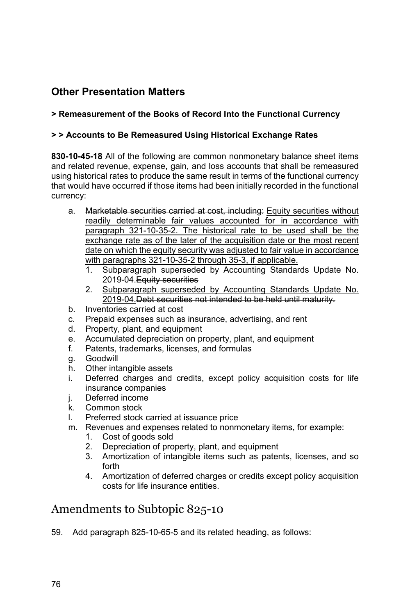# **Other Presentation Matters**

#### **> Remeasurement of the Books of Record Into the Functional Currency**

#### **> > Accounts to Be Remeasured Using Historical Exchange Rates**

**830-10-45-18** All of the following are common nonmonetary balance sheet items and related revenue, expense, gain, and loss accounts that shall be remeasured using historical rates to produce the same result in terms of the functional currency that would have occurred if those items had been initially recorded in the functional currency:

- a. Marketable securities carried at cost, including: Equity securities without readily determinable fair values accounted for in accordance with paragraph 321-10-35-2. The historical rate to be used shall be the exchange rate as of the later of the acquisition date or the most recent date on which the equity security was adjusted to fair value in accordance with paragraphs 321-10-35-2 through 35-3, if applicable.
	- 1. Subparagraph superseded by Accounting Standards Update No. 2019-04.Equity securities
	- 2. Subparagraph superseded by Accounting Standards Update No. 2019-04.Debt securities not intended to be held until maturity.
- b. Inventories carried at cost
- c. Prepaid expenses such as insurance, advertising, and rent
- d. Property, plant, and equipment
- e. Accumulated depreciation on property, plant, and equipment
- f. Patents, trademarks, licenses, and formulas
- g. Goodwill
- h. Other intangible assets
- i. Deferred charges and credits, except policy acquisition costs for life insurance companies
- i. Deferred income
- k. Common stock
- l. Preferred stock carried at issuance price
- m. Revenues and expenses related to nonmonetary items, for example:
	- 1. Cost of goods sold
	- 2. Depreciation of property, plant, and equipment
	- 3. Amortization of intangible items such as patents, licenses, and so forth
	- 4. Amortization of deferred charges or credits except policy acquisition costs for life insurance entities.

# Amendments to Subtopic 825-10

59. Add paragraph 825-10-65-5 and its related heading, as follows: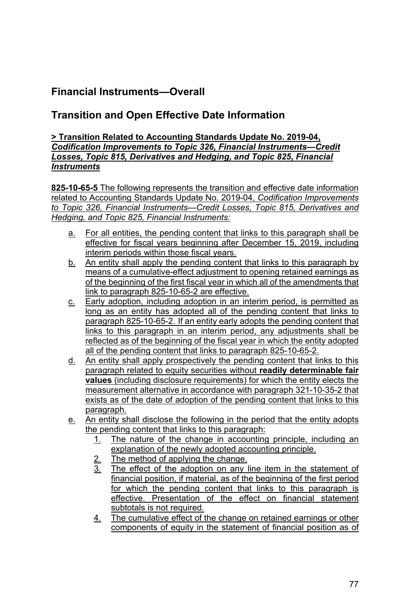# **Financial Instruments—Overall**

### **Transition and Open Effective Date Information**

#### **> Transition Related to Accounting Standards Update No. 2019-04,**  *Codification Improvements to Topic 326, Financial Instruments—Credit Losses, Topic 815, Derivatives and Hedging, and Topic 825, Financial Instruments*

**825-10-65-5** The following represents the transition and effective date information related to Accounting Standards Update No. 2019-04, *Codification Improvements to Topic 326, Financial Instruments—Credit Losses, Topic 815, Derivatives and Hedging, and Topic 825, Financial Instruments:* 

- a. For all entities, the pending content that links to this paragraph shall be effective for fiscal years beginning after December 15, 2019, including interim periods within those fiscal years.
- b. An entity shall apply the pending content that links to this paragraph by means of a cumulative-effect adjustment to opening retained earnings as of the beginning of the first fiscal year in which all of the amendments that link to paragraph 825-10-65-2 are effective.
- c. Early adoption, including adoption in an interim period, is permitted as long as an entity has adopted all of the pending content that links to paragraph 825-10-65-2. If an entity early adopts the pending content that links to this paragraph in an interim period, any adjustments shall be reflected as of the beginning of the fiscal year in which the entity adopted all of the pending content that links to paragraph 825-10-65-2.
- d. An entity shall apply prospectively the pending content that links to this paragraph related to equity securities without **readily determinable fair values** (including disclosure requirements) for which the entity elects the measurement alternative in accordance with paragraph 321-10-35-2 that exists as of the date of adoption of the pending content that links to this paragraph.
- e. An entity shall disclose the following in the period that the entity adopts the pending content that links to this paragraph:
	- 1. The nature of the change in accounting principle, including an explanation of the newly adopted accounting principle.
	- $\frac{2.}{3.}$  The method of applying the change.
	- The effect of the adoption on any line item in the statement of financial position, if material, as of the beginning of the first period for which the pending content that links to this paragraph is effective. Presentation of the effect on financial statement subtotals is not required.
	- 4. The cumulative effect of the change on retained earnings or other components of equity in the statement of financial position as of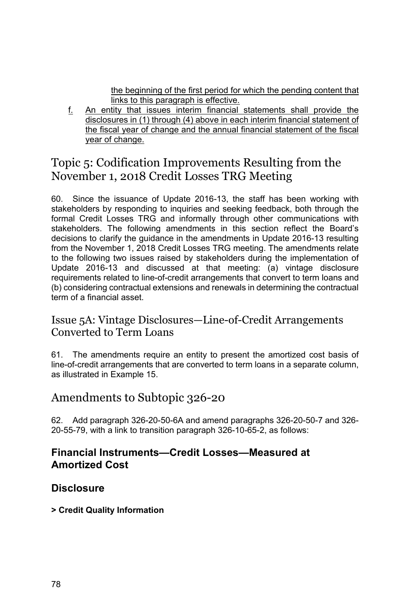the beginning of the first period for which the pending content that links to this paragraph is effective.

f. An entity that issues interim financial statements shall provide the disclosures in (1) through (4) above in each interim financial statement of the fiscal year of change and the annual financial statement of the fiscal year of change.

# Topic 5: Codification Improvements Resulting from the November 1, 2018 Credit Losses TRG Meeting

60. Since the issuance of Update 2016-13, the staff has been working with stakeholders by responding to inquiries and seeking feedback, both through the formal Credit Losses TRG and informally through other communications with stakeholders. The following amendments in this section reflect the Board's decisions to clarify the guidance in the amendments in Update 2016-13 resulting from the November 1, 2018 Credit Losses TRG meeting. The amendments relate to the following two issues raised by stakeholders during the implementation of Update 2016-13 and discussed at that meeting: (a) vintage disclosure requirements related to line-of-credit arrangements that convert to term loans and (b) considering contractual extensions and renewals in determining the contractual term of a financial asset.

### Issue 5A: Vintage Disclosures—Line-of-Credit Arrangements Converted to Term Loans

61. The amendments require an entity to present the amortized cost basis of line-of-credit arrangements that are converted to term loans in a separate column, as illustrated in Example 15.

# Amendments to Subtopic 326-20

62. Add paragraph 326-20-50-6A and amend paragraphs 326-20-50-7 and 326- 20-55-79, with a link to transition paragraph 326-10-65-2, as follows:

### **Financial Instruments—Credit Losses—Measured at Amortized Cost**

### **Disclosure**

**> Credit Quality Information**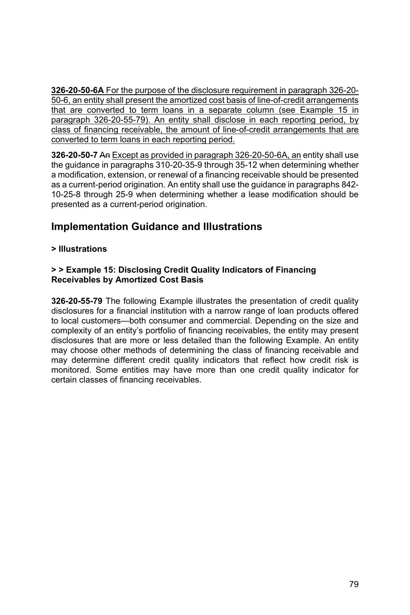**326-20-50-6A** For the purpose of the disclosure requirement in paragraph 326-20- 50-6, an entity shall present the amortized cost basis of line-of-credit arrangements that are converted to term loans in a separate column (see Example 15 in paragraph 326-20-55-79). An entity shall disclose in each reporting period, by class of financing receivable, the amount of line-of-credit arrangements that are converted to term loans in each reporting period.

**326-20-50-7** An Except as provided in paragraph 326-20-50-6A, an entity shall use the guidance in paragraphs 310-20-35-9 through 35-12 when determining whether a modification, extension, or renewal of a financing receivable should be presented as a current-period origination. An entity shall use the guidance in paragraphs 842- 10-25-8 through 25-9 when determining whether a lease modification should be presented as a current-period origination.

# **Implementation Guidance and Illustrations**

#### **> Illustrations**

#### **> > Example 15: Disclosing Credit Quality Indicators of Financing Receivables by Amortized Cost Basis**

**326-20-55-79** The following Example illustrates the presentation of credit quality disclosures for a financial institution with a narrow range of loan products offered to local customers—both consumer and commercial. Depending on the size and complexity of an entity's portfolio of financing receivables, the entity may present disclosures that are more or less detailed than the following Example. An entity may choose other methods of determining the class of financing receivable and may determine different credit quality indicators that reflect how credit risk is monitored. Some entities may have more than one credit quality indicator for certain classes of financing receivables.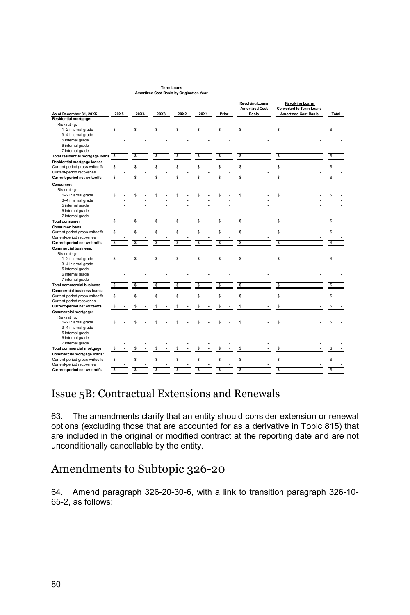|                                                                  |      |      |      |      |   |      |       | <b>Revolving Loans</b><br><b>Amortized Cost</b> |    |    | <b>Revolving Loans</b><br><b>Converted to Term Loans</b> |   |       |  |
|------------------------------------------------------------------|------|------|------|------|---|------|-------|-------------------------------------------------|----|----|----------------------------------------------------------|---|-------|--|
| As of December 31, 20X5                                          | 20X5 | 20X4 | 20X3 | 20X2 |   | 20X1 | Prior | <b>Basis</b>                                    |    |    | <b>Amortized Cost Basis</b>                              |   | Total |  |
| Residential mortgage:                                            |      |      |      |      |   |      |       |                                                 |    |    |                                                          |   |       |  |
| Risk rating:                                                     |      |      |      |      |   |      |       |                                                 |    |    |                                                          |   |       |  |
| 1-2 internal grade                                               | s    | Ś    | s    | s    |   | s    | s     | s                                               |    | s  |                                                          |   | Ś     |  |
| 3-4 internal grade                                               |      |      |      |      |   |      |       |                                                 |    |    |                                                          |   |       |  |
| 5 internal grade                                                 |      |      |      |      |   |      |       |                                                 |    |    |                                                          |   |       |  |
| 6 internal grade                                                 |      |      |      |      |   |      |       |                                                 |    |    |                                                          |   |       |  |
| 7 internal grade                                                 |      |      |      |      |   |      |       |                                                 |    |    |                                                          |   |       |  |
| Total residential mortgage loans                                 | s    | s    | Ś    | s    |   | Ś    | s     | s                                               |    | S  |                                                          |   | Ś     |  |
| Residential mortgage loans:                                      |      |      |      |      |   |      |       |                                                 |    |    |                                                          |   |       |  |
| Current-period gross writeoffs                                   | s    | s    | s    | s    |   | s    | s     | s                                               |    | s  |                                                          |   | s     |  |
| Current-period recoveries                                        |      |      |      |      |   |      |       |                                                 |    |    |                                                          |   |       |  |
| <b>Current-period net writeoffs</b>                              | S    | \$   | s    | s    |   | s    | s     | s                                               |    | S  |                                                          |   | s     |  |
| Consumer:                                                        |      |      |      |      |   |      |       |                                                 |    |    |                                                          |   |       |  |
| Risk rating:                                                     |      |      |      |      |   |      |       |                                                 |    |    |                                                          |   |       |  |
| 1-2 internal grade                                               | s    | Ś,   | S    | ç    |   | s    | s     | s                                               |    | s  |                                                          |   | Ś     |  |
| 3-4 internal grade                                               |      |      |      |      |   |      |       |                                                 |    |    |                                                          |   |       |  |
| 5 internal grade                                                 |      |      |      |      |   |      |       |                                                 |    |    |                                                          |   |       |  |
| 6 internal grade                                                 |      |      |      |      |   |      |       |                                                 |    |    |                                                          |   |       |  |
| 7 internal grade                                                 |      |      |      |      |   |      |       |                                                 |    |    |                                                          |   |       |  |
| <b>Total consumer</b>                                            | s    | \$   | s    | s    |   | s    | S     | S                                               | ÷. | S  |                                                          |   | s     |  |
| <b>Consumer loans:</b>                                           |      |      |      |      |   |      |       |                                                 |    |    |                                                          |   |       |  |
| Current-period gross writeoffs                                   | s    | s    | Ś    | Ś    |   | s    | s     | s                                               |    | \$ |                                                          |   | s     |  |
| Current-period recoveries                                        |      |      |      |      |   |      |       |                                                 |    |    |                                                          |   |       |  |
| <b>Current-period net writeoffs</b>                              | s    | s    | s    | S    | ٠ | s    | s     | s                                               | ×, | s  |                                                          | ٠ | s     |  |
| <b>Commercial business:</b>                                      |      |      |      |      |   |      |       |                                                 |    |    |                                                          |   |       |  |
| Risk rating:                                                     |      |      |      |      |   |      |       |                                                 |    |    |                                                          |   |       |  |
| 1-2 internal grade                                               | s    | Ś    |      | S    |   | Ś    | s     | s                                               |    | \$ |                                                          |   | Ś     |  |
| 3-4 internal grade                                               |      |      |      |      |   |      |       |                                                 |    |    |                                                          |   |       |  |
| 5 internal grade                                                 |      |      |      |      |   |      |       |                                                 |    |    |                                                          |   |       |  |
| 6 internal grade                                                 |      |      |      |      |   |      |       |                                                 |    |    |                                                          |   |       |  |
| 7 internal grade                                                 |      |      |      |      |   |      |       |                                                 |    |    |                                                          |   |       |  |
| <b>Total commercial business</b>                                 | s    | s    | Ś    | \$   |   | s    | s     | s                                               |    | S  |                                                          |   | s     |  |
| <b>Commercial business loans:</b>                                |      |      |      |      |   |      |       |                                                 |    |    |                                                          |   |       |  |
|                                                                  | s    | s    | s    | s    |   | s    | s     | s                                               |    | \$ |                                                          |   | Ś     |  |
| Current-period gross writeoffs                                   |      |      |      |      |   |      |       |                                                 |    |    |                                                          |   |       |  |
| Current-period recoveries<br><b>Current-period net writeoffs</b> | s    | s    | s    | s    |   | s    | s     | s                                               |    | s  |                                                          |   | s     |  |
|                                                                  |      |      |      |      |   |      |       |                                                 |    |    |                                                          |   |       |  |
| Commercial mortgage:                                             |      |      |      |      |   |      |       |                                                 |    |    |                                                          |   |       |  |
| Risk rating:                                                     |      |      |      | s    |   | s    | s     |                                                 |    |    |                                                          |   |       |  |
| 1-2 internal grade                                               | s    | S    | S    |      |   |      |       | s                                               |    | s  |                                                          |   | s     |  |
| 3-4 internal grade                                               |      |      |      |      |   |      |       |                                                 |    |    |                                                          |   |       |  |
| 5 internal grade                                                 |      |      |      |      |   |      |       |                                                 |    |    |                                                          |   |       |  |
| 6 internal grade                                                 |      |      |      |      |   |      |       |                                                 |    |    |                                                          |   |       |  |
| 7 internal grade                                                 | s    |      | s    | s    |   |      |       | s                                               |    |    |                                                          |   |       |  |
| <b>Total commercial mortgage</b>                                 |      | s    |      |      |   | s    | s     |                                                 |    | S  |                                                          |   | Ś     |  |
| Commercial mortgage loans:                                       |      |      |      |      |   |      |       |                                                 |    |    |                                                          |   |       |  |
| Current-period gross writeoffs                                   | s    | Ś    | Ś    | s    |   | s    | s     | s                                               |    | \$ |                                                          |   | Ś     |  |
| Current-period recoveries                                        |      |      |      |      |   |      |       |                                                 |    |    |                                                          |   |       |  |
| <b>Current-period net writeoffs</b>                              | s    | Ś.   | Ś    | s    |   | Ś    | ś     | $\overline{\mathsf{s}}$                         |    | s  |                                                          |   | Ś     |  |

**Term Loans Amortized Cost Basis by Origination Year** 

### Issue 5B: Contractual Extensions and Renewals

63. The amendments clarify that an entity should consider extension or renewal options (excluding those that are accounted for as a derivative in Topic 815) that are included in the original or modified contract at the reporting date and are not unconditionally cancellable by the entity.

# Amendments to Subtopic 326-20

64. Amend paragraph 326-20-30-6, with a link to transition paragraph 326-10- 65-2, as follows: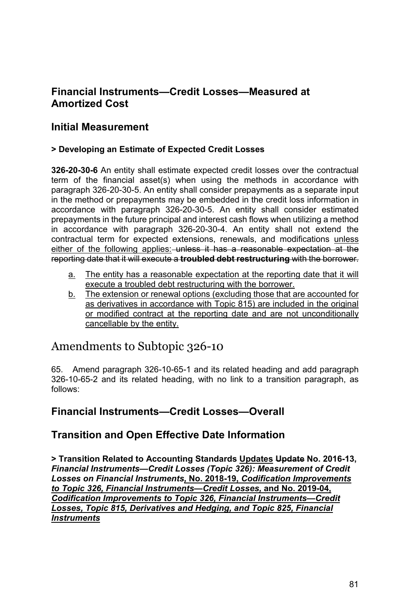### **Financial Instruments—Credit Losses—Measured at Amortized Cost**

#### **Initial Measurement**

#### **> Developing an Estimate of Expected Credit Losses**

**326-20-30-6** An entity shall estimate expected credit losses over the contractual term of the financial asset(s) when using the methods in accordance with paragraph 326-20-30-5. An entity shall consider prepayments as a separate input in the method or prepayments may be embedded in the credit loss information in accordance with paragraph 326-20-30-5. An entity shall consider estimated prepayments in the future principal and interest cash flows when utilizing a method in accordance with paragraph 326-20-30-4. An entity shall not extend the contractual term for expected extensions, renewals, and modifications unless either of the following applies: unless it has a reasonable expectation at the reporting date that it will execute a **troubled debt restructuring** with the borrower.

- a. The entity has a reasonable expectation at the reporting date that it will execute a troubled debt restructuring with the borrower.
- b. The extension or renewal options (excluding those that are accounted for as derivatives in accordance with Topic 815) are included in the original or modified contract at the reporting date and are not unconditionally cancellable by the entity.

# Amendments to Subtopic 326-10

65. Amend paragraph 326-10-65-1 and its related heading and add paragraph 326-10-65-2 and its related heading, with no link to a transition paragraph, as follows:

#### **Financial Instruments—Credit Losses—Overall**

#### **Transition and Open Effective Date Information**

**> Transition Related to Accounting Standards Updates Update No. 2016-13,**  *Financial Instruments—Credit Losses (Topic 326): Measurement of Credit Losses on Financial Instruments,* **No. 2018-19,** *Codification Improvements to Topic 326, Financial Instruments—Credit Losses,* **and No. 2019-04,** *Codification Improvements to Topic 326, Financial Instruments—Credit Losses, Topic 815, Derivatives and Hedging, and Topic 825, Financial Instruments*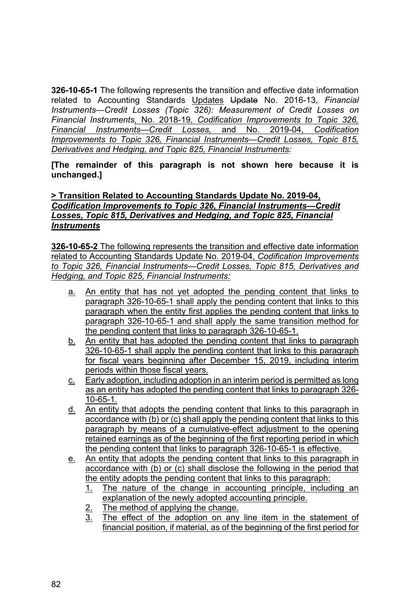**326-10-65-1** The following represents the transition and effective date information related to Accounting Standards Updates Update No. 2016-13, *Financial Instruments—Credit Losses (Topic 326): Measurement of Credit Losses on Financial Instruments,* No. 2018-19, *Codification Improvements to Topic 326, Financial Instruments—Credit Losses,* and No. 2019-04, *Codification Improvements to Topic 326, Financial Instruments—Credit Losses, Topic 815, Derivatives and Hedging, and Topic 825, Financial Instruments:* 

**[The remainder of this paragraph is not shown here because it is unchanged.]** 

#### **> Transition Related to Accounting Standards Update No. 2019-04,**  *Codification Improvements to Topic 326, Financial Instruments—Credit Losses, Topic 815, Derivatives and Hedging, and Topic 825, Financial Instruments*

**326-10-65-2** The following represents the transition and effective date information related to Accounting Standards Update No. 2019-04, *Codification Improvements to Topic 326, Financial Instruments—Credit Losses, Topic 815, Derivatives and Hedging, and Topic 825, Financial Instruments:* 

- a. An entity that has not yet adopted the pending content that links to paragraph 326-10-65-1 shall apply the pending content that links to this paragraph when the entity first applies the pending content that links to paragraph 326-10-65-1 and shall apply the same transition method for the pending content that links to paragraph 326-10-65-1.
- b. An entity that has adopted the pending content that links to paragraph 326-10-65-1 shall apply the pending content that links to this paragraph for fiscal years beginning after December 15, 2019, including interim periods within those fiscal years.
- c. Early adoption, including adoption in an interim period is permitted as long as an entity has adopted the pending content that links to paragraph 326- 10-65-1.
- d. An entity that adopts the pending content that links to this paragraph in accordance with (b) or (c) shall apply the pending content that links to this paragraph by means of a cumulative-effect adjustment to the opening retained earnings as of the beginning of the first reporting period in which the pending content that links to paragraph 326-10-65-1 is effective.
- e. An entity that adopts the pending content that links to this paragraph in accordance with (b) or (c) shall disclose the following in the period that the entity adopts the pending content that links to this paragraph:
	- 1. The nature of the change in accounting principle, including an explanation of the newly adopted accounting principle.
	- $\frac{2}{3}$ . The method of applying the change.<br> $\frac{3}{3}$ . The effect of the adoption on any
	- The effect of the adoption on any line item in the statement of financial position, if material, as of the beginning of the first period for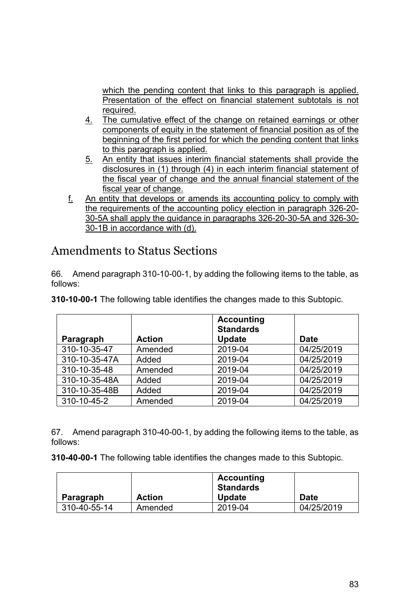which the pending content that links to this paragraph is applied. Presentation of the effect on financial statement subtotals is not required.

- 4. The cumulative effect of the change on retained earnings or other components of equity in the statement of financial position as of the beginning of the first period for which the pending content that links to this paragraph is applied.
- 5. An entity that issues interim financial statements shall provide the disclosures in (1) through (4) in each interim financial statement of the fiscal year of change and the annual financial statement of the fiscal year of change.
- f. An entity that develops or amends its accounting policy to comply with the requirements of the accounting policy election in paragraph 326-20- 30-5A shall apply the guidance in paragraphs 326-20-30-5A and 326-30- 30-1B in accordance with (d).

# Amendments to Status Sections

66. Amend paragraph 310-10-00-1, by adding the following items to the table, as follows:

| Paragraph     | <b>Action</b> | <b>Accounting</b><br><b>Standards</b><br><b>Update</b> | <b>Date</b> |
|---------------|---------------|--------------------------------------------------------|-------------|
| 310-10-35-47  | Amended       | 2019-04                                                | 04/25/2019  |
| 310-10-35-47A | Added         | 2019-04                                                | 04/25/2019  |
| 310-10-35-48  | Amended       | 2019-04                                                | 04/25/2019  |
| 310-10-35-48A | Added         | 2019-04                                                | 04/25/2019  |
| 310-10-35-48B | Added         | 2019-04                                                | 04/25/2019  |
| 310-10-45-2   | Amended       | 2019-04                                                | 04/25/2019  |

**310-10-00-1** The following table identifies the changes made to this Subtopic.

67. Amend paragraph 310-40-00-1, by adding the following items to the table, as follows:

**310-40-00-1** The following table identifies the changes made to this Subtopic.

| Paragraph    | <b>Action</b> | Accounting<br><b>Standards</b><br><b>Update</b> | <b>Date</b> |
|--------------|---------------|-------------------------------------------------|-------------|
| 310-40-55-14 | Amended       | 2019-04                                         | 04/25/2019  |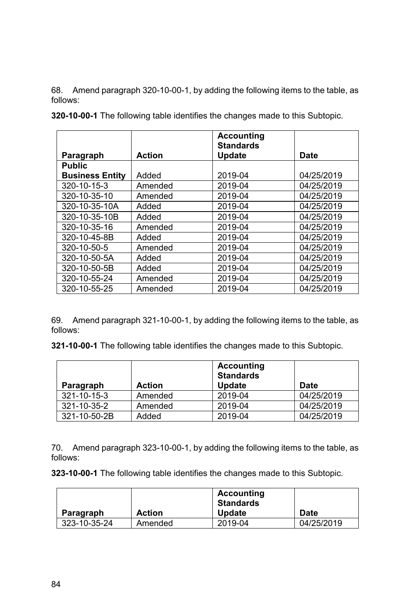68. Amend paragraph 320-10-00-1, by adding the following items to the table, as follows:

|                        |               | <b>Accounting</b><br><b>Standards</b> |            |
|------------------------|---------------|---------------------------------------|------------|
| Paragraph              | <b>Action</b> | <b>Update</b>                         | Date       |
| <b>Public</b>          |               |                                       |            |
| <b>Business Entity</b> | Added         | 2019-04                               | 04/25/2019 |
| 320-10-15-3            | Amended       | 2019-04                               | 04/25/2019 |
| 320-10-35-10           | Amended       | 2019-04                               | 04/25/2019 |
| 320-10-35-10A          | Added         | 2019-04                               | 04/25/2019 |
| 320-10-35-10B          | Added         | 2019-04                               | 04/25/2019 |
| 320-10-35-16           | Amended       | 2019-04                               | 04/25/2019 |
| 320-10-45-8B           | Added         | 2019-04                               | 04/25/2019 |
| 320-10-50-5            | Amended       | 2019-04                               | 04/25/2019 |
| 320-10-50-5A           | Added         | 2019-04                               | 04/25/2019 |
| 320-10-50-5B           | Added         | 2019-04                               | 04/25/2019 |
| 320-10-55-24           | Amended       | 2019-04                               | 04/25/2019 |
| 320-10-55-25           | Amended       | 2019-04                               | 04/25/2019 |

**320-10-00-1** The following table identifies the changes made to this Subtopic.

69. Amend paragraph 321-10-00-1, by adding the following items to the table, as follows:

**321-10-00-1** The following table identifies the changes made to this Subtopic.

| Paragraph    | <b>Action</b> | <b>Accounting</b><br><b>Standards</b><br><b>Update</b> | <b>Date</b> |
|--------------|---------------|--------------------------------------------------------|-------------|
| 321-10-15-3  | Amended       | 2019-04                                                | 04/25/2019  |
| 321-10-35-2  | Amended       | 2019-04                                                | 04/25/2019  |
| 321-10-50-2B | Added         | 2019-04                                                | 04/25/2019  |

70. Amend paragraph 323-10-00-1, by adding the following items to the table, as follows:

**323-10-00-1** The following table identifies the changes made to this Subtopic.

|              |               | Accounting<br><b>Standards</b> |            |
|--------------|---------------|--------------------------------|------------|
| Paragraph    | <b>Action</b> | <b>Update</b>                  | Date       |
| 323-10-35-24 | Amended       | 2019-04                        | 04/25/2019 |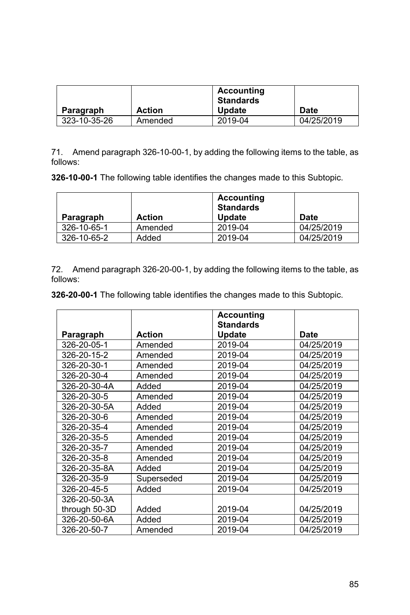| Paragraph    | <b>Action</b> | Accounting<br>Standards<br><b>Update</b> | Date       |
|--------------|---------------|------------------------------------------|------------|
| 323-10-35-26 | Amended       | 2019-04                                  | 04/25/2019 |

71. Amend paragraph 326-10-00-1, by adding the following items to the table, as follows:

**326-10-00-1** The following table identifies the changes made to this Subtopic.

|             |               | Accounting<br><b>Standards</b> |            |
|-------------|---------------|--------------------------------|------------|
| Paragraph   | <b>Action</b> | <b>Update</b>                  | Date       |
| 326-10-65-1 | Amended       | 2019-04                        | 04/25/2019 |
| 326-10-65-2 | Added         | 2019-04                        | 04/25/2019 |

72. Amend paragraph 326-20-00-1, by adding the following items to the table, as follows:

**326-20-00-1** The following table identifies the changes made to this Subtopic.

|               |               | <b>Accounting</b><br><b>Standards</b> |            |
|---------------|---------------|---------------------------------------|------------|
| Paragraph     | <b>Action</b> | <b>Update</b>                         | Date       |
| 326-20-05-1   | Amended       | 2019-04                               | 04/25/2019 |
| 326-20-15-2   | Amended       | 2019-04                               | 04/25/2019 |
| 326-20-30-1   | Amended       | 2019-04                               | 04/25/2019 |
| 326-20-30-4   | Amended       | 2019-04                               | 04/25/2019 |
| 326-20-30-4A  | Added         | 2019-04                               | 04/25/2019 |
| 326-20-30-5   | Amended       | 2019-04                               | 04/25/2019 |
| 326-20-30-5A  | Added         | 2019-04                               | 04/25/2019 |
| 326-20-30-6   | Amended       | 2019-04                               | 04/25/2019 |
| 326-20-35-4   | Amended       | 2019-04                               | 04/25/2019 |
| 326-20-35-5   | Amended       | 2019-04                               | 04/25/2019 |
| 326-20-35-7   | Amended       | 2019-04                               | 04/25/2019 |
| 326-20-35-8   | Amended       | 2019-04                               | 04/25/2019 |
| 326-20-35-8A  | Added         | 2019-04                               | 04/25/2019 |
| 326-20-35-9   | Superseded    | 2019-04                               | 04/25/2019 |
| 326-20-45-5   | Added         | 2019-04                               | 04/25/2019 |
| 326-20-50-3A  |               |                                       |            |
| through 50-3D | Added         | 2019-04                               | 04/25/2019 |
| 326-20-50-6A  | Added         | 2019-04                               | 04/25/2019 |
| 326-20-50-7   | Amended       | 2019-04                               | 04/25/2019 |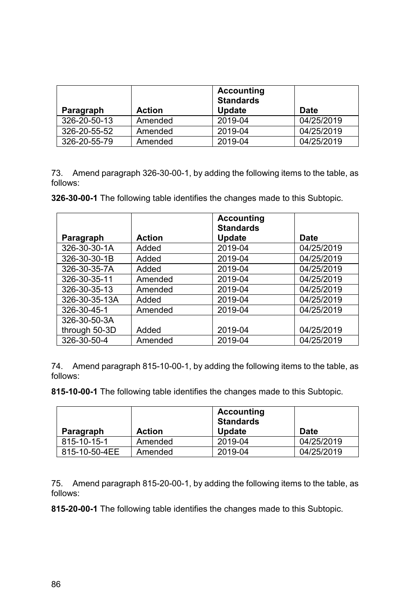| Paragraph    | <b>Action</b> | <b>Accounting</b><br><b>Standards</b><br><b>Update</b> | Date       |
|--------------|---------------|--------------------------------------------------------|------------|
| 326-20-50-13 | Amended       | 2019-04                                                | 04/25/2019 |
| 326-20-55-52 | Amended       | 2019-04                                                | 04/25/2019 |
| 326-20-55-79 | Amended       | 2019-04                                                | 04/25/2019 |

73. Amend paragraph 326-30-00-1, by adding the following items to the table, as follows:

**326-30-00-1** The following table identifies the changes made to this Subtopic.

|               |               | <b>Accounting</b><br><b>Standards</b> |            |
|---------------|---------------|---------------------------------------|------------|
| Paragraph     | <b>Action</b> | <b>Update</b>                         | Date       |
| 326-30-30-1A  | Added         | 2019-04                               | 04/25/2019 |
| 326-30-30-1B  | Added         | 2019-04                               | 04/25/2019 |
| 326-30-35-7A  | Added         | 2019-04                               | 04/25/2019 |
| 326-30-35-11  | Amended       | 2019-04                               | 04/25/2019 |
| 326-30-35-13  | Amended       | 2019-04                               | 04/25/2019 |
| 326-30-35-13A | Added         | 2019-04                               | 04/25/2019 |
| 326-30-45-1   | Amended       | 2019-04                               | 04/25/2019 |
| 326-30-50-3A  |               |                                       |            |
| through 50-3D | Added         | 2019-04                               | 04/25/2019 |
| 326-30-50-4   | Amended       | 2019-04                               | 04/25/2019 |

74. Amend paragraph 815-10-00-1, by adding the following items to the table, as follows:

**815-10-00-1** The following table identifies the changes made to this Subtopic.

|               |               | <b>Accounting</b><br><b>Standards</b> |            |
|---------------|---------------|---------------------------------------|------------|
| Paragraph     | <b>Action</b> | <b>Update</b>                         | Date       |
| 815-10-15-1   | Amended       | 2019-04                               | 04/25/2019 |
| 815-10-50-4EE | Amended       | 2019-04                               | 04/25/2019 |

75. Amend paragraph 815-20-00-1, by adding the following items to the table, as follows:

**815-20-00-1** The following table identifies the changes made to this Subtopic.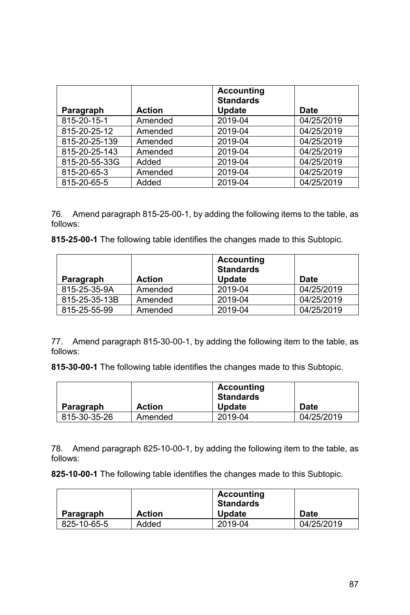| Paragraph     | <b>Action</b> | <b>Accounting</b><br><b>Standards</b><br><b>Update</b> | Date       |
|---------------|---------------|--------------------------------------------------------|------------|
| 815-20-15-1   | Amended       | 2019-04                                                | 04/25/2019 |
| 815-20-25-12  | Amended       | 2019-04                                                | 04/25/2019 |
| 815-20-25-139 | Amended       | 2019-04                                                | 04/25/2019 |
| 815-20-25-143 | Amended       | 2019-04                                                | 04/25/2019 |
| 815-20-55-33G | Added         | 2019-04                                                | 04/25/2019 |
| 815-20-65-3   | Amended       | 2019-04                                                | 04/25/2019 |
| 815-20-65-5   | Added         | 2019-04                                                | 04/25/2019 |

76. Amend paragraph 815-25-00-1, by adding the following items to the table, as follows:

**815-25-00-1** The following table identifies the changes made to this Subtopic.

| Paragraph     | <b>Action</b> | <b>Accounting</b><br><b>Standards</b><br><b>Update</b> | <b>Date</b> |
|---------------|---------------|--------------------------------------------------------|-------------|
| 815-25-35-9A  | Amended       | 2019-04                                                | 04/25/2019  |
| 815-25-35-13B | Amended       | 2019-04                                                | 04/25/2019  |
| 815-25-55-99  | Amended       | 2019-04                                                | 04/25/2019  |

77. Amend paragraph 815-30-00-1, by adding the following item to the table, as follows:

**815-30-00-1** The following table identifies the changes made to this Subtopic.

|              |               | Accounting<br><b>Standards</b> |             |
|--------------|---------------|--------------------------------|-------------|
| Paragraph    | <b>Action</b> | <b>Update</b>                  | <b>Date</b> |
| 815-30-35-26 | Amended       | 2019-04                        | 04/25/2019  |

78. Amend paragraph 825-10-00-1, by adding the following item to the table, as follows:

**825-10-00-1** The following table identifies the changes made to this Subtopic.

|             |               | Accounting<br><b>Standards</b> |             |
|-------------|---------------|--------------------------------|-------------|
| Paragraph   | <b>Action</b> | <b>Update</b>                  | <b>Date</b> |
| 825-10-65-5 | Added         | 2019-04                        | 04/25/2019  |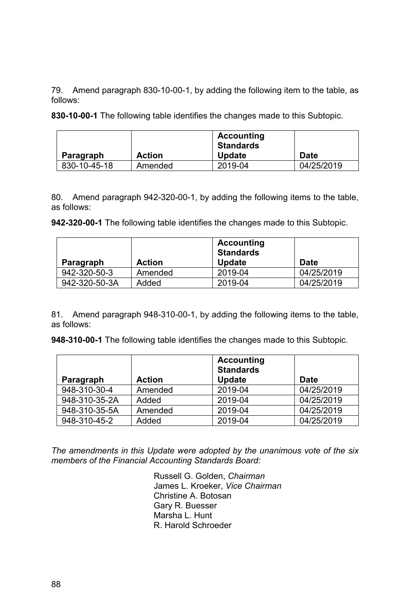79. Amend paragraph 830-10-00-1, by adding the following item to the table, as follows:

**830-10-00-1** The following table identifies the changes made to this Subtopic.

| Paragraph    | <b>Action</b> | Accounting<br><b>Standards</b><br><b>Update</b> | <b>Date</b> |
|--------------|---------------|-------------------------------------------------|-------------|
|              |               |                                                 |             |
| 830-10-45-18 | Amended       | 2019-04                                         | 04/25/2019  |

80. Amend paragraph 942-320-00-1, by adding the following items to the table, as follows:

**942-320-00-1** The following table identifies the changes made to this Subtopic.

| Paragraph     | <b>Action</b> | Accounting<br><b>Standards</b><br><b>Update</b> | Date       |
|---------------|---------------|-------------------------------------------------|------------|
| 942-320-50-3  | Amended       | 2019-04                                         | 04/25/2019 |
| 942-320-50-3A | Added         | 2019-04                                         | 04/25/2019 |

81. Amend paragraph 948-310-00-1, by adding the following items to the table, as follows:

**948-310-00-1** The following table identifies the changes made to this Subtopic.

|               |               | <b>Accounting</b><br><b>Standards</b> |            |
|---------------|---------------|---------------------------------------|------------|
| Paragraph     | <b>Action</b> | <b>Update</b>                         | Date       |
| 948-310-30-4  | Amended       | 2019-04                               | 04/25/2019 |
| 948-310-35-2A | Added         | 2019-04                               | 04/25/2019 |
| 948-310-35-5A | Amended       | 2019-04                               | 04/25/2019 |
| 948-310-45-2  | Added         | 2019-04                               | 04/25/2019 |

*The amendments in this Update were adopted by the unanimous vote of the six members of the Financial Accounting Standards Board:*

> Russell G. Golden, *Chairman*  James L. Kroeker, *Vice Chairman* Christine A. Botosan Gary R. Buesser Marsha L. Hunt R. Harold Schroeder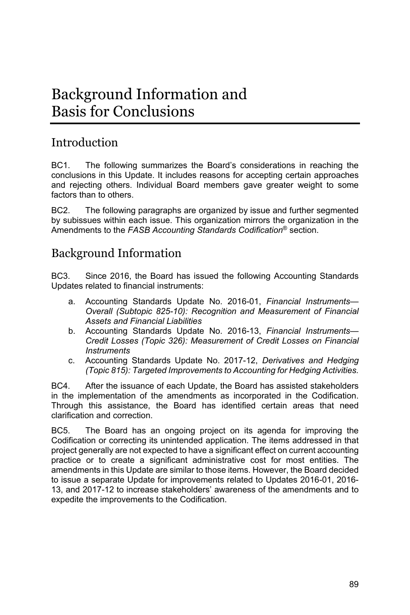# Background Information and Basis for Conclusions

# Introduction

BC1. The following summarizes the Board's considerations in reaching the conclusions in this Update. It includes reasons for accepting certain approaches and rejecting others. Individual Board members gave greater weight to some factors than to others.

BC2. The following paragraphs are organized by issue and further segmented by subissues within each issue. This organization mirrors the organization in the Amendments to the *FASB Accounting Standards Codification*® section.

# Background Information

BC3. Since 2016, the Board has issued the following Accounting Standards Updates related to financial instruments:

- a. Accounting Standards Update No. 2016-01, *Financial Instruments— Overall (Subtopic 825-10): Recognition and Measurement of Financial Assets and Financial Liabilities*
- b. Accounting Standards Update No. 2016-13, *Financial Instruments— Credit Losses (Topic 326): Measurement of Credit Losses on Financial Instruments*
- c. Accounting Standards Update No. 2017-12, *Derivatives and Hedging (Topic 815): Targeted Improvements to Accounting for Hedging Activities.*

BC4. After the issuance of each Update, the Board has assisted stakeholders in the implementation of the amendments as incorporated in the Codification. Through this assistance, the Board has identified certain areas that need clarification and correction.

BC5. The Board has an ongoing project on its agenda for improving the Codification or correcting its unintended application. The items addressed in that project generally are not expected to have a significant effect on current accounting practice or to create a significant administrative cost for most entities. The amendments in this Update are similar to those items. However, the Board decided to issue a separate Update for improvements related to Updates 2016-01, 2016- 13, and 2017-12 to increase stakeholders' awareness of the amendments and to expedite the improvements to the Codification.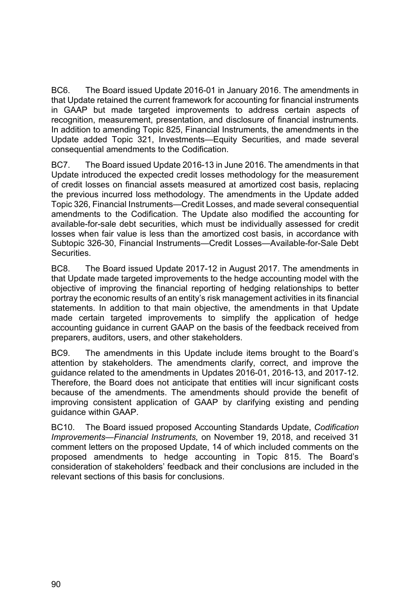BC6. The Board issued Update 2016-01 in January 2016. The amendments in that Update retained the current framework for accounting for financial instruments in GAAP but made targeted improvements to address certain aspects of recognition, measurement, presentation, and disclosure of financial instruments. In addition to amending Topic 825, Financial Instruments, the amendments in the Update added Topic 321, Investments—Equity Securities, and made several consequential amendments to the Codification.

BC7. The Board issued Update 2016-13 in June 2016. The amendments in that Update introduced the expected credit losses methodology for the measurement of credit losses on financial assets measured at amortized cost basis, replacing the previous incurred loss methodology. The amendments in the Update added Topic 326, Financial Instruments—Credit Losses, and made several consequential amendments to the Codification. The Update also modified the accounting for available-for-sale debt securities, which must be individually assessed for credit losses when fair value is less than the amortized cost basis, in accordance with Subtopic 326-30, Financial Instruments—Credit Losses—Available-for-Sale Debt Securities.

BC8. The Board issued Update 2017-12 in August 2017. The amendments in that Update made targeted improvements to the hedge accounting model with the objective of improving the financial reporting of hedging relationships to better portray the economic results of an entity's risk management activities in its financial statements. In addition to that main objective, the amendments in that Update made certain targeted improvements to simplify the application of hedge accounting guidance in current GAAP on the basis of the feedback received from preparers, auditors, users, and other stakeholders.

BC9. The amendments in this Update include items brought to the Board's attention by stakeholders. The amendments clarify, correct, and improve the guidance related to the amendments in Updates 2016-01, 2016-13, and 2017-12. Therefore, the Board does not anticipate that entities will incur significant costs because of the amendments. The amendments should provide the benefit of improving consistent application of GAAP by clarifying existing and pending guidance within GAAP.

BC10. The Board issued proposed Accounting Standards Update, *Codification Improvements—Financial Instruments,* on November 19, 2018, and received 31 comment letters on the proposed Update, 14 of which included comments on the proposed amendments to hedge accounting in Topic 815. The Board's consideration of stakeholders' feedback and their conclusions are included in the relevant sections of this basis for conclusions.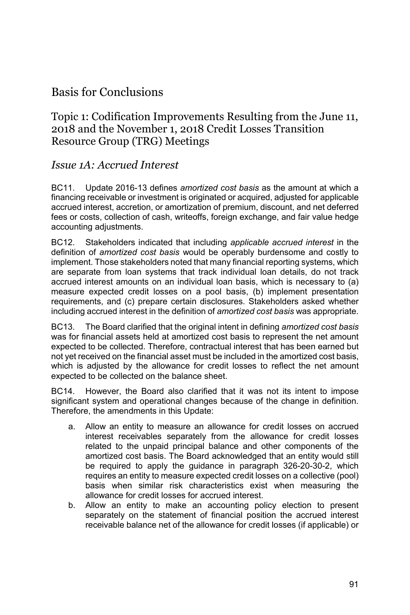# Basis for Conclusions

### Topic 1: Codification Improvements Resulting from the June 11, 2018 and the November 1, 2018 Credit Losses Transition Resource Group (TRG) Meetings

#### *Issue 1A: Accrued Interest*

BC11. Update 2016-13 defines *amortized cost basis* as the amount at which a financing receivable or investment is originated or acquired, adjusted for applicable accrued interest, accretion, or amortization of premium, discount, and net deferred fees or costs, collection of cash, writeoffs, foreign exchange, and fair value hedge accounting adjustments.

BC12. Stakeholders indicated that including *applicable accrued interest* in the definition of *amortized cost basis* would be operably burdensome and costly to implement. Those stakeholders noted that many financial reporting systems, which are separate from loan systems that track individual loan details, do not track accrued interest amounts on an individual loan basis, which is necessary to (a) measure expected credit losses on a pool basis, (b) implement presentation requirements, and (c) prepare certain disclosures. Stakeholders asked whether including accrued interest in the definition of *amortized cost basis* was appropriate.

BC13. The Board clarified that the original intent in defining *amortized cost basis* was for financial assets held at amortized cost basis to represent the net amount expected to be collected. Therefore, contractual interest that has been earned but not yet received on the financial asset must be included in the amortized cost basis, which is adjusted by the allowance for credit losses to reflect the net amount expected to be collected on the balance sheet.

BC14. However, the Board also clarified that it was not its intent to impose significant system and operational changes because of the change in definition. Therefore, the amendments in this Update:

- a. Allow an entity to measure an allowance for credit losses on accrued interest receivables separately from the allowance for credit losses related to the unpaid principal balance and other components of the amortized cost basis. The Board acknowledged that an entity would still be required to apply the guidance in paragraph 326-20-30-2, which requires an entity to measure expected credit losses on a collective (pool) basis when similar risk characteristics exist when measuring the allowance for credit losses for accrued interest.
- b. Allow an entity to make an accounting policy election to present separately on the statement of financial position the accrued interest receivable balance net of the allowance for credit losses (if applicable) or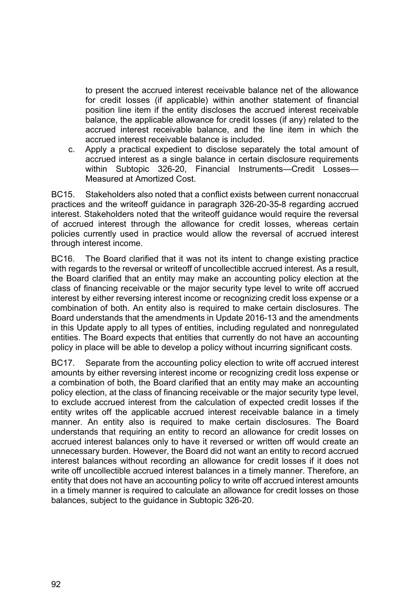to present the accrued interest receivable balance net of the allowance for credit losses (if applicable) within another statement of financial position line item if the entity discloses the accrued interest receivable balance, the applicable allowance for credit losses (if any) related to the accrued interest receivable balance, and the line item in which the accrued interest receivable balance is included.

c. Apply a practical expedient to disclose separately the total amount of accrued interest as a single balance in certain disclosure requirements within Subtopic 326-20, Financial Instruments—Credit Losses— Measured at Amortized Cost.

BC15. Stakeholders also noted that a conflict exists between current nonaccrual practices and the writeoff guidance in paragraph 326-20-35-8 regarding accrued interest. Stakeholders noted that the writeoff guidance would require the reversal of accrued interest through the allowance for credit losses, whereas certain policies currently used in practice would allow the reversal of accrued interest through interest income.

BC16. The Board clarified that it was not its intent to change existing practice with regards to the reversal or writeoff of uncollectible accrued interest. As a result, the Board clarified that an entity may make an accounting policy election at the class of financing receivable or the major security type level to write off accrued interest by either reversing interest income or recognizing credit loss expense or a combination of both. An entity also is required to make certain disclosures. The Board understands that the amendments in Update 2016-13 and the amendments in this Update apply to all types of entities, including regulated and nonregulated entities. The Board expects that entities that currently do not have an accounting policy in place will be able to develop a policy without incurring significant costs.

BC17. Separate from the accounting policy election to write off accrued interest amounts by either reversing interest income or recognizing credit loss expense or a combination of both, the Board clarified that an entity may make an accounting policy election, at the class of financing receivable or the major security type level, to exclude accrued interest from the calculation of expected credit losses if the entity writes off the applicable accrued interest receivable balance in a timely manner. An entity also is required to make certain disclosures. The Board understands that requiring an entity to record an allowance for credit losses on accrued interest balances only to have it reversed or written off would create an unnecessary burden. However, the Board did not want an entity to record accrued interest balances without recording an allowance for credit losses if it does not write off uncollectible accrued interest balances in a timely manner. Therefore, an entity that does not have an accounting policy to write off accrued interest amounts in a timely manner is required to calculate an allowance for credit losses on those balances, subject to the guidance in Subtopic 326-20.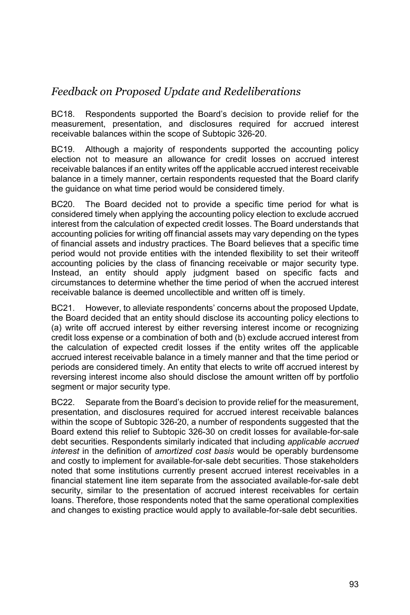# *Feedback on Proposed Update and Redeliberations*

BC18. Respondents supported the Board's decision to provide relief for the measurement, presentation, and disclosures required for accrued interest receivable balances within the scope of Subtopic 326-20.

BC19. Although a majority of respondents supported the accounting policy election not to measure an allowance for credit losses on accrued interest receivable balances if an entity writes off the applicable accrued interest receivable balance in a timely manner, certain respondents requested that the Board clarify the guidance on what time period would be considered timely.

BC20. The Board decided not to provide a specific time period for what is considered timely when applying the accounting policy election to exclude accrued interest from the calculation of expected credit losses. The Board understands that accounting policies for writing off financial assets may vary depending on the types of financial assets and industry practices. The Board believes that a specific time period would not provide entities with the intended flexibility to set their writeoff accounting policies by the class of financing receivable or major security type. Instead, an entity should apply judgment based on specific facts and circumstances to determine whether the time period of when the accrued interest receivable balance is deemed uncollectible and written off is timely.

BC21. However, to alleviate respondents' concerns about the proposed Update, the Board decided that an entity should disclose its accounting policy elections to (a) write off accrued interest by either reversing interest income or recognizing credit loss expense or a combination of both and (b) exclude accrued interest from the calculation of expected credit losses if the entity writes off the applicable accrued interest receivable balance in a timely manner and that the time period or periods are considered timely. An entity that elects to write off accrued interest by reversing interest income also should disclose the amount written off by portfolio segment or major security type.

BC22. Separate from the Board's decision to provide relief for the measurement, presentation, and disclosures required for accrued interest receivable balances within the scope of Subtopic 326-20, a number of respondents suggested that the Board extend this relief to Subtopic 326-30 on credit losses for available-for-sale debt securities. Respondents similarly indicated that including *applicable accrued interest* in the definition of *amortized cost basis* would be operably burdensome and costly to implement for available-for-sale debt securities. Those stakeholders noted that some institutions currently present accrued interest receivables in a financial statement line item separate from the associated available-for-sale debt security, similar to the presentation of accrued interest receivables for certain loans. Therefore, those respondents noted that the same operational complexities and changes to existing practice would apply to available-for-sale debt securities.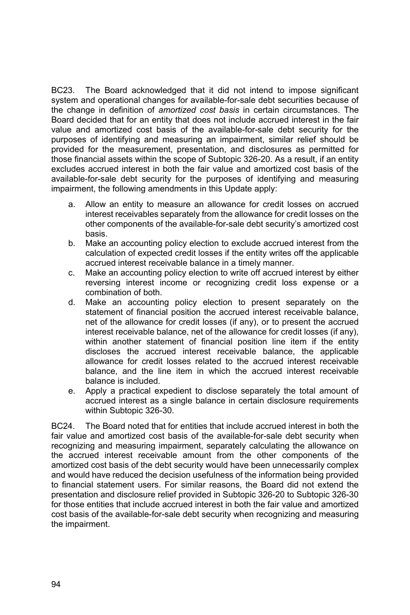BC23. The Board acknowledged that it did not intend to impose significant system and operational changes for available-for-sale debt securities because of the change in definition of *amortized cost basis* in certain circumstances. The Board decided that for an entity that does not include accrued interest in the fair value and amortized cost basis of the available-for-sale debt security for the purposes of identifying and measuring an impairment, similar relief should be provided for the measurement, presentation, and disclosures as permitted for those financial assets within the scope of Subtopic 326-20. As a result, if an entity excludes accrued interest in both the fair value and amortized cost basis of the available-for-sale debt security for the purposes of identifying and measuring impairment, the following amendments in this Update apply:

- a. Allow an entity to measure an allowance for credit losses on accrued interest receivables separately from the allowance for credit losses on the other components of the available-for-sale debt security's amortized cost basis.
- b. Make an accounting policy election to exclude accrued interest from the calculation of expected credit losses if the entity writes off the applicable accrued interest receivable balance in a timely manner.
- c. Make an accounting policy election to write off accrued interest by either reversing interest income or recognizing credit loss expense or a combination of both.
- d. Make an accounting policy election to present separately on the statement of financial position the accrued interest receivable balance, net of the allowance for credit losses (if any), or to present the accrued interest receivable balance, net of the allowance for credit losses (if any), within another statement of financial position line item if the entity discloses the accrued interest receivable balance, the applicable allowance for credit losses related to the accrued interest receivable balance, and the line item in which the accrued interest receivable balance is included.
- e. Apply a practical expedient to disclose separately the total amount of accrued interest as a single balance in certain disclosure requirements within Subtopic 326-30.

BC24. The Board noted that for entities that include accrued interest in both the fair value and amortized cost basis of the available-for-sale debt security when recognizing and measuring impairment, separately calculating the allowance on the accrued interest receivable amount from the other components of the amortized cost basis of the debt security would have been unnecessarily complex and would have reduced the decision usefulness of the information being provided to financial statement users. For similar reasons, the Board did not extend the presentation and disclosure relief provided in Subtopic 326-20 to Subtopic 326-30 for those entities that include accrued interest in both the fair value and amortized cost basis of the available-for-sale debt security when recognizing and measuring the impairment.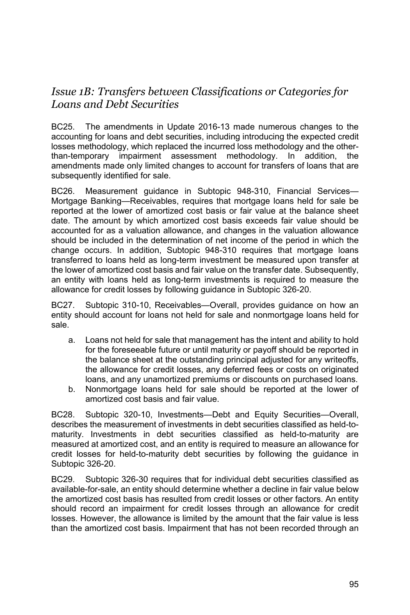# *Issue 1B: Transfers between Classifications or Categories for Loans and Debt Securities*

BC25. The amendments in Update 2016-13 made numerous changes to the accounting for loans and debt securities, including introducing the expected credit losses methodology, which replaced the incurred loss methodology and the otherthan-temporary impairment assessment methodology. In addition, the amendments made only limited changes to account for transfers of loans that are subsequently identified for sale.

BC26. Measurement guidance in Subtopic 948-310, Financial Services— Mortgage Banking—Receivables, requires that mortgage loans held for sale be reported at the lower of amortized cost basis or fair value at the balance sheet date. The amount by which amortized cost basis exceeds fair value should be accounted for as a valuation allowance, and changes in the valuation allowance should be included in the determination of net income of the period in which the change occurs. In addition, Subtopic 948-310 requires that mortgage loans transferred to loans held as long-term investment be measured upon transfer at the lower of amortized cost basis and fair value on the transfer date. Subsequently, an entity with loans held as long-term investments is required to measure the allowance for credit losses by following guidance in Subtopic 326-20.

BC27. Subtopic 310-10, Receivables—Overall, provides guidance on how an entity should account for loans not held for sale and nonmortgage loans held for sale.

- a. Loans not held for sale that management has the intent and ability to hold for the foreseeable future or until maturity or payoff should be reported in the balance sheet at the outstanding principal adjusted for any writeoffs, the allowance for credit losses, any deferred fees or costs on originated loans, and any unamortized premiums or discounts on purchased loans.
- b. Nonmortgage loans held for sale should be reported at the lower of amortized cost basis and fair value.

BC28. Subtopic 320-10, Investments—Debt and Equity Securities—Overall, describes the measurement of investments in debt securities classified as held-tomaturity. Investments in debt securities classified as held-to-maturity are measured at amortized cost, and an entity is required to measure an allowance for credit losses for held-to-maturity debt securities by following the guidance in Subtopic 326-20.

BC29. Subtopic 326-30 requires that for individual debt securities classified as available-for-sale, an entity should determine whether a decline in fair value below the amortized cost basis has resulted from credit losses or other factors. An entity should record an impairment for credit losses through an allowance for credit losses. However, the allowance is limited by the amount that the fair value is less than the amortized cost basis. Impairment that has not been recorded through an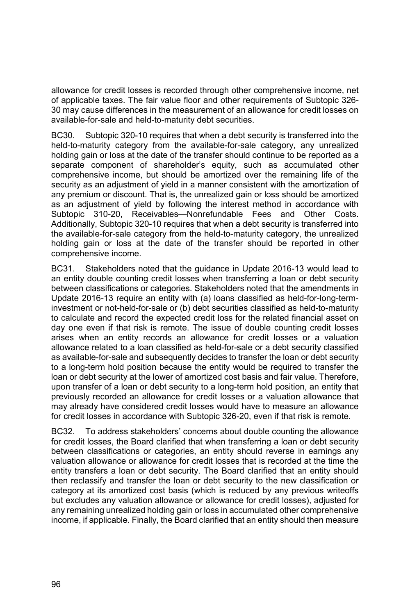allowance for credit losses is recorded through other comprehensive income, net of applicable taxes. The fair value floor and other requirements of Subtopic 326- 30 may cause differences in the measurement of an allowance for credit losses on available-for-sale and held-to-maturity debt securities.

BC30. Subtopic 320-10 requires that when a debt security is transferred into the held-to-maturity category from the available-for-sale category, any unrealized holding gain or loss at the date of the transfer should continue to be reported as a separate component of shareholder's equity, such as accumulated other comprehensive income, but should be amortized over the remaining life of the security as an adjustment of yield in a manner consistent with the amortization of any premium or discount. That is, the unrealized gain or loss should be amortized as an adjustment of yield by following the interest method in accordance with Subtopic 310-20, Receivables—Nonrefundable Fees and Other Costs. Additionally, Subtopic 320-10 requires that when a debt security is transferred into the available-for-sale category from the held-to-maturity category, the unrealized holding gain or loss at the date of the transfer should be reported in other comprehensive income.

BC31. Stakeholders noted that the guidance in Update 2016-13 would lead to an entity double counting credit losses when transferring a loan or debt security between classifications or categories. Stakeholders noted that the amendments in Update 2016-13 require an entity with (a) loans classified as held-for-long-terminvestment or not-held-for-sale or (b) debt securities classified as held-to-maturity to calculate and record the expected credit loss for the related financial asset on day one even if that risk is remote. The issue of double counting credit losses arises when an entity records an allowance for credit losses or a valuation allowance related to a loan classified as held-for-sale or a debt security classified as available-for-sale and subsequently decides to transfer the loan or debt security to a long-term hold position because the entity would be required to transfer the loan or debt security at the lower of amortized cost basis and fair value. Therefore, upon transfer of a loan or debt security to a long-term hold position, an entity that previously recorded an allowance for credit losses or a valuation allowance that may already have considered credit losses would have to measure an allowance for credit losses in accordance with Subtopic 326-20, even if that risk is remote.

BC32. To address stakeholders' concerns about double counting the allowance for credit losses, the Board clarified that when transferring a loan or debt security between classifications or categories, an entity should reverse in earnings any valuation allowance or allowance for credit losses that is recorded at the time the entity transfers a loan or debt security. The Board clarified that an entity should then reclassify and transfer the loan or debt security to the new classification or category at its amortized cost basis (which is reduced by any previous writeoffs but excludes any valuation allowance or allowance for credit losses), adjusted for any remaining unrealized holding gain or loss in accumulated other comprehensive income, if applicable. Finally, the Board clarified that an entity should then measure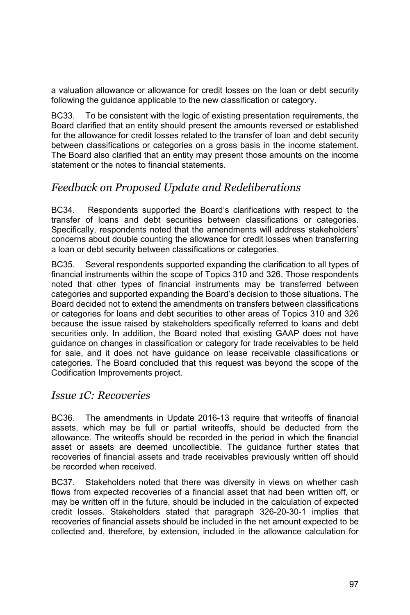a valuation allowance or allowance for credit losses on the loan or debt security following the guidance applicable to the new classification or category.

BC33. To be consistent with the logic of existing presentation requirements, the Board clarified that an entity should present the amounts reversed or established for the allowance for credit losses related to the transfer of loan and debt security between classifications or categories on a gross basis in the income statement. The Board also clarified that an entity may present those amounts on the income statement or the notes to financial statements.

### *Feedback on Proposed Update and Redeliberations*

BC34. Respondents supported the Board's clarifications with respect to the transfer of loans and debt securities between classifications or categories. Specifically, respondents noted that the amendments will address stakeholders' concerns about double counting the allowance for credit losses when transferring a loan or debt security between classifications or categories.

BC35. Several respondents supported expanding the clarification to all types of financial instruments within the scope of Topics 310 and 326. Those respondents noted that other types of financial instruments may be transferred between categories and supported expanding the Board's decision to those situations. The Board decided not to extend the amendments on transfers between classifications or categories for loans and debt securities to other areas of Topics 310 and 326 because the issue raised by stakeholders specifically referred to loans and debt securities only. In addition, the Board noted that existing GAAP does not have guidance on changes in classification or category for trade receivables to be held for sale, and it does not have guidance on lease receivable classifications or categories. The Board concluded that this request was beyond the scope of the Codification Improvements project.

#### *Issue 1C: Recoveries*

BC36. The amendments in Update 2016-13 require that writeoffs of financial assets, which may be full or partial writeoffs, should be deducted from the allowance. The writeoffs should be recorded in the period in which the financial asset or assets are deemed uncollectible. The guidance further states that recoveries of financial assets and trade receivables previously written off should be recorded when received.

BC37. Stakeholders noted that there was diversity in views on whether cash flows from expected recoveries of a financial asset that had been written off, or may be written off in the future, should be included in the calculation of expected credit losses. Stakeholders stated that paragraph 326-20-30-1 implies that recoveries of financial assets should be included in the net amount expected to be collected and, therefore, by extension, included in the allowance calculation for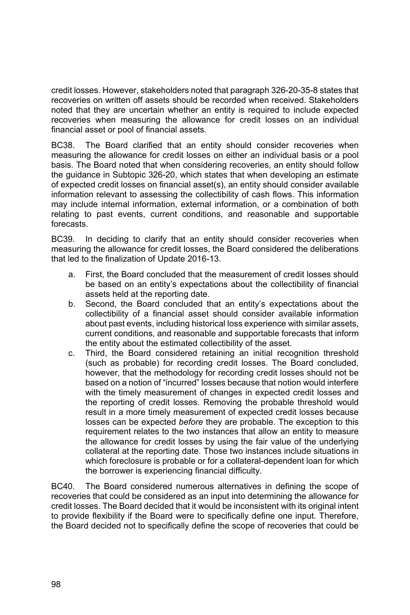credit losses. However, stakeholders noted that paragraph 326-20-35-8 states that recoveries on written off assets should be recorded when received. Stakeholders noted that they are uncertain whether an entity is required to include expected recoveries when measuring the allowance for credit losses on an individual financial asset or pool of financial assets.

BC38. The Board clarified that an entity should consider recoveries when measuring the allowance for credit losses on either an individual basis or a pool basis. The Board noted that when considering recoveries, an entity should follow the guidance in Subtopic 326-20, which states that when developing an estimate of expected credit losses on financial asset(s), an entity should consider available information relevant to assessing the collectibility of cash flows. This information may include internal information, external information, or a combination of both relating to past events, current conditions, and reasonable and supportable forecasts.

BC39. In deciding to clarify that an entity should consider recoveries when measuring the allowance for credit losses, the Board considered the deliberations that led to the finalization of Update 2016-13.

- a. First, the Board concluded that the measurement of credit losses should be based on an entity's expectations about the collectibility of financial assets held at the reporting date.
- b. Second, the Board concluded that an entity's expectations about the collectibility of a financial asset should consider available information about past events, including historical loss experience with similar assets, current conditions, and reasonable and supportable forecasts that inform the entity about the estimated collectibility of the asset.
- c. Third, the Board considered retaining an initial recognition threshold (such as probable) for recording credit losses. The Board concluded, however, that the methodology for recording credit losses should not be based on a notion of "incurred" losses because that notion would interfere with the timely measurement of changes in expected credit losses and the reporting of credit losses. Removing the probable threshold would result in a more timely measurement of expected credit losses because losses can be expected *before* they are probable. The exception to this requirement relates to the two instances that allow an entity to measure the allowance for credit losses by using the fair value of the underlying collateral at the reporting date. Those two instances include situations in which foreclosure is probable or for a collateral-dependent loan for which the borrower is experiencing financial difficulty.

BC40. The Board considered numerous alternatives in defining the scope of recoveries that could be considered as an input into determining the allowance for credit losses. The Board decided that it would be inconsistent with its original intent to provide flexibility if the Board were to specifically define one input. Therefore, the Board decided not to specifically define the scope of recoveries that could be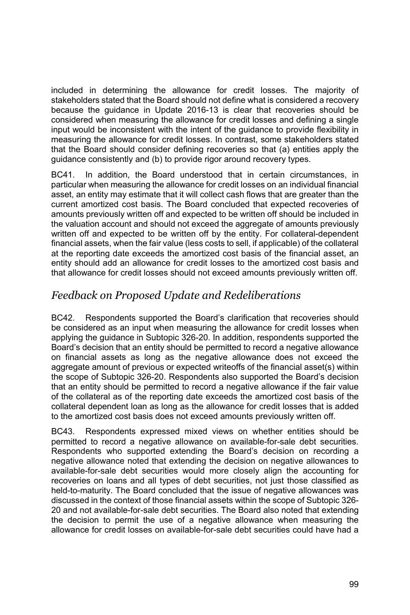included in determining the allowance for credit losses. The majority of stakeholders stated that the Board should not define what is considered a recovery because the guidance in Update 2016-13 is clear that recoveries should be considered when measuring the allowance for credit losses and defining a single input would be inconsistent with the intent of the guidance to provide flexibility in measuring the allowance for credit losses. In contrast, some stakeholders stated that the Board should consider defining recoveries so that (a) entities apply the guidance consistently and (b) to provide rigor around recovery types.

BC41. In addition, the Board understood that in certain circumstances, in particular when measuring the allowance for credit losses on an individual financial asset, an entity may estimate that it will collect cash flows that are greater than the current amortized cost basis. The Board concluded that expected recoveries of amounts previously written off and expected to be written off should be included in the valuation account and should not exceed the aggregate of amounts previously written off and expected to be written off by the entity. For collateral-dependent financial assets, when the fair value (less costs to sell, if applicable) of the collateral at the reporting date exceeds the amortized cost basis of the financial asset, an entity should add an allowance for credit losses to the amortized cost basis and that allowance for credit losses should not exceed amounts previously written off.

# *Feedback on Proposed Update and Redeliberations*

BC42. Respondents supported the Board's clarification that recoveries should be considered as an input when measuring the allowance for credit losses when applying the guidance in Subtopic 326-20. In addition, respondents supported the Board's decision that an entity should be permitted to record a negative allowance on financial assets as long as the negative allowance does not exceed the aggregate amount of previous or expected writeoffs of the financial asset(s) within the scope of Subtopic 326-20. Respondents also supported the Board's decision that an entity should be permitted to record a negative allowance if the fair value of the collateral as of the reporting date exceeds the amortized cost basis of the collateral dependent loan as long as the allowance for credit losses that is added to the amortized cost basis does not exceed amounts previously written off.

BC43. Respondents expressed mixed views on whether entities should be permitted to record a negative allowance on available-for-sale debt securities. Respondents who supported extending the Board's decision on recording a negative allowance noted that extending the decision on negative allowances to available-for-sale debt securities would more closely align the accounting for recoveries on loans and all types of debt securities, not just those classified as held-to-maturity. The Board concluded that the issue of negative allowances was discussed in the context of those financial assets within the scope of Subtopic 326- 20 and not available-for-sale debt securities. The Board also noted that extending the decision to permit the use of a negative allowance when measuring the allowance for credit losses on available-for-sale debt securities could have had a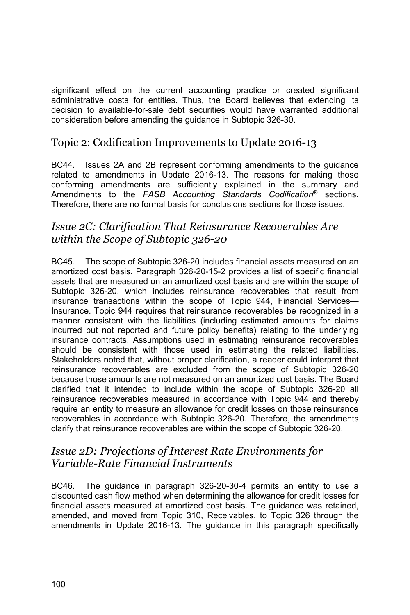significant effect on the current accounting practice or created significant administrative costs for entities. Thus, the Board believes that extending its decision to available-for-sale debt securities would have warranted additional consideration before amending the guidance in Subtopic 326-30.

### Topic 2: Codification Improvements to Update 2016-13

BC44. Issues 2A and 2B represent conforming amendments to the guidance related to amendments in Update 2016-13. The reasons for making those conforming amendments are sufficiently explained in the summary and Amendments to the *FASB Accounting Standards Codification*® sections. Therefore, there are no formal basis for conclusions sections for those issues.

### *Issue 2C: Clarification That Reinsurance Recoverables Are within the Scope of Subtopic 326-20*

BC45. The scope of Subtopic 326-20 includes financial assets measured on an amortized cost basis. Paragraph 326-20-15-2 provides a list of specific financial assets that are measured on an amortized cost basis and are within the scope of Subtopic 326-20, which includes reinsurance recoverables that result from insurance transactions within the scope of Topic 944, Financial Services— Insurance. Topic 944 requires that reinsurance recoverables be recognized in a manner consistent with the liabilities (including estimated amounts for claims incurred but not reported and future policy benefits) relating to the underlying insurance contracts. Assumptions used in estimating reinsurance recoverables should be consistent with those used in estimating the related liabilities. Stakeholders noted that, without proper clarification, a reader could interpret that reinsurance recoverables are excluded from the scope of Subtopic 326-20 because those amounts are not measured on an amortized cost basis. The Board clarified that it intended to include within the scope of Subtopic 326-20 all reinsurance recoverables measured in accordance with Topic 944 and thereby require an entity to measure an allowance for credit losses on those reinsurance recoverables in accordance with Subtopic 326-20. Therefore, the amendments clarify that reinsurance recoverables are within the scope of Subtopic 326-20.

#### *Issue 2D: Projections of Interest Rate Environments for Variable-Rate Financial Instruments*

BC46. The guidance in paragraph 326-20-30-4 permits an entity to use a discounted cash flow method when determining the allowance for credit losses for financial assets measured at amortized cost basis. The guidance was retained, amended, and moved from Topic 310, Receivables, to Topic 326 through the amendments in Update 2016-13. The guidance in this paragraph specifically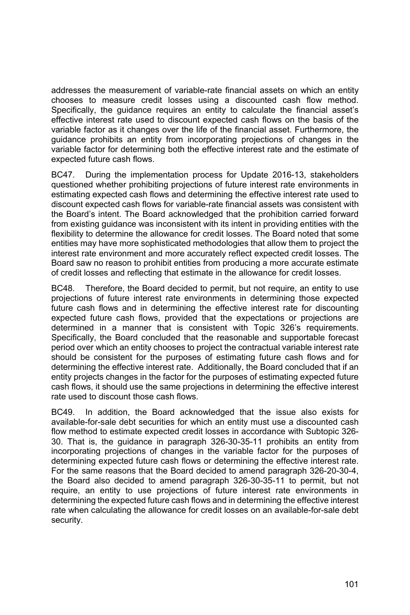addresses the measurement of variable-rate financial assets on which an entity chooses to measure credit losses using a discounted cash flow method. Specifically, the guidance requires an entity to calculate the financial asset's effective interest rate used to discount expected cash flows on the basis of the variable factor as it changes over the life of the financial asset. Furthermore, the guidance prohibits an entity from incorporating projections of changes in the variable factor for determining both the effective interest rate and the estimate of expected future cash flows.

BC47. During the implementation process for Update 2016-13, stakeholders questioned whether prohibiting projections of future interest rate environments in estimating expected cash flows and determining the effective interest rate used to discount expected cash flows for variable-rate financial assets was consistent with the Board's intent. The Board acknowledged that the prohibition carried forward from existing guidance was inconsistent with its intent in providing entities with the flexibility to determine the allowance for credit losses. The Board noted that some entities may have more sophisticated methodologies that allow them to project the interest rate environment and more accurately reflect expected credit losses. The Board saw no reason to prohibit entities from producing a more accurate estimate of credit losses and reflecting that estimate in the allowance for credit losses.

BC48. Therefore, the Board decided to permit, but not require, an entity to use projections of future interest rate environments in determining those expected future cash flows and in determining the effective interest rate for discounting expected future cash flows, provided that the expectations or projections are determined in a manner that is consistent with Topic 326's requirements. Specifically, the Board concluded that the reasonable and supportable forecast period over which an entity chooses to project the contractual variable interest rate should be consistent for the purposes of estimating future cash flows and for determining the effective interest rate. Additionally, the Board concluded that if an entity projects changes in the factor for the purposes of estimating expected future cash flows, it should use the same projections in determining the effective interest rate used to discount those cash flows.

BC49. In addition, the Board acknowledged that the issue also exists for available-for-sale debt securities for which an entity must use a discounted cash flow method to estimate expected credit losses in accordance with Subtopic 326- 30. That is, the guidance in paragraph 326-30-35-11 prohibits an entity from incorporating projections of changes in the variable factor for the purposes of determining expected future cash flows or determining the effective interest rate. For the same reasons that the Board decided to amend paragraph 326-20-30-4, the Board also decided to amend paragraph 326-30-35-11 to permit, but not require, an entity to use projections of future interest rate environments in determining the expected future cash flows and in determining the effective interest rate when calculating the allowance for credit losses on an available-for-sale debt security.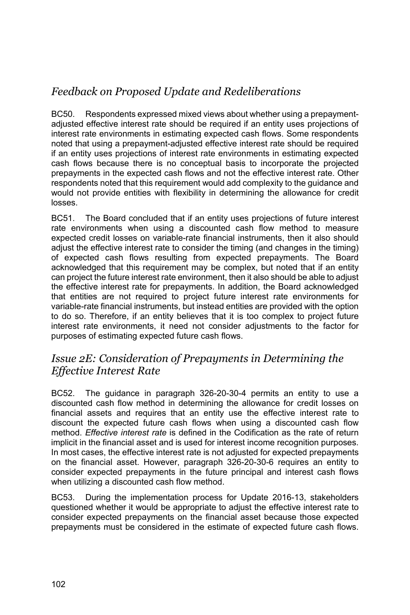# *Feedback on Proposed Update and Redeliberations*

BC50. Respondents expressed mixed views about whether using a prepaymentadjusted effective interest rate should be required if an entity uses projections of interest rate environments in estimating expected cash flows. Some respondents noted that using a prepayment-adjusted effective interest rate should be required if an entity uses projections of interest rate environments in estimating expected cash flows because there is no conceptual basis to incorporate the projected prepayments in the expected cash flows and not the effective interest rate. Other respondents noted that this requirement would add complexity to the guidance and would not provide entities with flexibility in determining the allowance for credit losses.

BC51. The Board concluded that if an entity uses projections of future interest rate environments when using a discounted cash flow method to measure expected credit losses on variable-rate financial instruments, then it also should adjust the effective interest rate to consider the timing (and changes in the timing) of expected cash flows resulting from expected prepayments. The Board acknowledged that this requirement may be complex, but noted that if an entity can project the future interest rate environment, then it also should be able to adjust the effective interest rate for prepayments. In addition, the Board acknowledged that entities are not required to project future interest rate environments for variable-rate financial instruments, but instead entities are provided with the option to do so. Therefore, if an entity believes that it is too complex to project future interest rate environments, it need not consider adjustments to the factor for purposes of estimating expected future cash flows.

### *Issue 2E: Consideration of Prepayments in Determining the Effective Interest Rate*

BC52. The guidance in paragraph 326-20-30-4 permits an entity to use a discounted cash flow method in determining the allowance for credit losses on financial assets and requires that an entity use the effective interest rate to discount the expected future cash flows when using a discounted cash flow method. *Effective interest rate* is defined in the Codification as the rate of return implicit in the financial asset and is used for interest income recognition purposes. In most cases, the effective interest rate is not adjusted for expected prepayments on the financial asset. However, paragraph 326-20-30-6 requires an entity to consider expected prepayments in the future principal and interest cash flows when utilizing a discounted cash flow method.

BC53. During the implementation process for Update 2016-13, stakeholders questioned whether it would be appropriate to adjust the effective interest rate to consider expected prepayments on the financial asset because those expected prepayments must be considered in the estimate of expected future cash flows.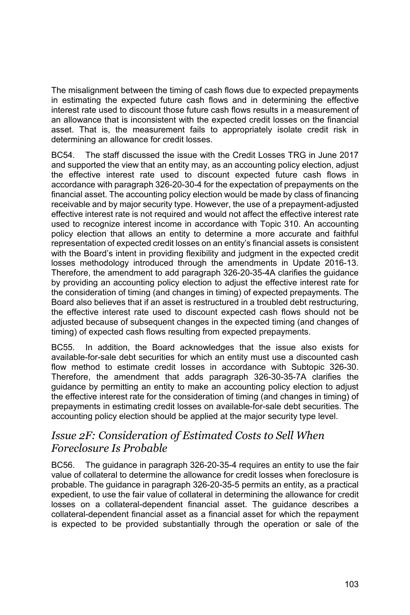The misalignment between the timing of cash flows due to expected prepayments in estimating the expected future cash flows and in determining the effective interest rate used to discount those future cash flows results in a measurement of an allowance that is inconsistent with the expected credit losses on the financial asset. That is, the measurement fails to appropriately isolate credit risk in determining an allowance for credit losses.

BC54. The staff discussed the issue with the Credit Losses TRG in June 2017 and supported the view that an entity may, as an accounting policy election, adjust the effective interest rate used to discount expected future cash flows in accordance with paragraph 326-20-30-4 for the expectation of prepayments on the financial asset. The accounting policy election would be made by class of financing receivable and by major security type. However, the use of a prepayment-adjusted effective interest rate is not required and would not affect the effective interest rate used to recognize interest income in accordance with Topic 310. An accounting policy election that allows an entity to determine a more accurate and faithful representation of expected credit losses on an entity's financial assets is consistent with the Board's intent in providing flexibility and judgment in the expected credit losses methodology introduced through the amendments in Update 2016-13. Therefore, the amendment to add paragraph 326-20-35-4A clarifies the guidance by providing an accounting policy election to adjust the effective interest rate for the consideration of timing (and changes in timing) of expected prepayments. The Board also believes that if an asset is restructured in a troubled debt restructuring, the effective interest rate used to discount expected cash flows should not be adjusted because of subsequent changes in the expected timing (and changes of timing) of expected cash flows resulting from expected prepayments.

BC55. In addition, the Board acknowledges that the issue also exists for available-for-sale debt securities for which an entity must use a discounted cash flow method to estimate credit losses in accordance with Subtopic 326-30. Therefore, the amendment that adds paragraph 326-30-35-7A clarifies the guidance by permitting an entity to make an accounting policy election to adjust the effective interest rate for the consideration of timing (and changes in timing) of prepayments in estimating credit losses on available-for-sale debt securities. The accounting policy election should be applied at the major security type level.

# *Issue 2F: Consideration of Estimated Costs to Sell When Foreclosure Is Probable*

BC56. The guidance in paragraph 326-20-35-4 requires an entity to use the fair value of collateral to determine the allowance for credit losses when foreclosure is probable. The guidance in paragraph 326-20-35-5 permits an entity, as a practical expedient, to use the fair value of collateral in determining the allowance for credit losses on a collateral-dependent financial asset. The guidance describes a collateral-dependent financial asset as a financial asset for which the repayment is expected to be provided substantially through the operation or sale of the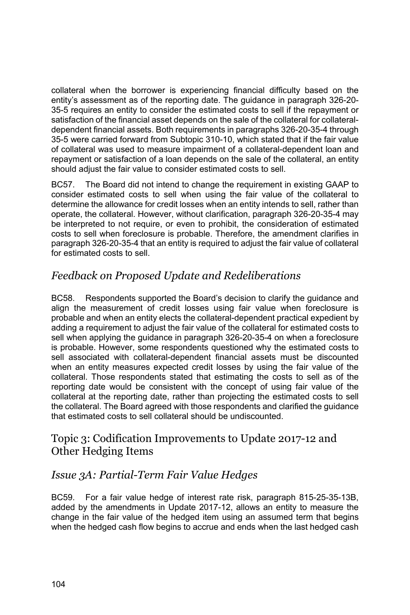collateral when the borrower is experiencing financial difficulty based on the entity's assessment as of the reporting date. The guidance in paragraph 326-20- 35-5 requires an entity to consider the estimated costs to sell if the repayment or satisfaction of the financial asset depends on the sale of the collateral for collateraldependent financial assets. Both requirements in paragraphs 326-20-35-4 through 35-5 were carried forward from Subtopic 310-10, which stated that if the fair value of collateral was used to measure impairment of a collateral-dependent loan and repayment or satisfaction of a loan depends on the sale of the collateral, an entity should adjust the fair value to consider estimated costs to sell.

BC57. The Board did not intend to change the requirement in existing GAAP to consider estimated costs to sell when using the fair value of the collateral to determine the allowance for credit losses when an entity intends to sell, rather than operate, the collateral. However, without clarification, paragraph 326-20-35-4 may be interpreted to not require, or even to prohibit, the consideration of estimated costs to sell when foreclosure is probable. Therefore, the amendment clarifies in paragraph 326-20-35-4 that an entity is required to adjust the fair value of collateral for estimated costs to sell.

# *Feedback on Proposed Update and Redeliberations*

BC58. Respondents supported the Board's decision to clarify the guidance and align the measurement of credit losses using fair value when foreclosure is probable and when an entity elects the collateral-dependent practical expedient by adding a requirement to adjust the fair value of the collateral for estimated costs to sell when applying the guidance in paragraph 326-20-35-4 on when a foreclosure is probable. However, some respondents questioned why the estimated costs to sell associated with collateral-dependent financial assets must be discounted when an entity measures expected credit losses by using the fair value of the collateral. Those respondents stated that estimating the costs to sell as of the reporting date would be consistent with the concept of using fair value of the collateral at the reporting date, rather than projecting the estimated costs to sell the collateral. The Board agreed with those respondents and clarified the guidance that estimated costs to sell collateral should be undiscounted.

## Topic 3: Codification Improvements to Update 2017-12 and Other Hedging Items

# *Issue 3A: Partial-Term Fair Value Hedges*

BC59. For a fair value hedge of interest rate risk, paragraph 815-25-35-13B, added by the amendments in Update 2017-12, allows an entity to measure the change in the fair value of the hedged item using an assumed term that begins when the hedged cash flow begins to accrue and ends when the last hedged cash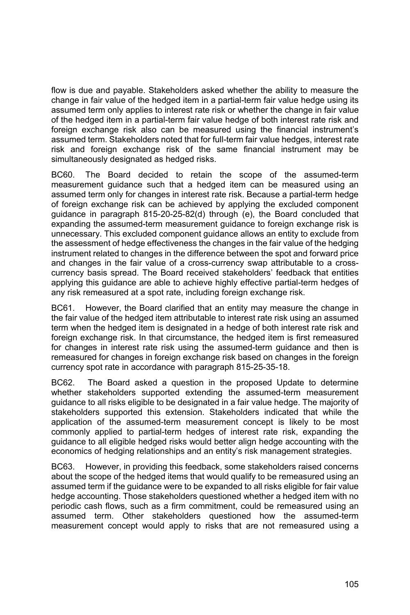flow is due and payable. Stakeholders asked whether the ability to measure the change in fair value of the hedged item in a partial-term fair value hedge using its assumed term only applies to interest rate risk or whether the change in fair value of the hedged item in a partial-term fair value hedge of both interest rate risk and foreign exchange risk also can be measured using the financial instrument's assumed term. Stakeholders noted that for full-term fair value hedges, interest rate risk and foreign exchange risk of the same financial instrument may be simultaneously designated as hedged risks.

BC60. The Board decided to retain the scope of the assumed-term measurement guidance such that a hedged item can be measured using an assumed term only for changes in interest rate risk. Because a partial-term hedge of foreign exchange risk can be achieved by applying the excluded component guidance in paragraph 815-20-25-82(d) through (e), the Board concluded that expanding the assumed-term measurement guidance to foreign exchange risk is unnecessary. This excluded component guidance allows an entity to exclude from the assessment of hedge effectiveness the changes in the fair value of the hedging instrument related to changes in the difference between the spot and forward price and changes in the fair value of a cross-currency swap attributable to a crosscurrency basis spread. The Board received stakeholders' feedback that entities applying this guidance are able to achieve highly effective partial-term hedges of any risk remeasured at a spot rate, including foreign exchange risk.

BC61. However, the Board clarified that an entity may measure the change in the fair value of the hedged item attributable to interest rate risk using an assumed term when the hedged item is designated in a hedge of both interest rate risk and foreign exchange risk. In that circumstance, the hedged item is first remeasured for changes in interest rate risk using the assumed-term guidance and then is remeasured for changes in foreign exchange risk based on changes in the foreign currency spot rate in accordance with paragraph 815-25-35-18.

BC62. The Board asked a question in the proposed Update to determine whether stakeholders supported extending the assumed-term measurement guidance to all risks eligible to be designated in a fair value hedge. The majority of stakeholders supported this extension. Stakeholders indicated that while the application of the assumed-term measurement concept is likely to be most commonly applied to partial-term hedges of interest rate risk, expanding the guidance to all eligible hedged risks would better align hedge accounting with the economics of hedging relationships and an entity's risk management strategies.

BC63. However, in providing this feedback, some stakeholders raised concerns about the scope of the hedged items that would qualify to be remeasured using an assumed term if the guidance were to be expanded to all risks eligible for fair value hedge accounting. Those stakeholders questioned whether a hedged item with no periodic cash flows, such as a firm commitment, could be remeasured using an assumed term. Other stakeholders questioned how the assumed-term measurement concept would apply to risks that are not remeasured using a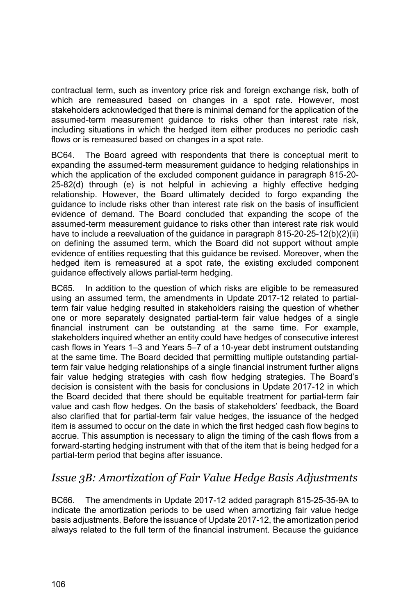contractual term, such as inventory price risk and foreign exchange risk, both of which are remeasured based on changes in a spot rate. However, most stakeholders acknowledged that there is minimal demand for the application of the assumed-term measurement guidance to risks other than interest rate risk, including situations in which the hedged item either produces no periodic cash flows or is remeasured based on changes in a spot rate.

BC64. The Board agreed with respondents that there is conceptual merit to expanding the assumed-term measurement guidance to hedging relationships in which the application of the excluded component guidance in paragraph 815-20- 25-82(d) through (e) is not helpful in achieving a highly effective hedging relationship. However, the Board ultimately decided to forgo expanding the guidance to include risks other than interest rate risk on the basis of insufficient evidence of demand. The Board concluded that expanding the scope of the assumed-term measurement guidance to risks other than interest rate risk would have to include a reevaluation of the guidance in paragraph 815-20-25-12(b)(2)(ii) on defining the assumed term, which the Board did not support without ample evidence of entities requesting that this guidance be revised. Moreover, when the hedged item is remeasured at a spot rate, the existing excluded component guidance effectively allows partial-term hedging.

BC65. In addition to the question of which risks are eligible to be remeasured using an assumed term, the amendments in Update 2017-12 related to partialterm fair value hedging resulted in stakeholders raising the question of whether one or more separately designated partial-term fair value hedges of a single financial instrument can be outstanding at the same time. For example, stakeholders inquired whether an entity could have hedges of consecutive interest cash flows in Years 1–3 and Years 5–7 of a 10-year debt instrument outstanding at the same time. The Board decided that permitting multiple outstanding partialterm fair value hedging relationships of a single financial instrument further aligns fair value hedging strategies with cash flow hedging strategies. The Board's decision is consistent with the basis for conclusions in Update 2017-12 in which the Board decided that there should be equitable treatment for partial-term fair value and cash flow hedges. On the basis of stakeholders' feedback, the Board also clarified that for partial-term fair value hedges, the issuance of the hedged item is assumed to occur on the date in which the first hedged cash flow begins to accrue. This assumption is necessary to align the timing of the cash flows from a forward-starting hedging instrument with that of the item that is being hedged for a partial-term period that begins after issuance.

# *Issue 3B: Amortization of Fair Value Hedge Basis Adjustments*

BC66. The amendments in Update 2017-12 added paragraph 815-25-35-9A to indicate the amortization periods to be used when amortizing fair value hedge basis adjustments. Before the issuance of Update 2017-12, the amortization period always related to the full term of the financial instrument. Because the guidance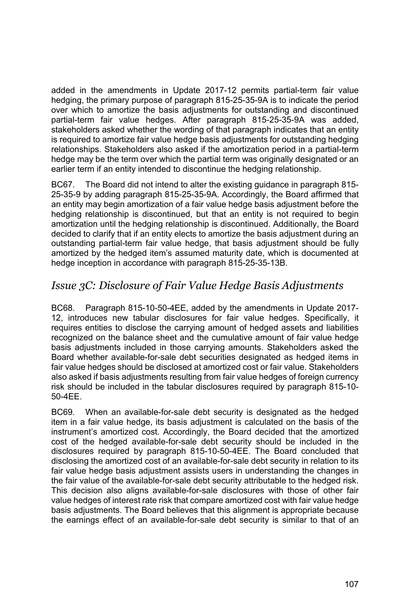added in the amendments in Update 2017-12 permits partial-term fair value hedging, the primary purpose of paragraph 815-25-35-9A is to indicate the period over which to amortize the basis adjustments for outstanding and discontinued partial-term fair value hedges. After paragraph 815-25-35-9A was added, stakeholders asked whether the wording of that paragraph indicates that an entity is required to amortize fair value hedge basis adjustments for outstanding hedging relationships. Stakeholders also asked if the amortization period in a partial-term hedge may be the term over which the partial term was originally designated or an earlier term if an entity intended to discontinue the hedging relationship.

BC67. The Board did not intend to alter the existing guidance in paragraph 815- 25-35-9 by adding paragraph 815-25-35-9A. Accordingly, the Board affirmed that an entity may begin amortization of a fair value hedge basis adjustment before the hedging relationship is discontinued, but that an entity is not required to begin amortization until the hedging relationship is discontinued. Additionally, the Board decided to clarify that if an entity elects to amortize the basis adjustment during an outstanding partial-term fair value hedge, that basis adjustment should be fully amortized by the hedged item's assumed maturity date, which is documented at hedge inception in accordance with paragraph 815-25-35-13B.

# *Issue 3C: Disclosure of Fair Value Hedge Basis Adjustments*

BC68. Paragraph 815-10-50-4EE, added by the amendments in Update 2017- 12, introduces new tabular disclosures for fair value hedges. Specifically, it requires entities to disclose the carrying amount of hedged assets and liabilities recognized on the balance sheet and the cumulative amount of fair value hedge basis adjustments included in those carrying amounts. Stakeholders asked the Board whether available-for-sale debt securities designated as hedged items in fair value hedges should be disclosed at amortized cost or fair value. Stakeholders also asked if basis adjustments resulting from fair value hedges of foreign currency risk should be included in the tabular disclosures required by paragraph 815-10- 50-4EE.

BC69. When an available-for-sale debt security is designated as the hedged item in a fair value hedge, its basis adjustment is calculated on the basis of the instrument's amortized cost. Accordingly, the Board decided that the amortized cost of the hedged available-for-sale debt security should be included in the disclosures required by paragraph 815-10-50-4EE. The Board concluded that disclosing the amortized cost of an available-for-sale debt security in relation to its fair value hedge basis adjustment assists users in understanding the changes in the fair value of the available-for-sale debt security attributable to the hedged risk. This decision also aligns available-for-sale disclosures with those of other fair value hedges of interest rate risk that compare amortized cost with fair value hedge basis adjustments. The Board believes that this alignment is appropriate because the earnings effect of an available-for-sale debt security is similar to that of an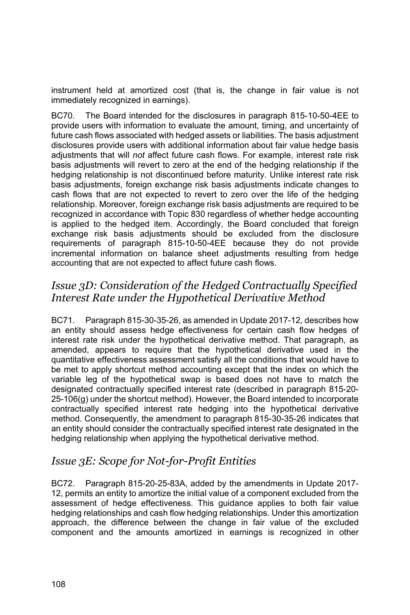instrument held at amortized cost (that is, the change in fair value is not immediately recognized in earnings).

BC70. The Board intended for the disclosures in paragraph 815-10-50-4EE to provide users with information to evaluate the amount, timing, and uncertainty of future cash flows associated with hedged assets or liabilities. The basis adjustment disclosures provide users with additional information about fair value hedge basis adjustments that will *not* affect future cash flows. For example, interest rate risk basis adjustments will revert to zero at the end of the hedging relationship if the hedging relationship is not discontinued before maturity. Unlike interest rate risk basis adjustments, foreign exchange risk basis adjustments indicate changes to cash flows that are not expected to revert to zero over the life of the hedging relationship. Moreover, foreign exchange risk basis adjustments are required to be recognized in accordance with Topic 830 regardless of whether hedge accounting is applied to the hedged item. Accordingly, the Board concluded that foreign exchange risk basis adjustments should be excluded from the disclosure requirements of paragraph 815-10-50-4EE because they do not provide incremental information on balance sheet adjustments resulting from hedge accounting that are not expected to affect future cash flows.

# *Issue 3D: Consideration of the Hedged Contractually Specified Interest Rate under the Hypothetical Derivative Method*

BC71. Paragraph 815-30-35-26, as amended in Update 2017-12, describes how an entity should assess hedge effectiveness for certain cash flow hedges of interest rate risk under the hypothetical derivative method. That paragraph, as amended, appears to require that the hypothetical derivative used in the quantitative effectiveness assessment satisfy all the conditions that would have to be met to apply shortcut method accounting except that the index on which the variable leg of the hypothetical swap is based does not have to match the designated contractually specified interest rate (described in paragraph 815-20- 25-106(g) under the shortcut method). However, the Board intended to incorporate contractually specified interest rate hedging into the hypothetical derivative method. Consequently, the amendment to paragraph 815-30-35-26 indicates that an entity should consider the contractually specified interest rate designated in the hedging relationship when applying the hypothetical derivative method.

### *Issue 3E: Scope for Not-for-Profit Entities*

BC72. Paragraph 815-20-25-83A, added by the amendments in Update 2017- 12, permits an entity to amortize the initial value of a component excluded from the assessment of hedge effectiveness. This guidance applies to both fair value hedging relationships and cash flow hedging relationships. Under this amortization approach, the difference between the change in fair value of the excluded component and the amounts amortized in earnings is recognized in other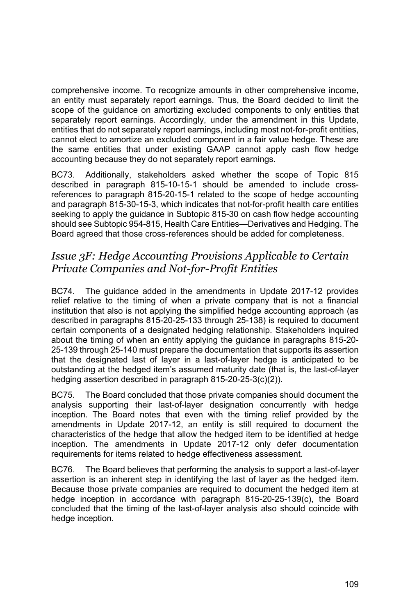comprehensive income. To recognize amounts in other comprehensive income, an entity must separately report earnings. Thus, the Board decided to limit the scope of the guidance on amortizing excluded components to only entities that separately report earnings. Accordingly, under the amendment in this Update, entities that do not separately report earnings, including most not-for-profit entities, cannot elect to amortize an excluded component in a fair value hedge. These are the same entities that under existing GAAP cannot apply cash flow hedge accounting because they do not separately report earnings.

BC73. Additionally, stakeholders asked whether the scope of Topic 815 described in paragraph 815-10-15-1 should be amended to include crossreferences to paragraph 815-20-15-1 related to the scope of hedge accounting and paragraph 815-30-15-3, which indicates that not-for-profit health care entities seeking to apply the guidance in Subtopic 815-30 on cash flow hedge accounting should see Subtopic 954-815, Health Care Entities—Derivatives and Hedging. The Board agreed that those cross-references should be added for completeness.

#### *Issue 3F: Hedge Accounting Provisions Applicable to Certain Private Companies and Not-for-Profit Entities*

BC74. The guidance added in the amendments in Update 2017-12 provides relief relative to the timing of when a private company that is not a financial institution that also is not applying the simplified hedge accounting approach (as described in paragraphs 815-20-25-133 through 25-138) is required to document certain components of a designated hedging relationship. Stakeholders inquired about the timing of when an entity applying the guidance in paragraphs 815-20- 25-139 through 25-140 must prepare the documentation that supports its assertion that the designated last of layer in a last-of-layer hedge is anticipated to be outstanding at the hedged item's assumed maturity date (that is, the last-of-layer hedging assertion described in paragraph 815-20-25-3(c)(2)).

BC75. The Board concluded that those private companies should document the analysis supporting their last-of-layer designation concurrently with hedge inception. The Board notes that even with the timing relief provided by the amendments in Update 2017-12, an entity is still required to document the characteristics of the hedge that allow the hedged item to be identified at hedge inception. The amendments in Update 2017-12 only defer documentation requirements for items related to hedge effectiveness assessment.

BC76. The Board believes that performing the analysis to support a last-of-layer assertion is an inherent step in identifying the last of layer as the hedged item. Because those private companies are required to document the hedged item at hedge inception in accordance with paragraph 815-20-25-139(c), the Board concluded that the timing of the last-of-layer analysis also should coincide with hedge inception.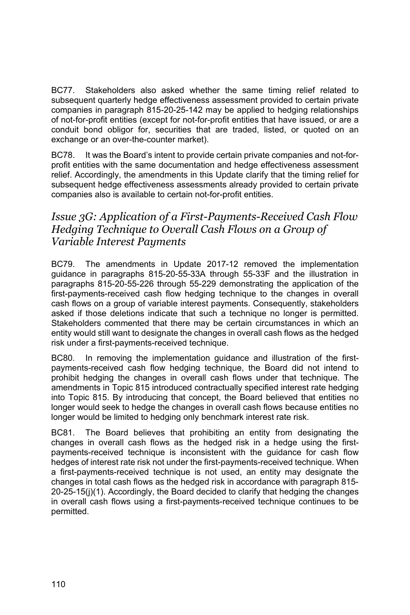BC77. Stakeholders also asked whether the same timing relief related to subsequent quarterly hedge effectiveness assessment provided to certain private companies in paragraph 815-20-25-142 may be applied to hedging relationships of not-for-profit entities (except for not-for-profit entities that have issued, or are a conduit bond obligor for, securities that are traded, listed, or quoted on an exchange or an over-the-counter market).

BC78. It was the Board's intent to provide certain private companies and not-forprofit entities with the same documentation and hedge effectiveness assessment relief. Accordingly, the amendments in this Update clarify that the timing relief for subsequent hedge effectiveness assessments already provided to certain private companies also is available to certain not-for-profit entities.

## *Issue 3G: Application of a First-Payments-Received Cash Flow Hedging Technique to Overall Cash Flows on a Group of Variable Interest Payments*

BC79. The amendments in Update 2017-12 removed the implementation guidance in paragraphs 815-20-55-33A through 55-33F and the illustration in paragraphs 815-20-55-226 through 55-229 demonstrating the application of the first-payments-received cash flow hedging technique to the changes in overall cash flows on a group of variable interest payments. Consequently, stakeholders asked if those deletions indicate that such a technique no longer is permitted. Stakeholders commented that there may be certain circumstances in which an entity would still want to designate the changes in overall cash flows as the hedged risk under a first-payments-received technique.

BC80. In removing the implementation guidance and illustration of the firstpayments-received cash flow hedging technique, the Board did not intend to prohibit hedging the changes in overall cash flows under that technique. The amendments in Topic 815 introduced contractually specified interest rate hedging into Topic 815. By introducing that concept, the Board believed that entities no longer would seek to hedge the changes in overall cash flows because entities no longer would be limited to hedging only benchmark interest rate risk.

BC81. The Board believes that prohibiting an entity from designating the changes in overall cash flows as the hedged risk in a hedge using the firstpayments-received technique is inconsistent with the guidance for cash flow hedges of interest rate risk not under the first-payments-received technique. When a first-payments-received technique is not used, an entity may designate the changes in total cash flows as the hedged risk in accordance with paragraph 815- 20-25-15(j)(1). Accordingly, the Board decided to clarify that hedging the changes in overall cash flows using a first-payments-received technique continues to be permitted.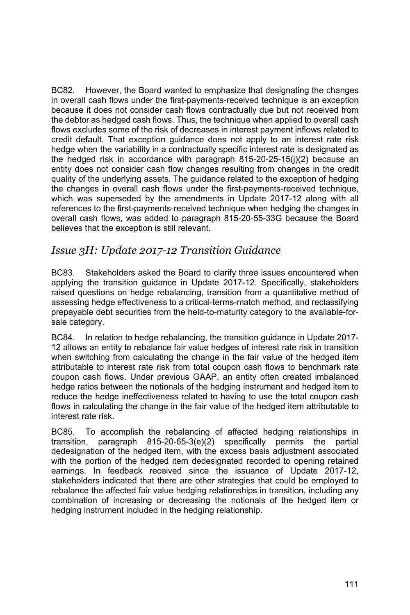BC82. However, the Board wanted to emphasize that designating the changes in overall cash flows under the first-payments-received technique is an exception because it does not consider cash flows contractually due but not received from the debtor as hedged cash flows. Thus, the technique when applied to overall cash flows excludes some of the risk of decreases in interest payment inflows related to credit default. That exception guidance does not apply to an interest rate risk hedge when the variability in a contractually specific interest rate is designated as the hedged risk in accordance with paragraph 815-20-25-15(j)(2) because an entity does not consider cash flow changes resulting from changes in the credit quality of the underlying assets. The guidance related to the exception of hedging the changes in overall cash flows under the first-payments-received technique, which was superseded by the amendments in Update 2017-12 along with all references to the first-payments-received technique when hedging the changes in overall cash flows, was added to paragraph 815-20-55-33G because the Board believes that the exception is still relevant.

## *Issue 3H: Update 2017-12 Transition Guidance*

BC83. Stakeholders asked the Board to clarify three issues encountered when applying the transition guidance in Update 2017-12. Specifically, stakeholders raised questions on hedge rebalancing, transition from a quantitative method of assessing hedge effectiveness to a critical-terms-match method, and reclassifying prepayable debt securities from the held-to-maturity category to the available-forsale category.

BC84. In relation to hedge rebalancing, the transition guidance in Update 2017- 12 allows an entity to rebalance fair value hedges of interest rate risk in transition when switching from calculating the change in the fair value of the hedged item attributable to interest rate risk from total coupon cash flows to benchmark rate coupon cash flows. Under previous GAAP, an entity often created imbalanced hedge ratios between the notionals of the hedging instrument and hedged item to reduce the hedge ineffectiveness related to having to use the total coupon cash flows in calculating the change in the fair value of the hedged item attributable to interest rate risk.

BC85. To accomplish the rebalancing of affected hedging relationships in transition, paragraph 815-20-65-3(e)(2) specifically permits the partial dedesignation of the hedged item, with the excess basis adjustment associated with the portion of the hedged item dedesignated recorded to opening retained earnings. In feedback received since the issuance of Update 2017-12, stakeholders indicated that there are other strategies that could be employed to rebalance the affected fair value hedging relationships in transition, including any combination of increasing or decreasing the notionals of the hedged item or hedging instrument included in the hedging relationship.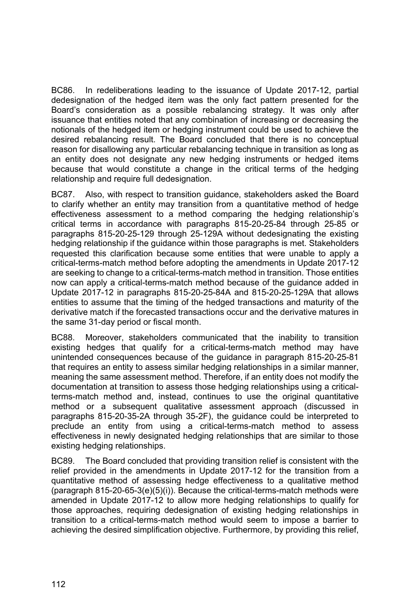BC86. In redeliberations leading to the issuance of Update 2017-12, partial dedesignation of the hedged item was the only fact pattern presented for the Board's consideration as a possible rebalancing strategy. It was only after issuance that entities noted that any combination of increasing or decreasing the notionals of the hedged item or hedging instrument could be used to achieve the desired rebalancing result. The Board concluded that there is no conceptual reason for disallowing any particular rebalancing technique in transition as long as an entity does not designate any new hedging instruments or hedged items because that would constitute a change in the critical terms of the hedging relationship and require full dedesignation.

BC87. Also, with respect to transition guidance, stakeholders asked the Board to clarify whether an entity may transition from a quantitative method of hedge effectiveness assessment to a method comparing the hedging relationship's critical terms in accordance with paragraphs 815-20-25-84 through 25-85 or paragraphs 815-20-25-129 through 25-129A without dedesignating the existing hedging relationship if the guidance within those paragraphs is met. Stakeholders requested this clarification because some entities that were unable to apply a critical-terms-match method before adopting the amendments in Update 2017-12 are seeking to change to a critical-terms-match method in transition. Those entities now can apply a critical-terms-match method because of the guidance added in Update 2017-12 in paragraphs 815-20-25-84A and 815-20-25-129A that allows entities to assume that the timing of the hedged transactions and maturity of the derivative match if the forecasted transactions occur and the derivative matures in the same 31-day period or fiscal month.

BC88. Moreover, stakeholders communicated that the inability to transition existing hedges that qualify for a critical-terms-match method may have unintended consequences because of the guidance in paragraph 815-20-25-81 that requires an entity to assess similar hedging relationships in a similar manner, meaning the same assessment method. Therefore, if an entity does not modify the documentation at transition to assess those hedging relationships using a criticalterms-match method and, instead, continues to use the original quantitative method or a subsequent qualitative assessment approach (discussed in paragraphs 815-20-35-2A through 35-2F), the guidance could be interpreted to preclude an entity from using a critical-terms-match method to assess effectiveness in newly designated hedging relationships that are similar to those existing hedging relationships.

BC89. The Board concluded that providing transition relief is consistent with the relief provided in the amendments in Update 2017-12 for the transition from a quantitative method of assessing hedge effectiveness to a qualitative method (paragraph 815-20-65-3(e)(5)(i)). Because the critical-terms-match methods were amended in Update 2017-12 to allow more hedging relationships to qualify for those approaches, requiring dedesignation of existing hedging relationships in transition to a critical-terms-match method would seem to impose a barrier to achieving the desired simplification objective. Furthermore, by providing this relief,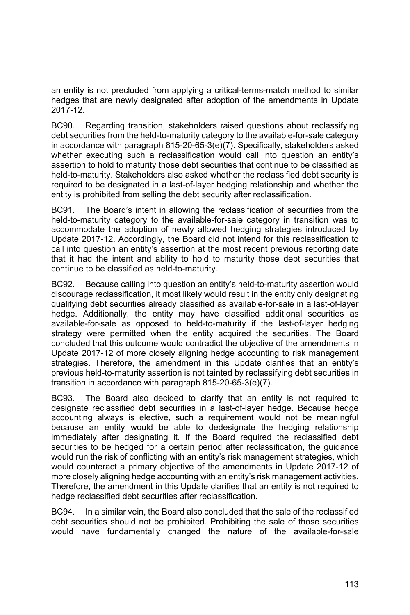an entity is not precluded from applying a critical-terms-match method to similar hedges that are newly designated after adoption of the amendments in Update 2017-12.

BC90. Regarding transition, stakeholders raised questions about reclassifying debt securities from the held-to-maturity category to the available-for-sale category in accordance with paragraph 815-20-65-3(e)(7). Specifically, stakeholders asked whether executing such a reclassification would call into question an entity's assertion to hold to maturity those debt securities that continue to be classified as held-to-maturity. Stakeholders also asked whether the reclassified debt security is required to be designated in a last-of-layer hedging relationship and whether the entity is prohibited from selling the debt security after reclassification.

BC91. The Board's intent in allowing the reclassification of securities from the held-to-maturity category to the available-for-sale category in transition was to accommodate the adoption of newly allowed hedging strategies introduced by Update 2017-12. Accordingly, the Board did not intend for this reclassification to call into question an entity's assertion at the most recent previous reporting date that it had the intent and ability to hold to maturity those debt securities that continue to be classified as held-to-maturity.

BC92. Because calling into question an entity's held-to-maturity assertion would discourage reclassification, it most likely would result in the entity only designating qualifying debt securities already classified as available-for-sale in a last-of-layer hedge. Additionally, the entity may have classified additional securities as available-for-sale as opposed to held-to-maturity if the last-of-layer hedging strategy were permitted when the entity acquired the securities. The Board concluded that this outcome would contradict the objective of the amendments in Update 2017-12 of more closely aligning hedge accounting to risk management strategies. Therefore, the amendment in this Update clarifies that an entity's previous held-to-maturity assertion is not tainted by reclassifying debt securities in transition in accordance with paragraph 815-20-65-3(e)(7).

BC93. The Board also decided to clarify that an entity is not required to designate reclassified debt securities in a last-of-layer hedge. Because hedge accounting always is elective, such a requirement would not be meaningful because an entity would be able to dedesignate the hedging relationship immediately after designating it. If the Board required the reclassified debt securities to be hedged for a certain period after reclassification, the guidance would run the risk of conflicting with an entity's risk management strategies, which would counteract a primary objective of the amendments in Update 2017-12 of more closely aligning hedge accounting with an entity's risk management activities. Therefore, the amendment in this Update clarifies that an entity is not required to hedge reclassified debt securities after reclassification.

BC94. In a similar vein, the Board also concluded that the sale of the reclassified debt securities should not be prohibited. Prohibiting the sale of those securities would have fundamentally changed the nature of the available-for-sale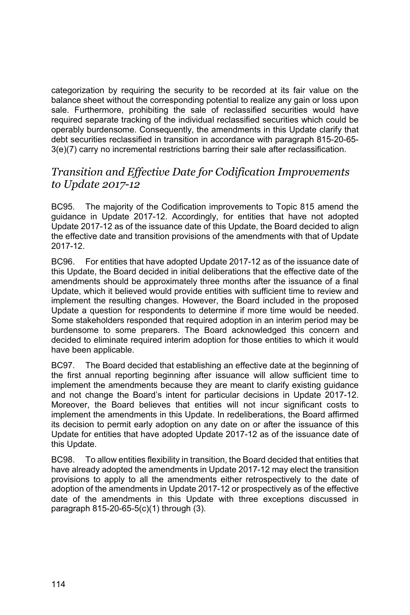categorization by requiring the security to be recorded at its fair value on the balance sheet without the corresponding potential to realize any gain or loss upon sale. Furthermore, prohibiting the sale of reclassified securities would have required separate tracking of the individual reclassified securities which could be operably burdensome. Consequently, the amendments in this Update clarify that debt securities reclassified in transition in accordance with paragraph 815-20-65- 3(e)(7) carry no incremental restrictions barring their sale after reclassification.

## *Transition and Effective Date for Codification Improvements to Update 2017-12*

BC95. The majority of the Codification improvements to Topic 815 amend the guidance in Update 2017-12. Accordingly, for entities that have not adopted Update 2017-12 as of the issuance date of this Update, the Board decided to align the effective date and transition provisions of the amendments with that of Update 2017-12.

BC96. For entities that have adopted Update 2017-12 as of the issuance date of this Update, the Board decided in initial deliberations that the effective date of the amendments should be approximately three months after the issuance of a final Update, which it believed would provide entities with sufficient time to review and implement the resulting changes. However, the Board included in the proposed Update a question for respondents to determine if more time would be needed. Some stakeholders responded that required adoption in an interim period may be burdensome to some preparers. The Board acknowledged this concern and decided to eliminate required interim adoption for those entities to which it would have been applicable.

BC97. The Board decided that establishing an effective date at the beginning of the first annual reporting beginning after issuance will allow sufficient time to implement the amendments because they are meant to clarify existing guidance and not change the Board's intent for particular decisions in Update 2017-12. Moreover, the Board believes that entities will not incur significant costs to implement the amendments in this Update. In redeliberations, the Board affirmed its decision to permit early adoption on any date on or after the issuance of this Update for entities that have adopted Update 2017-12 as of the issuance date of this Update.

BC98. To allow entities flexibility in transition, the Board decided that entities that have already adopted the amendments in Update 2017-12 may elect the transition provisions to apply to all the amendments either retrospectively to the date of adoption of the amendments in Update 2017-12 or prospectively as of the effective date of the amendments in this Update with three exceptions discussed in paragraph 815-20-65-5(c)(1) through (3).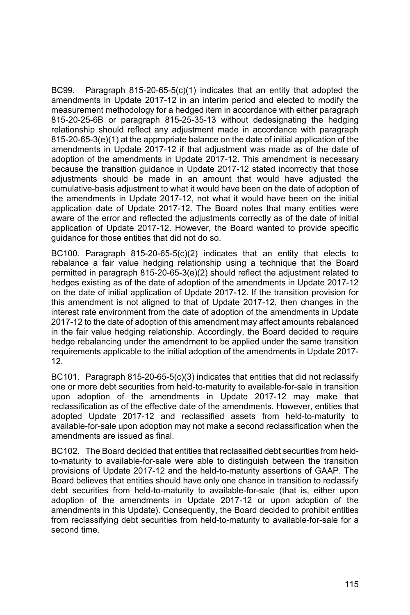BC99. Paragraph  $815-20-65-5(c)(1)$  indicates that an entity that adopted the amendments in Update 2017-12 in an interim period and elected to modify the measurement methodology for a hedged item in accordance with either paragraph 815-20-25-6B or paragraph 815-25-35-13 without dedesignating the hedging relationship should reflect any adjustment made in accordance with paragraph 815-20-65-3(e)(1) at the appropriate balance on the date of initial application of the amendments in Update 2017-12 if that adjustment was made as of the date of adoption of the amendments in Update 2017-12. This amendment is necessary because the transition guidance in Update 2017-12 stated incorrectly that those adjustments should be made in an amount that would have adjusted the cumulative-basis adjustment to what it would have been on the date of adoption of the amendments in Update 2017-12, not what it would have been on the initial application date of Update 2017-12. The Board notes that many entities were aware of the error and reflected the adjustments correctly as of the date of initial application of Update 2017-12. However, the Board wanted to provide specific guidance for those entities that did not do so.

BC100. Paragraph  $815-20-65-5(c)(2)$  indicates that an entity that elects to rebalance a fair value hedging relationship using a technique that the Board permitted in paragraph 815-20-65-3(e)(2) should reflect the adjustment related to hedges existing as of the date of adoption of the amendments in Update 2017-12 on the date of initial application of Update 2017-12. If the transition provision for this amendment is not aligned to that of Update 2017-12, then changes in the interest rate environment from the date of adoption of the amendments in Update 2017-12 to the date of adoption of this amendment may affect amounts rebalanced in the fair value hedging relationship. Accordingly, the Board decided to require hedge rebalancing under the amendment to be applied under the same transition requirements applicable to the initial adoption of the amendments in Update 2017- 12.

BC101. Paragraph 815-20-65-5(c)(3) indicates that entities that did not reclassify one or more debt securities from held-to-maturity to available-for-sale in transition upon adoption of the amendments in Update 2017-12 may make that reclassification as of the effective date of the amendments. However, entities that adopted Update 2017-12 and reclassified assets from held-to-maturity to available-for-sale upon adoption may not make a second reclassification when the amendments are issued as final.

BC102. The Board decided that entities that reclassified debt securities from heldto-maturity to available-for-sale were able to distinguish between the transition provisions of Update 2017-12 and the held-to-maturity assertions of GAAP. The Board believes that entities should have only one chance in transition to reclassify debt securities from held-to-maturity to available-for-sale (that is, either upon adoption of the amendments in Update 2017-12 or upon adoption of the amendments in this Update). Consequently, the Board decided to prohibit entities from reclassifying debt securities from held-to-maturity to available-for-sale for a second time.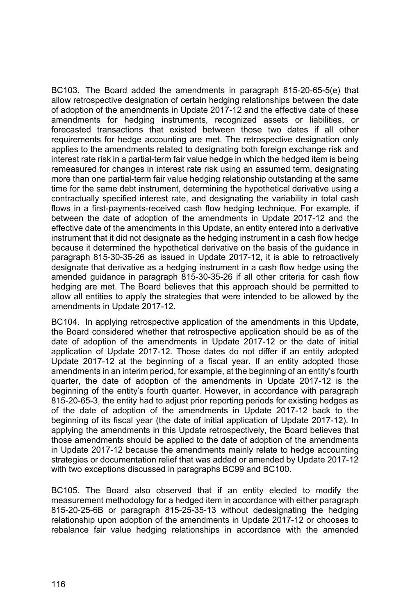BC103. The Board added the amendments in paragraph 815-20-65-5(e) that allow retrospective designation of certain hedging relationships between the date of adoption of the amendments in Update 2017-12 and the effective date of these amendments for hedging instruments, recognized assets or liabilities, or forecasted transactions that existed between those two dates if all other requirements for hedge accounting are met. The retrospective designation only applies to the amendments related to designating both foreign exchange risk and interest rate risk in a partial-term fair value hedge in which the hedged item is being remeasured for changes in interest rate risk using an assumed term, designating more than one partial-term fair value hedging relationship outstanding at the same time for the same debt instrument, determining the hypothetical derivative using a contractually specified interest rate, and designating the variability in total cash flows in a first-payments-received cash flow hedging technique. For example, if between the date of adoption of the amendments in Update 2017-12 and the effective date of the amendments in this Update, an entity entered into a derivative instrument that it did not designate as the hedging instrument in a cash flow hedge because it determined the hypothetical derivative on the basis of the guidance in paragraph 815-30-35-26 as issued in Update 2017-12, it is able to retroactively designate that derivative as a hedging instrument in a cash flow hedge using the amended guidance in paragraph 815-30-35-26 if all other criteria for cash flow hedging are met. The Board believes that this approach should be permitted to allow all entities to apply the strategies that were intended to be allowed by the amendments in Update 2017-12.

BC104. In applying retrospective application of the amendments in this Update, the Board considered whether that retrospective application should be as of the date of adoption of the amendments in Update 2017-12 or the date of initial application of Update 2017-12. Those dates do not differ if an entity adopted Update 2017-12 at the beginning of a fiscal year. If an entity adopted those amendments in an interim period, for example, at the beginning of an entity's fourth quarter, the date of adoption of the amendments in Update 2017-12 is the beginning of the entity's fourth quarter. However, in accordance with paragraph 815-20-65-3, the entity had to adjust prior reporting periods for existing hedges as of the date of adoption of the amendments in Update 2017-12 back to the beginning of its fiscal year (the date of initial application of Update 2017-12). In applying the amendments in this Update retrospectively, the Board believes that those amendments should be applied to the date of adoption of the amendments in Update 2017-12 because the amendments mainly relate to hedge accounting strategies or documentation relief that was added or amended by Update 2017-12 with two exceptions discussed in paragraphs BC99 and BC100.

BC105. The Board also observed that if an entity elected to modify the measurement methodology for a hedged item in accordance with either paragraph 815-20-25-6B or paragraph 815-25-35-13 without dedesignating the hedging relationship upon adoption of the amendments in Update 2017-12 or chooses to rebalance fair value hedging relationships in accordance with the amended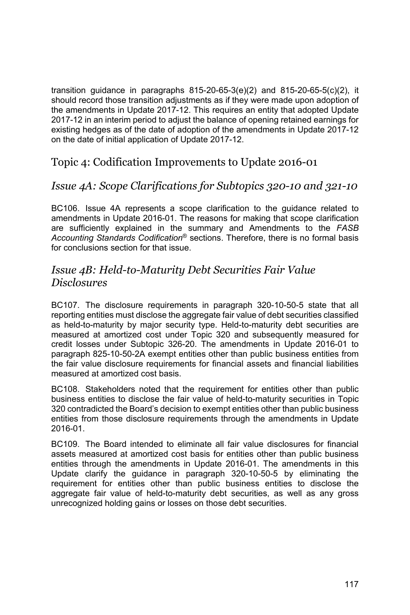transition guidance in paragraphs  $815-20-65-3(e)(2)$  and  $815-20-65-5(c)(2)$ , it should record those transition adjustments as if they were made upon adoption of the amendments in Update 2017-12. This requires an entity that adopted Update 2017-12 in an interim period to adjust the balance of opening retained earnings for existing hedges as of the date of adoption of the amendments in Update 2017-12 on the date of initial application of Update 2017-12.

## Topic 4: Codification Improvements to Update 2016-01

### *Issue 4A: Scope Clarifications for Subtopics 320-10 and 321-10*

BC106. Issue 4A represents a scope clarification to the guidance related to amendments in Update 2016-01. The reasons for making that scope clarification are sufficiently explained in the summary and Amendments to the *FASB Accounting Standards Codification*® sections. Therefore, there is no formal basis for conclusions section for that issue.

### *Issue 4B: Held-to-Maturity Debt Securities Fair Value Disclosures*

BC107. The disclosure requirements in paragraph 320-10-50-5 state that all reporting entities must disclose the aggregate fair value of debt securities classified as held-to-maturity by major security type. Held-to-maturity debt securities are measured at amortized cost under Topic 320 and subsequently measured for credit losses under Subtopic 326-20. The amendments in Update 2016-01 to paragraph 825-10-50-2A exempt entities other than public business entities from the fair value disclosure requirements for financial assets and financial liabilities measured at amortized cost basis.

BC108. Stakeholders noted that the requirement for entities other than public business entities to disclose the fair value of held-to-maturity securities in Topic 320 contradicted the Board's decision to exempt entities other than public business entities from those disclosure requirements through the amendments in Update 2016-01.

BC109. The Board intended to eliminate all fair value disclosures for financial assets measured at amortized cost basis for entities other than public business entities through the amendments in Update 2016-01. The amendments in this Update clarify the guidance in paragraph 320-10-50-5 by eliminating the requirement for entities other than public business entities to disclose the aggregate fair value of held-to-maturity debt securities, as well as any gross unrecognized holding gains or losses on those debt securities.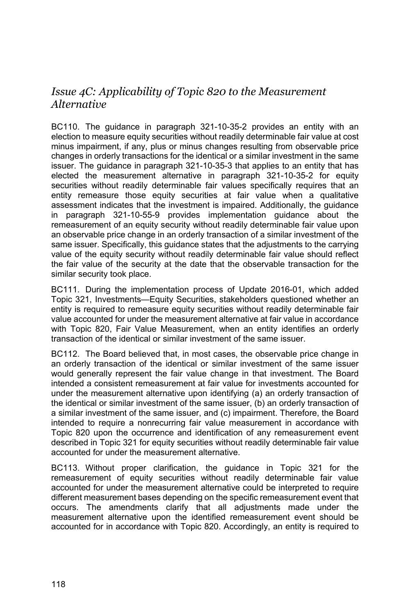# *Issue 4C: Applicability of Topic 820 to the Measurement Alternative*

BC110. The guidance in paragraph 321-10-35-2 provides an entity with an election to measure equity securities without readily determinable fair value at cost minus impairment, if any, plus or minus changes resulting from observable price changes in orderly transactions for the identical or a similar investment in the same issuer. The guidance in paragraph 321-10-35-3 that applies to an entity that has elected the measurement alternative in paragraph 321-10-35-2 for equity securities without readily determinable fair values specifically requires that an entity remeasure those equity securities at fair value when a qualitative assessment indicates that the investment is impaired. Additionally, the guidance in paragraph 321-10-55-9 provides implementation guidance about the remeasurement of an equity security without readily determinable fair value upon an observable price change in an orderly transaction of a similar investment of the same issuer. Specifically, this guidance states that the adjustments to the carrying value of the equity security without readily determinable fair value should reflect the fair value of the security at the date that the observable transaction for the similar security took place.

BC111. During the implementation process of Update 2016-01, which added Topic 321, Investments—Equity Securities, stakeholders questioned whether an entity is required to remeasure equity securities without readily determinable fair value accounted for under the measurement alternative at fair value in accordance with Topic 820, Fair Value Measurement, when an entity identifies an orderly transaction of the identical or similar investment of the same issuer.

BC112. The Board believed that, in most cases, the observable price change in an orderly transaction of the identical or similar investment of the same issuer would generally represent the fair value change in that investment. The Board intended a consistent remeasurement at fair value for investments accounted for under the measurement alternative upon identifying (a) an orderly transaction of the identical or similar investment of the same issuer, (b) an orderly transaction of a similar investment of the same issuer, and (c) impairment. Therefore, the Board intended to require a nonrecurring fair value measurement in accordance with Topic 820 upon the occurrence and identification of any remeasurement event described in Topic 321 for equity securities without readily determinable fair value accounted for under the measurement alternative.

BC113. Without proper clarification, the guidance in Topic 321 for the remeasurement of equity securities without readily determinable fair value accounted for under the measurement alternative could be interpreted to require different measurement bases depending on the specific remeasurement event that occurs. The amendments clarify that all adjustments made under the measurement alternative upon the identified remeasurement event should be accounted for in accordance with Topic 820. Accordingly, an entity is required to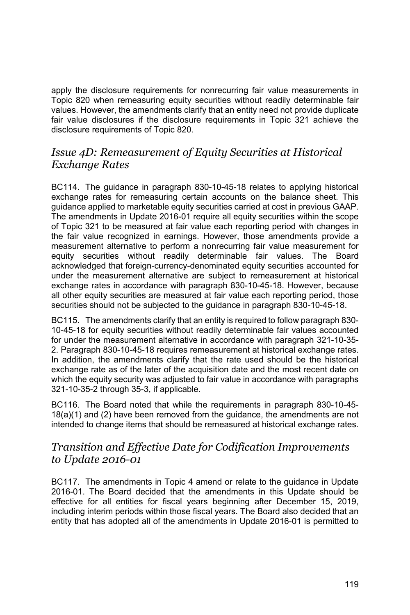apply the disclosure requirements for nonrecurring fair value measurements in Topic 820 when remeasuring equity securities without readily determinable fair values. However, the amendments clarify that an entity need not provide duplicate fair value disclosures if the disclosure requirements in Topic 321 achieve the disclosure requirements of Topic 820.

#### *Issue 4D: Remeasurement of Equity Securities at Historical Exchange Rates*

BC114. The guidance in paragraph 830-10-45-18 relates to applying historical exchange rates for remeasuring certain accounts on the balance sheet. This guidance applied to marketable equity securities carried at cost in previous GAAP. The amendments in Update 2016-01 require all equity securities within the scope of Topic 321 to be measured at fair value each reporting period with changes in the fair value recognized in earnings. However, those amendments provide a measurement alternative to perform a nonrecurring fair value measurement for equity securities without readily determinable fair values. The Board acknowledged that foreign-currency-denominated equity securities accounted for under the measurement alternative are subject to remeasurement at historical exchange rates in accordance with paragraph 830-10-45-18. However, because all other equity securities are measured at fair value each reporting period, those securities should not be subjected to the guidance in paragraph 830-10-45-18.

BC115. The amendments clarify that an entity is required to follow paragraph 830- 10-45-18 for equity securities without readily determinable fair values accounted for under the measurement alternative in accordance with paragraph 321-10-35- 2. Paragraph 830-10-45-18 requires remeasurement at historical exchange rates. In addition, the amendments clarify that the rate used should be the historical exchange rate as of the later of the acquisition date and the most recent date on which the equity security was adjusted to fair value in accordance with paragraphs 321-10-35-2 through 35-3, if applicable.

BC116. The Board noted that while the requirements in paragraph 830-10-45- 18(a)(1) and (2) have been removed from the guidance, the amendments are not intended to change items that should be remeasured at historical exchange rates.

### *Transition and Effective Date for Codification Improvements to Update 2016-01*

BC117. The amendments in Topic 4 amend or relate to the guidance in Update 2016-01. The Board decided that the amendments in this Update should be effective for all entities for fiscal years beginning after December 15, 2019, including interim periods within those fiscal years. The Board also decided that an entity that has adopted all of the amendments in Update 2016-01 is permitted to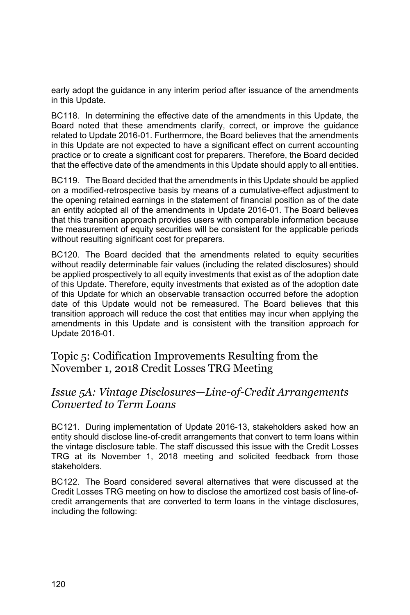early adopt the guidance in any interim period after issuance of the amendments in this Update.

BC118. In determining the effective date of the amendments in this Update, the Board noted that these amendments clarify, correct, or improve the guidance related to Update 2016-01. Furthermore, the Board believes that the amendments in this Update are not expected to have a significant effect on current accounting practice or to create a significant cost for preparers. Therefore, the Board decided that the effective date of the amendments in this Update should apply to all entities.

BC119. The Board decided that the amendments in this Update should be applied on a modified-retrospective basis by means of a cumulative-effect adjustment to the opening retained earnings in the statement of financial position as of the date an entity adopted all of the amendments in Update 2016-01. The Board believes that this transition approach provides users with comparable information because the measurement of equity securities will be consistent for the applicable periods without resulting significant cost for preparers.

BC120. The Board decided that the amendments related to equity securities without readily determinable fair values (including the related disclosures) should be applied prospectively to all equity investments that exist as of the adoption date of this Update. Therefore, equity investments that existed as of the adoption date of this Update for which an observable transaction occurred before the adoption date of this Update would not be remeasured. The Board believes that this transition approach will reduce the cost that entities may incur when applying the amendments in this Update and is consistent with the transition approach for Update 2016-01.

Topic 5: Codification Improvements Resulting from the November 1, 2018 Credit Losses TRG Meeting

### *Issue 5A: Vintage Disclosures—Line-of-Credit Arrangements Converted to Term Loans*

BC121. During implementation of Update 2016-13, stakeholders asked how an entity should disclose line-of-credit arrangements that convert to term loans within the vintage disclosure table. The staff discussed this issue with the Credit Losses TRG at its November 1, 2018 meeting and solicited feedback from those stakeholders.

BC122. The Board considered several alternatives that were discussed at the Credit Losses TRG meeting on how to disclose the amortized cost basis of line-ofcredit arrangements that are converted to term loans in the vintage disclosures, including the following: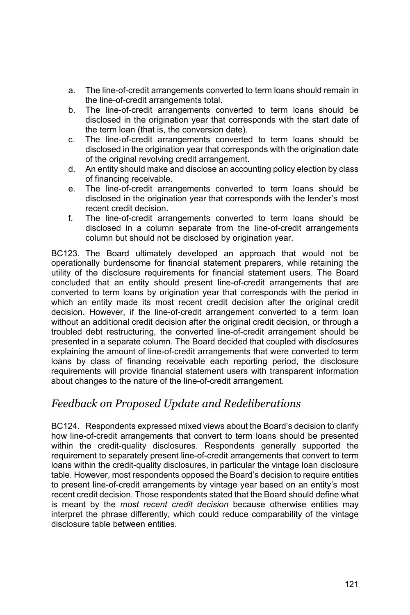- a. The line-of-credit arrangements converted to term loans should remain in the line-of-credit arrangements total.
- b. The line-of-credit arrangements converted to term loans should be disclosed in the origination year that corresponds with the start date of the term loan (that is, the conversion date).
- c. The line-of-credit arrangements converted to term loans should be disclosed in the origination year that corresponds with the origination date of the original revolving credit arrangement.
- d. An entity should make and disclose an accounting policy election by class of financing receivable.
- e. The line-of-credit arrangements converted to term loans should be disclosed in the origination year that corresponds with the lender's most recent credit decision.
- f. The line-of-credit arrangements converted to term loans should be disclosed in a column separate from the line-of-credit arrangements column but should not be disclosed by origination year.

BC123. The Board ultimately developed an approach that would not be operationally burdensome for financial statement preparers, while retaining the utility of the disclosure requirements for financial statement users. The Board concluded that an entity should present line-of-credit arrangements that are converted to term loans by origination year that corresponds with the period in which an entity made its most recent credit decision after the original credit decision. However, if the line-of-credit arrangement converted to a term loan without an additional credit decision after the original credit decision, or through a troubled debt restructuring, the converted line-of-credit arrangement should be presented in a separate column. The Board decided that coupled with disclosures explaining the amount of line-of-credit arrangements that were converted to term loans by class of financing receivable each reporting period, the disclosure requirements will provide financial statement users with transparent information about changes to the nature of the line-of-credit arrangement.

# *Feedback on Proposed Update and Redeliberations*

BC124. Respondents expressed mixed views about the Board's decision to clarify how line-of-credit arrangements that convert to term loans should be presented within the credit-quality disclosures. Respondents generally supported the requirement to separately present line-of-credit arrangements that convert to term loans within the credit-quality disclosures, in particular the vintage loan disclosure table. However, most respondents opposed the Board's decision to require entities to present line-of-credit arrangements by vintage year based on an entity's most recent credit decision. Those respondents stated that the Board should define what is meant by the *most recent credit decision* because otherwise entities may interpret the phrase differently, which could reduce comparability of the vintage disclosure table between entities.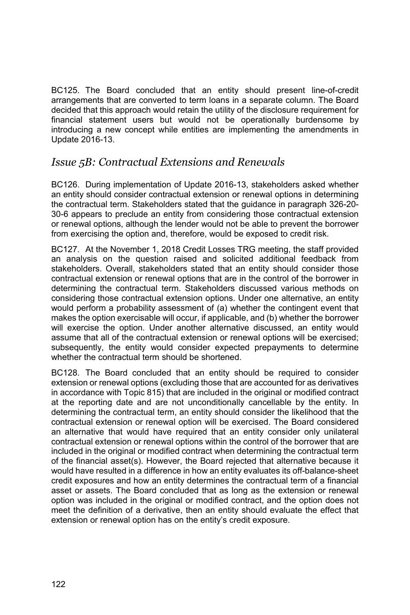BC125. The Board concluded that an entity should present line-of-credit arrangements that are converted to term loans in a separate column. The Board decided that this approach would retain the utility of the disclosure requirement for financial statement users but would not be operationally burdensome by introducing a new concept while entities are implementing the amendments in Update 2016-13.

# *Issue 5B: Contractual Extensions and Renewals*

BC126. During implementation of Update 2016-13, stakeholders asked whether an entity should consider contractual extension or renewal options in determining the contractual term. Stakeholders stated that the guidance in paragraph 326-20- 30-6 appears to preclude an entity from considering those contractual extension or renewal options, although the lender would not be able to prevent the borrower from exercising the option and, therefore, would be exposed to credit risk.

BC127. At the November 1, 2018 Credit Losses TRG meeting, the staff provided an analysis on the question raised and solicited additional feedback from stakeholders. Overall, stakeholders stated that an entity should consider those contractual extension or renewal options that are in the control of the borrower in determining the contractual term. Stakeholders discussed various methods on considering those contractual extension options. Under one alternative, an entity would perform a probability assessment of (a) whether the contingent event that makes the option exercisable will occur, if applicable, and (b) whether the borrower will exercise the option. Under another alternative discussed, an entity would assume that all of the contractual extension or renewal options will be exercised; subsequently, the entity would consider expected prepayments to determine whether the contractual term should be shortened.

BC128. The Board concluded that an entity should be required to consider extension or renewal options (excluding those that are accounted for as derivatives in accordance with Topic 815) that are included in the original or modified contract at the reporting date and are not unconditionally cancellable by the entity. In determining the contractual term, an entity should consider the likelihood that the contractual extension or renewal option will be exercised. The Board considered an alternative that would have required that an entity consider only unilateral contractual extension or renewal options within the control of the borrower that are included in the original or modified contract when determining the contractual term of the financial asset(s). However, the Board rejected that alternative because it would have resulted in a difference in how an entity evaluates its off-balance-sheet credit exposures and how an entity determines the contractual term of a financial asset or assets. The Board concluded that as long as the extension or renewal option was included in the original or modified contract, and the option does not meet the definition of a derivative, then an entity should evaluate the effect that extension or renewal option has on the entity's credit exposure.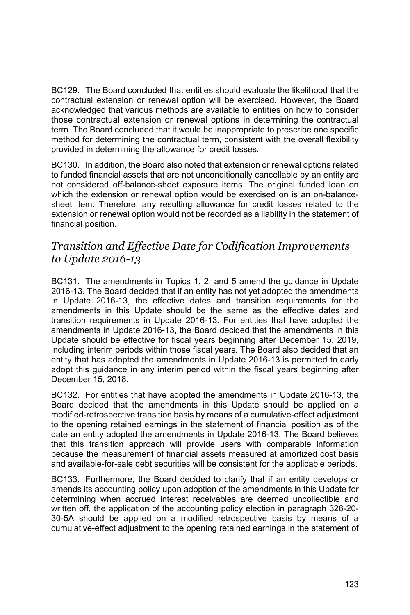BC129. The Board concluded that entities should evaluate the likelihood that the contractual extension or renewal option will be exercised. However, the Board acknowledged that various methods are available to entities on how to consider those contractual extension or renewal options in determining the contractual term. The Board concluded that it would be inappropriate to prescribe one specific method for determining the contractual term, consistent with the overall flexibility provided in determining the allowance for credit losses.

BC130. In addition, the Board also noted that extension or renewal options related to funded financial assets that are not unconditionally cancellable by an entity are not considered off-balance-sheet exposure items. The original funded loan on which the extension or renewal option would be exercised on is an on-balancesheet item. Therefore, any resulting allowance for credit losses related to the extension or renewal option would not be recorded as a liability in the statement of financial position.

## *Transition and Effective Date for Codification Improvements to Update 2016-13*

BC131. The amendments in Topics 1, 2, and 5 amend the guidance in Update 2016-13. The Board decided that if an entity has not yet adopted the amendments in Update 2016-13, the effective dates and transition requirements for the amendments in this Update should be the same as the effective dates and transition requirements in Update 2016-13. For entities that have adopted the amendments in Update 2016-13, the Board decided that the amendments in this Update should be effective for fiscal years beginning after December 15, 2019, including interim periods within those fiscal years. The Board also decided that an entity that has adopted the amendments in Update 2016-13 is permitted to early adopt this guidance in any interim period within the fiscal years beginning after December 15, 2018.

BC132. For entities that have adopted the amendments in Update 2016-13, the Board decided that the amendments in this Update should be applied on a modified-retrospective transition basis by means of a cumulative-effect adjustment to the opening retained earnings in the statement of financial position as of the date an entity adopted the amendments in Update 2016-13. The Board believes that this transition approach will provide users with comparable information because the measurement of financial assets measured at amortized cost basis and available-for-sale debt securities will be consistent for the applicable periods.

BC133. Furthermore, the Board decided to clarify that if an entity develops or amends its accounting policy upon adoption of the amendments in this Update for determining when accrued interest receivables are deemed uncollectible and written off, the application of the accounting policy election in paragraph 326-20- 30-5A should be applied on a modified retrospective basis by means of a cumulative-effect adjustment to the opening retained earnings in the statement of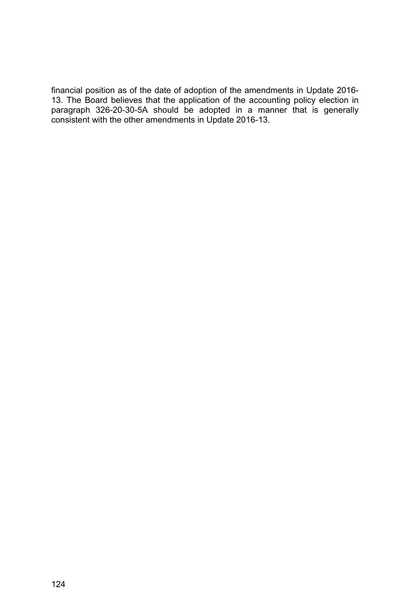financial position as of the date of adoption of the amendments in Update 2016- 13. The Board believes that the application of the accounting policy election in paragraph 326-20-30-5A should be adopted in a manner that is generally consistent with the other amendments in Update 2016-13.